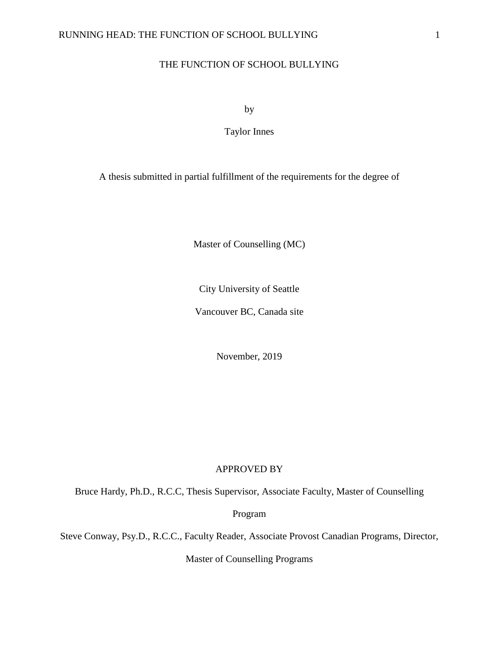# THE FUNCTION OF SCHOOL BULLYING

by

Taylor Innes

A thesis submitted in partial fulfillment of the requirements for the degree of

Master of Counselling (MC)

City University of Seattle

Vancouver BC, Canada site

November, 2019

# APPROVED BY

Bruce Hardy, Ph.D., R.C.C, Thesis Supervisor, Associate Faculty, Master of Counselling

Program

Steve Conway, Psy.D., R.C.C., Faculty Reader, Associate Provost Canadian Programs, Director,

Master of Counselling Programs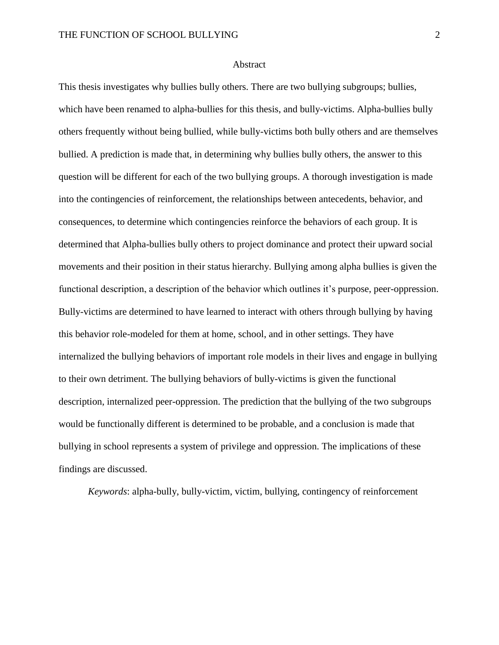# Abstract

This thesis investigates why bullies bully others. There are two bullying subgroups; bullies, which have been renamed to alpha-bullies for this thesis, and bully-victims. Alpha-bullies bully others frequently without being bullied, while bully-victims both bully others and are themselves bullied. A prediction is made that, in determining why bullies bully others, the answer to this question will be different for each of the two bullying groups. A thorough investigation is made into the contingencies of reinforcement, the relationships between antecedents, behavior, and consequences, to determine which contingencies reinforce the behaviors of each group. It is determined that Alpha-bullies bully others to project dominance and protect their upward social movements and their position in their status hierarchy. Bullying among alpha bullies is given the functional description, a description of the behavior which outlines it's purpose, peer-oppression. Bully-victims are determined to have learned to interact with others through bullying by having this behavior role-modeled for them at home, school, and in other settings. They have internalized the bullying behaviors of important role models in their lives and engage in bullying to their own detriment. The bullying behaviors of bully-victims is given the functional description, internalized peer-oppression. The prediction that the bullying of the two subgroups would be functionally different is determined to be probable, and a conclusion is made that bullying in school represents a system of privilege and oppression. The implications of these findings are discussed.

*Keywords*: alpha-bully, bully-victim, victim, bullying, contingency of reinforcement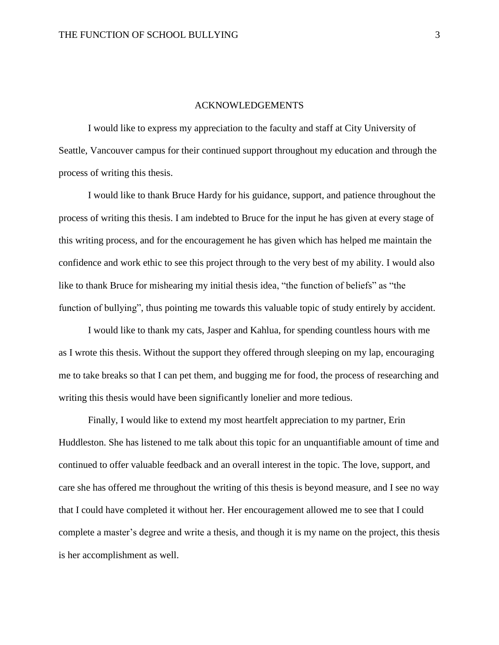# ACKNOWLEDGEMENTS

I would like to express my appreciation to the faculty and staff at City University of Seattle, Vancouver campus for their continued support throughout my education and through the process of writing this thesis.

I would like to thank Bruce Hardy for his guidance, support, and patience throughout the process of writing this thesis. I am indebted to Bruce for the input he has given at every stage of this writing process, and for the encouragement he has given which has helped me maintain the confidence and work ethic to see this project through to the very best of my ability. I would also like to thank Bruce for mishearing my initial thesis idea, "the function of beliefs" as "the function of bullying", thus pointing me towards this valuable topic of study entirely by accident.

I would like to thank my cats, Jasper and Kahlua, for spending countless hours with me as I wrote this thesis. Without the support they offered through sleeping on my lap, encouraging me to take breaks so that I can pet them, and bugging me for food, the process of researching and writing this thesis would have been significantly lonelier and more tedious.

Finally, I would like to extend my most heartfelt appreciation to my partner, Erin Huddleston. She has listened to me talk about this topic for an unquantifiable amount of time and continued to offer valuable feedback and an overall interest in the topic. The love, support, and care she has offered me throughout the writing of this thesis is beyond measure, and I see no way that I could have completed it without her. Her encouragement allowed me to see that I could complete a master's degree and write a thesis, and though it is my name on the project, this thesis is her accomplishment as well.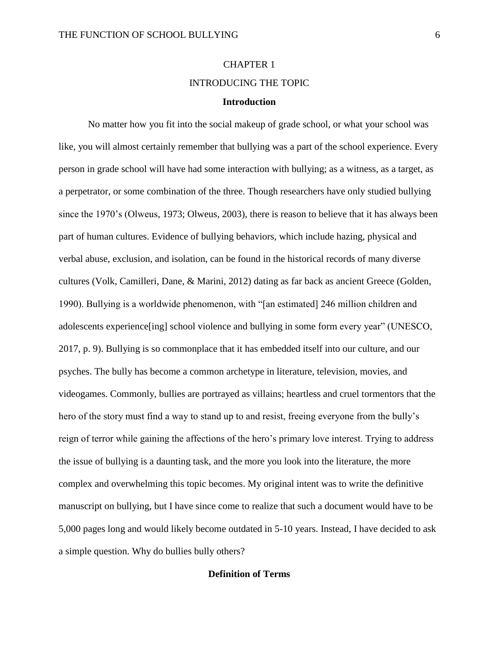# CHAPTER 1 INTRODUCING THE TOPIC **Introduction**

# No matter how you fit into the social makeup of grade school, or what your school was like, you will almost certainly remember that bullying was a part of the school experience. Every person in grade school will have had some interaction with bullying; as a witness, as a target, as a perpetrator, or some combination of the three. Though researchers have only studied bullying since the 1970's (Olweus, 1973; Olweus, 2003), there is reason to believe that it has always been part of human cultures. Evidence of bullying behaviors, which include hazing, physical and verbal abuse, exclusion, and isolation, can be found in the historical records of many diverse cultures (Volk, Camilleri, Dane, & Marini, 2012) dating as far back as ancient Greece (Golden, 1990). Bullying is a worldwide phenomenon, with "[an estimated] 246 million children and adolescents experience[ing] school violence and bullying in some form every year" (UNESCO, 2017, p. 9). Bullying is so commonplace that it has embedded itself into our culture, and our psyches. The bully has become a common archetype in literature, television, movies, and videogames. Commonly, bullies are portrayed as villains; heartless and cruel tormentors that the hero of the story must find a way to stand up to and resist, freeing everyone from the bully's reign of terror while gaining the affections of the hero's primary love interest. Trying to address the issue of bullying is a daunting task, and the more you look into the literature, the more complex and overwhelming this topic becomes. My original intent was to write the definitive manuscript on bullying, but I have since come to realize that such a document would have to be 5,000 pages long and would likely become outdated in 5-10 years. Instead, I have decided to ask a simple question. Why do bullies bully others?

# **Definition of Terms**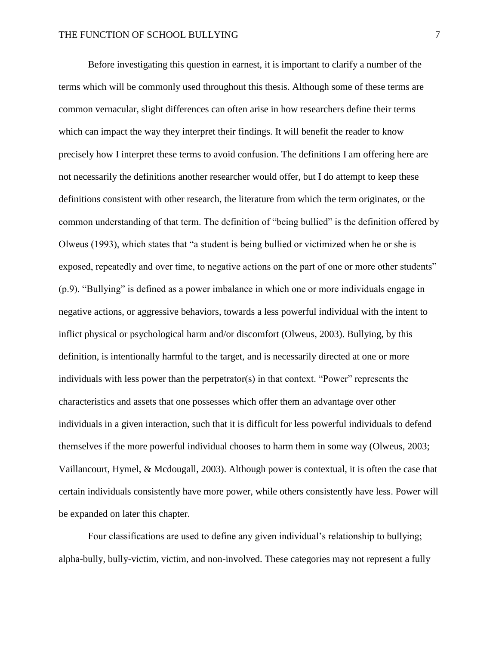Before investigating this question in earnest, it is important to clarify a number of the terms which will be commonly used throughout this thesis. Although some of these terms are common vernacular, slight differences can often arise in how researchers define their terms which can impact the way they interpret their findings. It will benefit the reader to know precisely how I interpret these terms to avoid confusion. The definitions I am offering here are not necessarily the definitions another researcher would offer, but I do attempt to keep these definitions consistent with other research, the literature from which the term originates, or the common understanding of that term. The definition of "being bullied" is the definition offered by Olweus (1993), which states that "a student is being bullied or victimized when he or she is exposed, repeatedly and over time, to negative actions on the part of one or more other students" (p.9). "Bullying" is defined as a power imbalance in which one or more individuals engage in negative actions, or aggressive behaviors, towards a less powerful individual with the intent to inflict physical or psychological harm and/or discomfort (Olweus, 2003). Bullying, by this definition, is intentionally harmful to the target, and is necessarily directed at one or more individuals with less power than the perpetrator(s) in that context. "Power" represents the characteristics and assets that one possesses which offer them an advantage over other individuals in a given interaction, such that it is difficult for less powerful individuals to defend themselves if the more powerful individual chooses to harm them in some way (Olweus, 2003; Vaillancourt, Hymel, & Mcdougall, 2003). Although power is contextual, it is often the case that certain individuals consistently have more power, while others consistently have less. Power will be expanded on later this chapter.

Four classifications are used to define any given individual's relationship to bullying; alpha-bully, bully-victim, victim, and non-involved. These categories may not represent a fully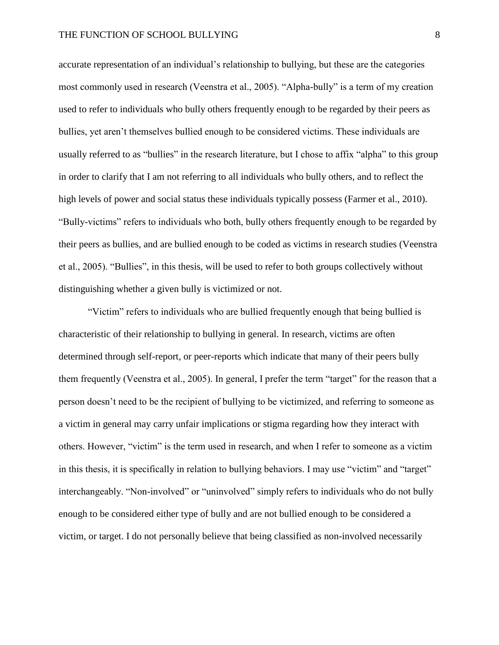accurate representation of an individual's relationship to bullying, but these are the categories most commonly used in research (Veenstra et al., 2005). "Alpha-bully" is a term of my creation used to refer to individuals who bully others frequently enough to be regarded by their peers as bullies, yet aren't themselves bullied enough to be considered victims. These individuals are usually referred to as "bullies" in the research literature, but I chose to affix "alpha" to this group in order to clarify that I am not referring to all individuals who bully others, and to reflect the high levels of power and social status these individuals typically possess (Farmer et al., 2010). "Bully-victims" refers to individuals who both, bully others frequently enough to be regarded by their peers as bullies, and are bullied enough to be coded as victims in research studies (Veenstra et al., 2005). "Bullies", in this thesis, will be used to refer to both groups collectively without distinguishing whether a given bully is victimized or not.

"Victim" refers to individuals who are bullied frequently enough that being bullied is characteristic of their relationship to bullying in general. In research, victims are often determined through self-report, or peer-reports which indicate that many of their peers bully them frequently (Veenstra et al., 2005). In general, I prefer the term "target" for the reason that a person doesn't need to be the recipient of bullying to be victimized, and referring to someone as a victim in general may carry unfair implications or stigma regarding how they interact with others. However, "victim" is the term used in research, and when I refer to someone as a victim in this thesis, it is specifically in relation to bullying behaviors. I may use "victim" and "target" interchangeably. "Non-involved" or "uninvolved" simply refers to individuals who do not bully enough to be considered either type of bully and are not bullied enough to be considered a victim, or target. I do not personally believe that being classified as non-involved necessarily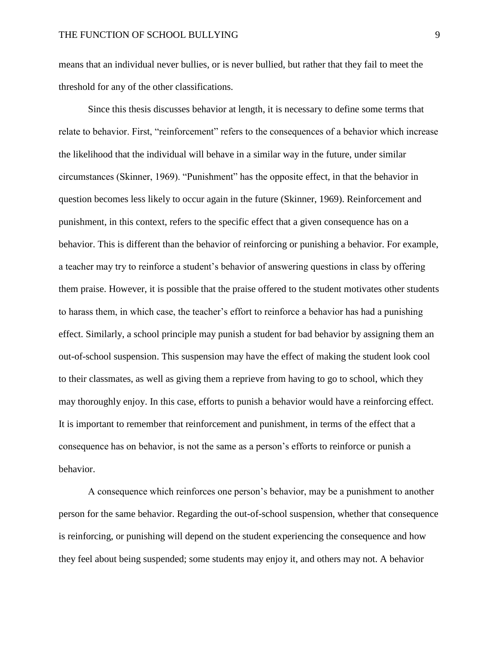means that an individual never bullies, or is never bullied, but rather that they fail to meet the threshold for any of the other classifications.

Since this thesis discusses behavior at length, it is necessary to define some terms that relate to behavior. First, "reinforcement" refers to the consequences of a behavior which increase the likelihood that the individual will behave in a similar way in the future, under similar circumstances (Skinner, 1969). "Punishment" has the opposite effect, in that the behavior in question becomes less likely to occur again in the future (Skinner, 1969). Reinforcement and punishment, in this context, refers to the specific effect that a given consequence has on a behavior. This is different than the behavior of reinforcing or punishing a behavior. For example, a teacher may try to reinforce a student's behavior of answering questions in class by offering them praise. However, it is possible that the praise offered to the student motivates other students to harass them, in which case, the teacher's effort to reinforce a behavior has had a punishing effect. Similarly, a school principle may punish a student for bad behavior by assigning them an out-of-school suspension. This suspension may have the effect of making the student look cool to their classmates, as well as giving them a reprieve from having to go to school, which they may thoroughly enjoy. In this case, efforts to punish a behavior would have a reinforcing effect. It is important to remember that reinforcement and punishment, in terms of the effect that a consequence has on behavior, is not the same as a person's efforts to reinforce or punish a behavior.

A consequence which reinforces one person's behavior, may be a punishment to another person for the same behavior. Regarding the out-of-school suspension, whether that consequence is reinforcing, or punishing will depend on the student experiencing the consequence and how they feel about being suspended; some students may enjoy it, and others may not. A behavior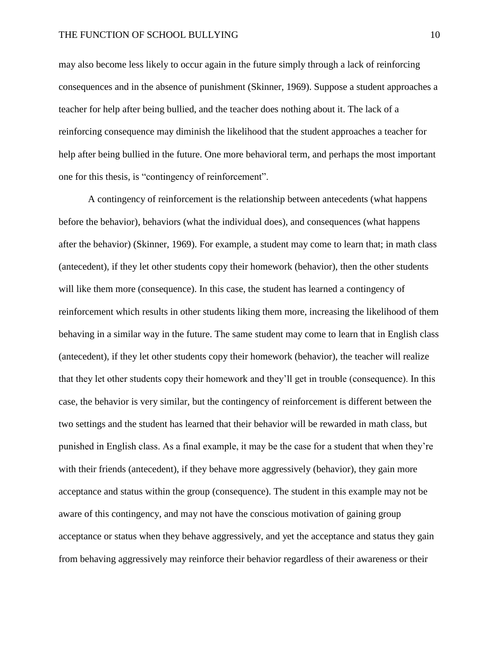may also become less likely to occur again in the future simply through a lack of reinforcing consequences and in the absence of punishment (Skinner, 1969). Suppose a student approaches a teacher for help after being bullied, and the teacher does nothing about it. The lack of a reinforcing consequence may diminish the likelihood that the student approaches a teacher for help after being bullied in the future. One more behavioral term, and perhaps the most important one for this thesis, is "contingency of reinforcement".

A contingency of reinforcement is the relationship between antecedents (what happens before the behavior), behaviors (what the individual does), and consequences (what happens after the behavior) (Skinner, 1969). For example, a student may come to learn that; in math class (antecedent), if they let other students copy their homework (behavior), then the other students will like them more (consequence). In this case, the student has learned a contingency of reinforcement which results in other students liking them more, increasing the likelihood of them behaving in a similar way in the future. The same student may come to learn that in English class (antecedent), if they let other students copy their homework (behavior), the teacher will realize that they let other students copy their homework and they'll get in trouble (consequence). In this case, the behavior is very similar, but the contingency of reinforcement is different between the two settings and the student has learned that their behavior will be rewarded in math class, but punished in English class. As a final example, it may be the case for a student that when they're with their friends (antecedent), if they behave more aggressively (behavior), they gain more acceptance and status within the group (consequence). The student in this example may not be aware of this contingency, and may not have the conscious motivation of gaining group acceptance or status when they behave aggressively, and yet the acceptance and status they gain from behaving aggressively may reinforce their behavior regardless of their awareness or their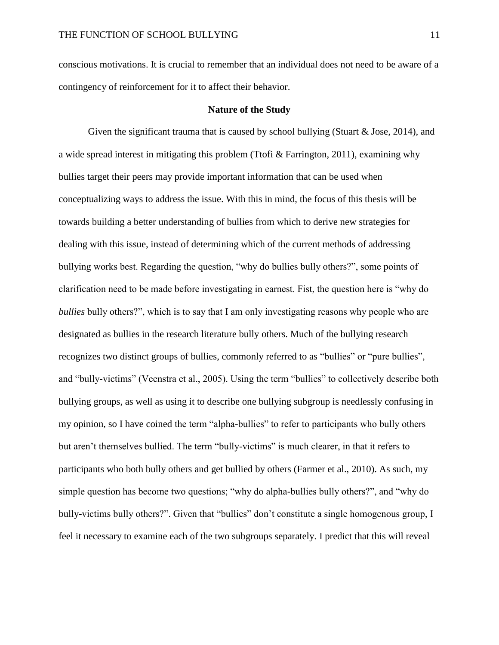conscious motivations. It is crucial to remember that an individual does not need to be aware of a contingency of reinforcement for it to affect their behavior.

# **Nature of the Study**

Given the significant trauma that is caused by school bullying (Stuart  $\&$  Jose, 2014), and a wide spread interest in mitigating this problem (Ttofi & Farrington, 2011), examining why bullies target their peers may provide important information that can be used when conceptualizing ways to address the issue. With this in mind, the focus of this thesis will be towards building a better understanding of bullies from which to derive new strategies for dealing with this issue, instead of determining which of the current methods of addressing bullying works best. Regarding the question, "why do bullies bully others?", some points of clarification need to be made before investigating in earnest. Fist, the question here is "why do *bullies* bully others?", which is to say that I am only investigating reasons why people who are designated as bullies in the research literature bully others. Much of the bullying research recognizes two distinct groups of bullies, commonly referred to as "bullies" or "pure bullies", and "bully-victims" (Veenstra et al., 2005). Using the term "bullies" to collectively describe both bullying groups, as well as using it to describe one bullying subgroup is needlessly confusing in my opinion, so I have coined the term "alpha-bullies" to refer to participants who bully others but aren't themselves bullied. The term "bully-victims" is much clearer, in that it refers to participants who both bully others and get bullied by others (Farmer et al., 2010). As such, my simple question has become two questions; "why do alpha-bullies bully others?", and "why do bully-victims bully others?". Given that "bullies" don't constitute a single homogenous group, I feel it necessary to examine each of the two subgroups separately. I predict that this will reveal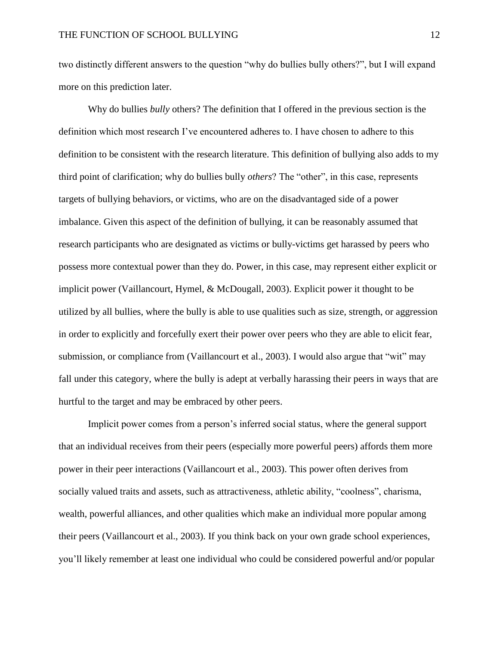two distinctly different answers to the question "why do bullies bully others?", but I will expand more on this prediction later.

Why do bullies *bully* others? The definition that I offered in the previous section is the definition which most research I've encountered adheres to. I have chosen to adhere to this definition to be consistent with the research literature. This definition of bullying also adds to my third point of clarification; why do bullies bully *others*? The "other", in this case, represents targets of bullying behaviors, or victims, who are on the disadvantaged side of a power imbalance. Given this aspect of the definition of bullying, it can be reasonably assumed that research participants who are designated as victims or bully-victims get harassed by peers who possess more contextual power than they do. Power, in this case, may represent either explicit or implicit power (Vaillancourt, Hymel, & McDougall, 2003). Explicit power it thought to be utilized by all bullies, where the bully is able to use qualities such as size, strength, or aggression in order to explicitly and forcefully exert their power over peers who they are able to elicit fear, submission, or compliance from (Vaillancourt et al., 2003). I would also argue that "wit" may fall under this category, where the bully is adept at verbally harassing their peers in ways that are hurtful to the target and may be embraced by other peers.

Implicit power comes from a person's inferred social status, where the general support that an individual receives from their peers (especially more powerful peers) affords them more power in their peer interactions (Vaillancourt et al., 2003). This power often derives from socially valued traits and assets, such as attractiveness, athletic ability, "coolness", charisma, wealth, powerful alliances, and other qualities which make an individual more popular among their peers (Vaillancourt et al., 2003). If you think back on your own grade school experiences, you'll likely remember at least one individual who could be considered powerful and/or popular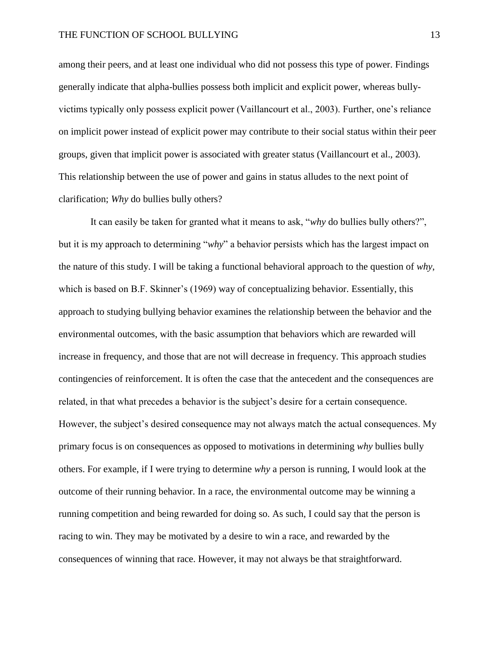among their peers, and at least one individual who did not possess this type of power. Findings generally indicate that alpha-bullies possess both implicit and explicit power, whereas bullyvictims typically only possess explicit power (Vaillancourt et al., 2003). Further, one's reliance on implicit power instead of explicit power may contribute to their social status within their peer groups, given that implicit power is associated with greater status (Vaillancourt et al., 2003). This relationship between the use of power and gains in status alludes to the next point of clarification; *Why* do bullies bully others?

It can easily be taken for granted what it means to ask, "*why* do bullies bully others?", but it is my approach to determining "*why*" a behavior persists which has the largest impact on the nature of this study. I will be taking a functional behavioral approach to the question of *why*, which is based on B.F. Skinner's (1969) way of conceptualizing behavior. Essentially, this approach to studying bullying behavior examines the relationship between the behavior and the environmental outcomes, with the basic assumption that behaviors which are rewarded will increase in frequency, and those that are not will decrease in frequency. This approach studies contingencies of reinforcement. It is often the case that the antecedent and the consequences are related, in that what precedes a behavior is the subject's desire for a certain consequence. However, the subject's desired consequence may not always match the actual consequences. My primary focus is on consequences as opposed to motivations in determining *why* bullies bully others. For example, if I were trying to determine *why* a person is running, I would look at the outcome of their running behavior. In a race, the environmental outcome may be winning a running competition and being rewarded for doing so. As such, I could say that the person is racing to win. They may be motivated by a desire to win a race, and rewarded by the consequences of winning that race. However, it may not always be that straightforward.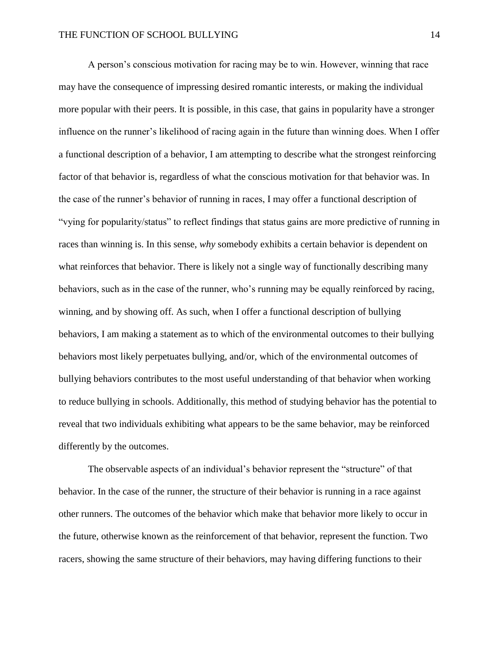A person's conscious motivation for racing may be to win. However, winning that race may have the consequence of impressing desired romantic interests, or making the individual more popular with their peers. It is possible, in this case, that gains in popularity have a stronger influence on the runner's likelihood of racing again in the future than winning does. When I offer a functional description of a behavior, I am attempting to describe what the strongest reinforcing factor of that behavior is, regardless of what the conscious motivation for that behavior was. In the case of the runner's behavior of running in races, I may offer a functional description of "vying for popularity/status" to reflect findings that status gains are more predictive of running in races than winning is. In this sense, *why* somebody exhibits a certain behavior is dependent on what reinforces that behavior. There is likely not a single way of functionally describing many behaviors, such as in the case of the runner, who's running may be equally reinforced by racing, winning, and by showing off. As such, when I offer a functional description of bullying behaviors, I am making a statement as to which of the environmental outcomes to their bullying behaviors most likely perpetuates bullying, and/or, which of the environmental outcomes of bullying behaviors contributes to the most useful understanding of that behavior when working to reduce bullying in schools. Additionally, this method of studying behavior has the potential to reveal that two individuals exhibiting what appears to be the same behavior, may be reinforced differently by the outcomes.

The observable aspects of an individual's behavior represent the "structure" of that behavior. In the case of the runner, the structure of their behavior is running in a race against other runners. The outcomes of the behavior which make that behavior more likely to occur in the future, otherwise known as the reinforcement of that behavior, represent the function. Two racers, showing the same structure of their behaviors, may having differing functions to their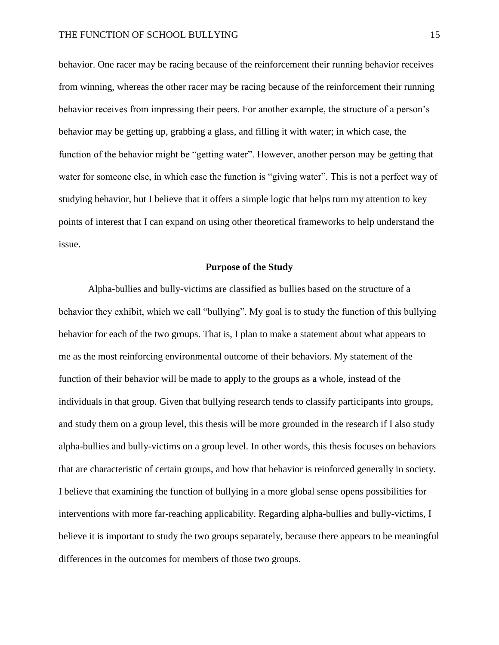behavior. One racer may be racing because of the reinforcement their running behavior receives from winning, whereas the other racer may be racing because of the reinforcement their running behavior receives from impressing their peers. For another example, the structure of a person's behavior may be getting up, grabbing a glass, and filling it with water; in which case, the function of the behavior might be "getting water". However, another person may be getting that water for someone else, in which case the function is "giving water". This is not a perfect way of studying behavior, but I believe that it offers a simple logic that helps turn my attention to key points of interest that I can expand on using other theoretical frameworks to help understand the issue.

# **Purpose of the Study**

Alpha-bullies and bully-victims are classified as bullies based on the structure of a behavior they exhibit, which we call "bullying". My goal is to study the function of this bullying behavior for each of the two groups. That is, I plan to make a statement about what appears to me as the most reinforcing environmental outcome of their behaviors. My statement of the function of their behavior will be made to apply to the groups as a whole, instead of the individuals in that group. Given that bullying research tends to classify participants into groups, and study them on a group level, this thesis will be more grounded in the research if I also study alpha-bullies and bully-victims on a group level. In other words, this thesis focuses on behaviors that are characteristic of certain groups, and how that behavior is reinforced generally in society. I believe that examining the function of bullying in a more global sense opens possibilities for interventions with more far-reaching applicability. Regarding alpha-bullies and bully-victims, I believe it is important to study the two groups separately, because there appears to be meaningful differences in the outcomes for members of those two groups.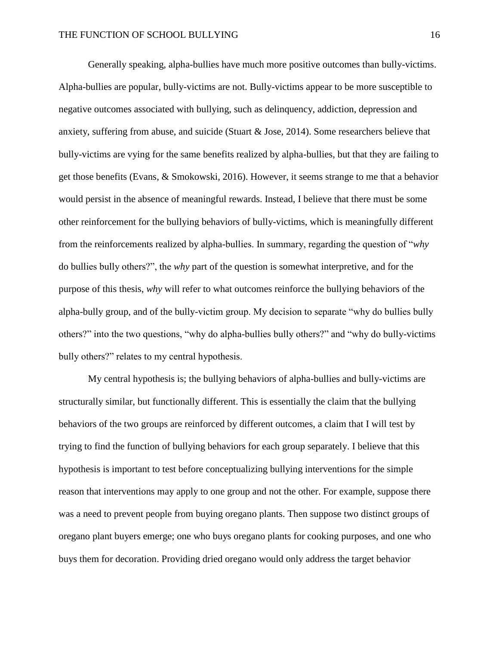Generally speaking, alpha-bullies have much more positive outcomes than bully-victims. Alpha-bullies are popular, bully-victims are not. Bully-victims appear to be more susceptible to negative outcomes associated with bullying, such as delinquency, addiction, depression and anxiety, suffering from abuse, and suicide (Stuart & Jose, 2014). Some researchers believe that bully-victims are vying for the same benefits realized by alpha-bullies, but that they are failing to get those benefits (Evans, & Smokowski, 2016). However, it seems strange to me that a behavior would persist in the absence of meaningful rewards. Instead, I believe that there must be some other reinforcement for the bullying behaviors of bully-victims, which is meaningfully different from the reinforcements realized by alpha-bullies. In summary, regarding the question of "*why* do bullies bully others?", the *why* part of the question is somewhat interpretive, and for the purpose of this thesis, *why* will refer to what outcomes reinforce the bullying behaviors of the alpha-bully group, and of the bully-victim group. My decision to separate "why do bullies bully others?" into the two questions, "why do alpha-bullies bully others?" and "why do bully-victims bully others?" relates to my central hypothesis.

My central hypothesis is; the bullying behaviors of alpha-bullies and bully-victims are structurally similar, but functionally different. This is essentially the claim that the bullying behaviors of the two groups are reinforced by different outcomes, a claim that I will test by trying to find the function of bullying behaviors for each group separately. I believe that this hypothesis is important to test before conceptualizing bullying interventions for the simple reason that interventions may apply to one group and not the other. For example, suppose there was a need to prevent people from buying oregano plants. Then suppose two distinct groups of oregano plant buyers emerge; one who buys oregano plants for cooking purposes, and one who buys them for decoration. Providing dried oregano would only address the target behavior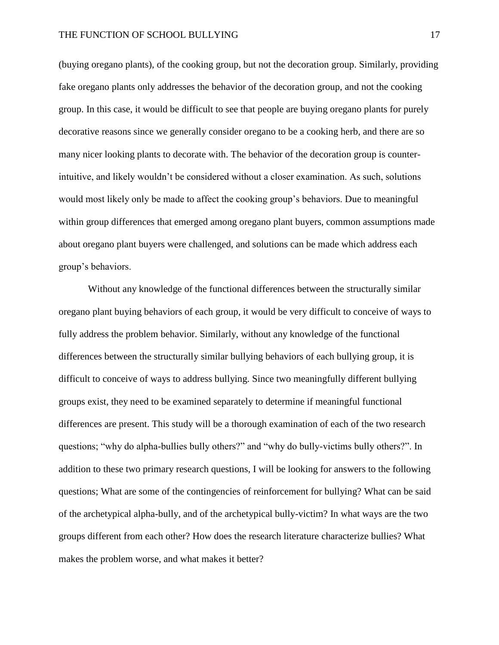(buying oregano plants), of the cooking group, but not the decoration group. Similarly, providing fake oregano plants only addresses the behavior of the decoration group, and not the cooking group. In this case, it would be difficult to see that people are buying oregano plants for purely decorative reasons since we generally consider oregano to be a cooking herb, and there are so many nicer looking plants to decorate with. The behavior of the decoration group is counterintuitive, and likely wouldn't be considered without a closer examination. As such, solutions would most likely only be made to affect the cooking group's behaviors. Due to meaningful within group differences that emerged among oregano plant buyers, common assumptions made about oregano plant buyers were challenged, and solutions can be made which address each group's behaviors.

Without any knowledge of the functional differences between the structurally similar oregano plant buying behaviors of each group, it would be very difficult to conceive of ways to fully address the problem behavior. Similarly, without any knowledge of the functional differences between the structurally similar bullying behaviors of each bullying group, it is difficult to conceive of ways to address bullying. Since two meaningfully different bullying groups exist, they need to be examined separately to determine if meaningful functional differences are present. This study will be a thorough examination of each of the two research questions; "why do alpha-bullies bully others?" and "why do bully-victims bully others?". In addition to these two primary research questions, I will be looking for answers to the following questions; What are some of the contingencies of reinforcement for bullying? What can be said of the archetypical alpha-bully, and of the archetypical bully-victim? In what ways are the two groups different from each other? How does the research literature characterize bullies? What makes the problem worse, and what makes it better?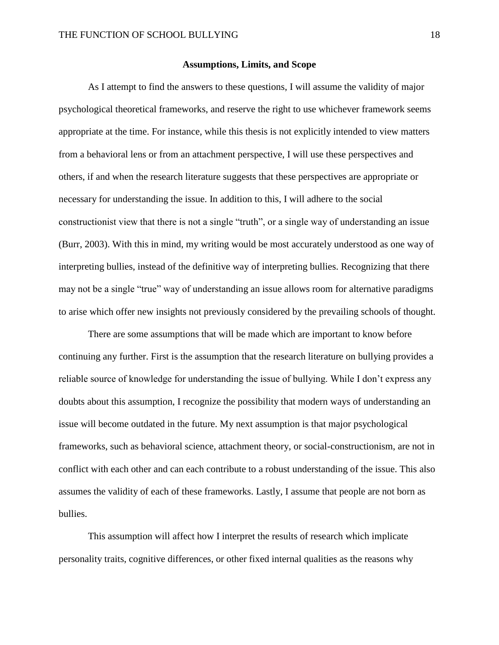# **Assumptions, Limits, and Scope**

As I attempt to find the answers to these questions, I will assume the validity of major psychological theoretical frameworks, and reserve the right to use whichever framework seems appropriate at the time. For instance, while this thesis is not explicitly intended to view matters from a behavioral lens or from an attachment perspective, I will use these perspectives and others, if and when the research literature suggests that these perspectives are appropriate or necessary for understanding the issue. In addition to this, I will adhere to the social constructionist view that there is not a single "truth", or a single way of understanding an issue (Burr, 2003). With this in mind, my writing would be most accurately understood as one way of interpreting bullies, instead of the definitive way of interpreting bullies. Recognizing that there may not be a single "true" way of understanding an issue allows room for alternative paradigms to arise which offer new insights not previously considered by the prevailing schools of thought.

There are some assumptions that will be made which are important to know before continuing any further. First is the assumption that the research literature on bullying provides a reliable source of knowledge for understanding the issue of bullying. While I don't express any doubts about this assumption, I recognize the possibility that modern ways of understanding an issue will become outdated in the future. My next assumption is that major psychological frameworks, such as behavioral science, attachment theory, or social-constructionism, are not in conflict with each other and can each contribute to a robust understanding of the issue. This also assumes the validity of each of these frameworks. Lastly, I assume that people are not born as bullies.

This assumption will affect how I interpret the results of research which implicate personality traits, cognitive differences, or other fixed internal qualities as the reasons why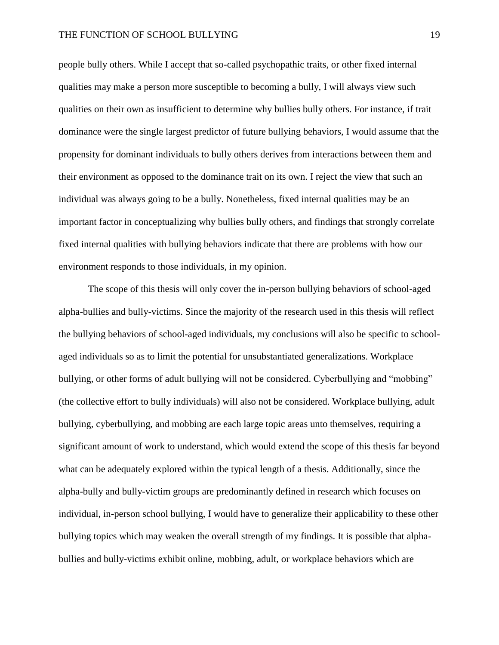people bully others. While I accept that so-called psychopathic traits, or other fixed internal qualities may make a person more susceptible to becoming a bully, I will always view such qualities on their own as insufficient to determine why bullies bully others. For instance, if trait dominance were the single largest predictor of future bullying behaviors, I would assume that the propensity for dominant individuals to bully others derives from interactions between them and their environment as opposed to the dominance trait on its own. I reject the view that such an individual was always going to be a bully. Nonetheless, fixed internal qualities may be an important factor in conceptualizing why bullies bully others, and findings that strongly correlate fixed internal qualities with bullying behaviors indicate that there are problems with how our environment responds to those individuals, in my opinion.

The scope of this thesis will only cover the in-person bullying behaviors of school-aged alpha-bullies and bully-victims. Since the majority of the research used in this thesis will reflect the bullying behaviors of school-aged individuals, my conclusions will also be specific to schoolaged individuals so as to limit the potential for unsubstantiated generalizations. Workplace bullying, or other forms of adult bullying will not be considered. Cyberbullying and "mobbing" (the collective effort to bully individuals) will also not be considered. Workplace bullying, adult bullying, cyberbullying, and mobbing are each large topic areas unto themselves, requiring a significant amount of work to understand, which would extend the scope of this thesis far beyond what can be adequately explored within the typical length of a thesis. Additionally, since the alpha-bully and bully-victim groups are predominantly defined in research which focuses on individual, in-person school bullying, I would have to generalize their applicability to these other bullying topics which may weaken the overall strength of my findings. It is possible that alphabullies and bully-victims exhibit online, mobbing, adult, or workplace behaviors which are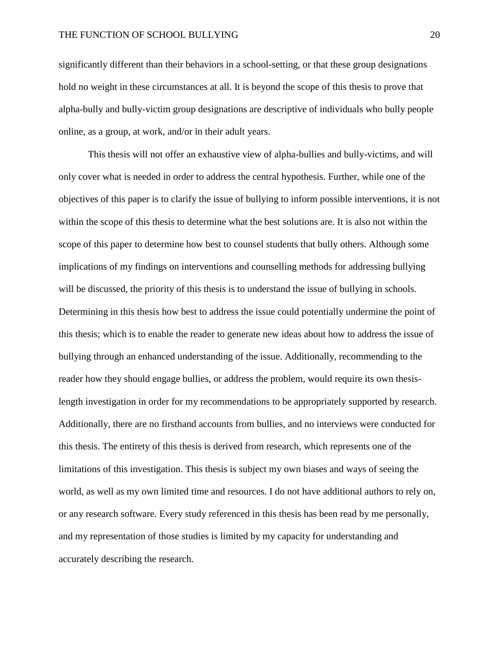significantly different than their behaviors in a school-setting, or that these group designations hold no weight in these circumstances at all. It is beyond the scope of this thesis to prove that alpha-bully and bully-victim group designations are descriptive of individuals who bully people online, as a group, at work, and/or in their adult years.

This thesis will not offer an exhaustive view of alpha-bullies and bully-victims, and will only cover what is needed in order to address the central hypothesis. Further, while one of the objectives of this paper is to clarify the issue of bullying to inform possible interventions, it is not within the scope of this thesis to determine what the best solutions are. It is also not within the scope of this paper to determine how best to counsel students that bully others. Although some implications of my findings on interventions and counselling methods for addressing bullying will be discussed, the priority of this thesis is to understand the issue of bullying in schools. Determining in this thesis how best to address the issue could potentially undermine the point of this thesis; which is to enable the reader to generate new ideas about how to address the issue of bullying through an enhanced understanding of the issue. Additionally, recommending to the reader how they should engage bullies, or address the problem, would require its own thesislength investigation in order for my recommendations to be appropriately supported by research. Additionally, there are no firsthand accounts from bullies, and no interviews were conducted for this thesis. The entirety of this thesis is derived from research, which represents one of the limitations of this investigation. This thesis is subject my own biases and ways of seeing the world, as well as my own limited time and resources. I do not have additional authors to rely on, or any research software. Every study referenced in this thesis has been read by me personally, and my representation of those studies is limited by my capacity for understanding and accurately describing the research.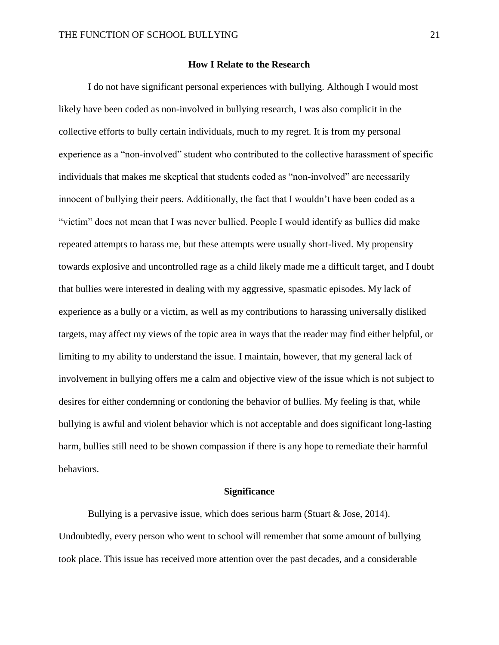# **How I Relate to the Research**

I do not have significant personal experiences with bullying. Although I would most likely have been coded as non-involved in bullying research, I was also complicit in the collective efforts to bully certain individuals, much to my regret. It is from my personal experience as a "non-involved" student who contributed to the collective harassment of specific individuals that makes me skeptical that students coded as "non-involved" are necessarily innocent of bullying their peers. Additionally, the fact that I wouldn't have been coded as a "victim" does not mean that I was never bullied. People I would identify as bullies did make repeated attempts to harass me, but these attempts were usually short-lived. My propensity towards explosive and uncontrolled rage as a child likely made me a difficult target, and I doubt that bullies were interested in dealing with my aggressive, spasmatic episodes. My lack of experience as a bully or a victim, as well as my contributions to harassing universally disliked targets, may affect my views of the topic area in ways that the reader may find either helpful, or limiting to my ability to understand the issue. I maintain, however, that my general lack of involvement in bullying offers me a calm and objective view of the issue which is not subject to desires for either condemning or condoning the behavior of bullies. My feeling is that, while bullying is awful and violent behavior which is not acceptable and does significant long-lasting harm, bullies still need to be shown compassion if there is any hope to remediate their harmful behaviors.

# **Significance**

Bullying is a pervasive issue, which does serious harm (Stuart & Jose, 2014). Undoubtedly, every person who went to school will remember that some amount of bullying took place. This issue has received more attention over the past decades, and a considerable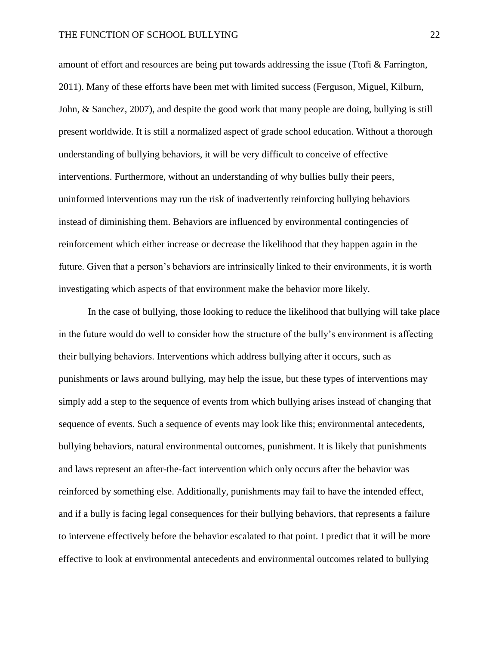amount of effort and resources are being put towards addressing the issue (Ttofi & Farrington, 2011). Many of these efforts have been met with limited success (Ferguson, Miguel, Kilburn, John, & Sanchez, 2007), and despite the good work that many people are doing, bullying is still present worldwide. It is still a normalized aspect of grade school education. Without a thorough understanding of bullying behaviors, it will be very difficult to conceive of effective interventions. Furthermore, without an understanding of why bullies bully their peers, uninformed interventions may run the risk of inadvertently reinforcing bullying behaviors instead of diminishing them. Behaviors are influenced by environmental contingencies of reinforcement which either increase or decrease the likelihood that they happen again in the future. Given that a person's behaviors are intrinsically linked to their environments, it is worth investigating which aspects of that environment make the behavior more likely.

In the case of bullying, those looking to reduce the likelihood that bullying will take place in the future would do well to consider how the structure of the bully's environment is affecting their bullying behaviors. Interventions which address bullying after it occurs, such as punishments or laws around bullying, may help the issue, but these types of interventions may simply add a step to the sequence of events from which bullying arises instead of changing that sequence of events. Such a sequence of events may look like this; environmental antecedents, bullying behaviors, natural environmental outcomes, punishment. It is likely that punishments and laws represent an after-the-fact intervention which only occurs after the behavior was reinforced by something else. Additionally, punishments may fail to have the intended effect, and if a bully is facing legal consequences for their bullying behaviors, that represents a failure to intervene effectively before the behavior escalated to that point. I predict that it will be more effective to look at environmental antecedents and environmental outcomes related to bullying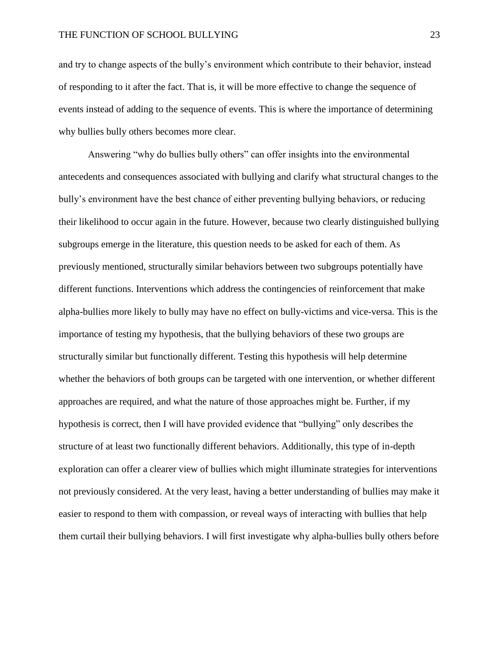and try to change aspects of the bully's environment which contribute to their behavior, instead of responding to it after the fact. That is, it will be more effective to change the sequence of events instead of adding to the sequence of events. This is where the importance of determining why bullies bully others becomes more clear.

Answering "why do bullies bully others" can offer insights into the environmental antecedents and consequences associated with bullying and clarify what structural changes to the bully's environment have the best chance of either preventing bullying behaviors, or reducing their likelihood to occur again in the future. However, because two clearly distinguished bullying subgroups emerge in the literature, this question needs to be asked for each of them. As previously mentioned, structurally similar behaviors between two subgroups potentially have different functions. Interventions which address the contingencies of reinforcement that make alpha-bullies more likely to bully may have no effect on bully-victims and vice-versa. This is the importance of testing my hypothesis, that the bullying behaviors of these two groups are structurally similar but functionally different. Testing this hypothesis will help determine whether the behaviors of both groups can be targeted with one intervention, or whether different approaches are required, and what the nature of those approaches might be. Further, if my hypothesis is correct, then I will have provided evidence that "bullying" only describes the structure of at least two functionally different behaviors. Additionally, this type of in-depth exploration can offer a clearer view of bullies which might illuminate strategies for interventions not previously considered. At the very least, having a better understanding of bullies may make it easier to respond to them with compassion, or reveal ways of interacting with bullies that help them curtail their bullying behaviors. I will first investigate why alpha-bullies bully others before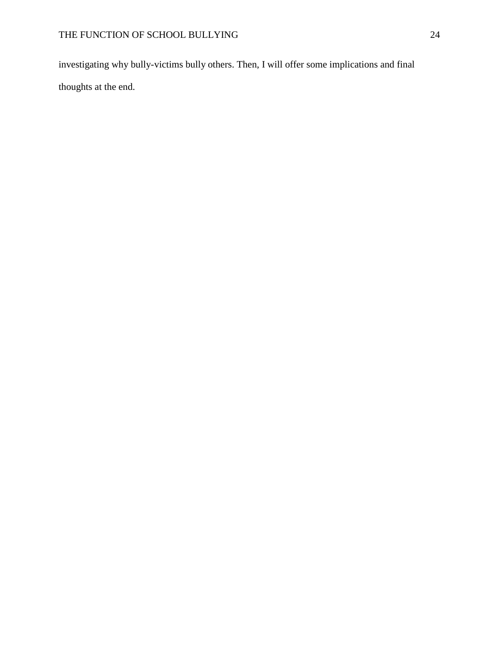investigating why bully-victims bully others. Then, I will offer some implications and final thoughts at the end.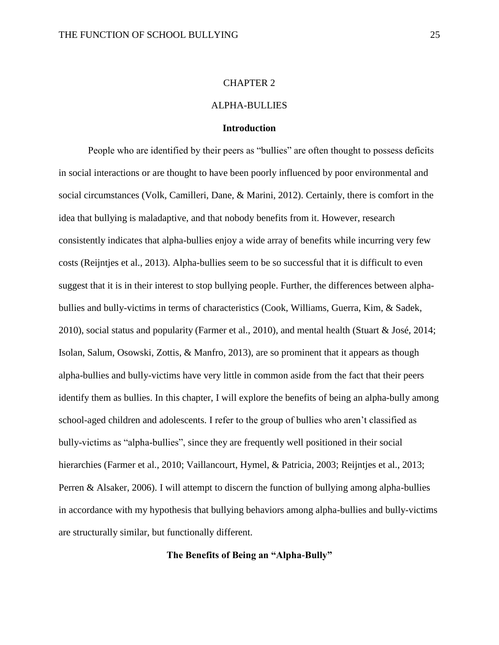#### CHAPTER 2

# ALPHA-BULLIES

#### **Introduction**

People who are identified by their peers as "bullies" are often thought to possess deficits in social interactions or are thought to have been poorly influenced by poor environmental and social circumstances (Volk, Camilleri, Dane, & Marini, 2012). Certainly, there is comfort in the idea that bullying is maladaptive, and that nobody benefits from it. However, research consistently indicates that alpha-bullies enjoy a wide array of benefits while incurring very few costs (Reijntjes et al., 2013). Alpha-bullies seem to be so successful that it is difficult to even suggest that it is in their interest to stop bullying people. Further, the differences between alphabullies and bully-victims in terms of characteristics (Cook, Williams, Guerra, Kim, & Sadek, 2010), social status and popularity (Farmer et al., 2010), and mental health (Stuart & José, 2014; Isolan, Salum, Osowski, Zottis, & Manfro, 2013), are so prominent that it appears as though alpha-bullies and bully-victims have very little in common aside from the fact that their peers identify them as bullies. In this chapter, I will explore the benefits of being an alpha-bully among school-aged children and adolescents. I refer to the group of bullies who aren't classified as bully-victims as "alpha-bullies", since they are frequently well positioned in their social hierarchies (Farmer et al., 2010; Vaillancourt, Hymel, & Patricia, 2003; Reijntjes et al., 2013; Perren & Alsaker, 2006). I will attempt to discern the function of bullying among alpha-bullies in accordance with my hypothesis that bullying behaviors among alpha-bullies and bully-victims are structurally similar, but functionally different.

# **The Benefits of Being an "Alpha-Bully"**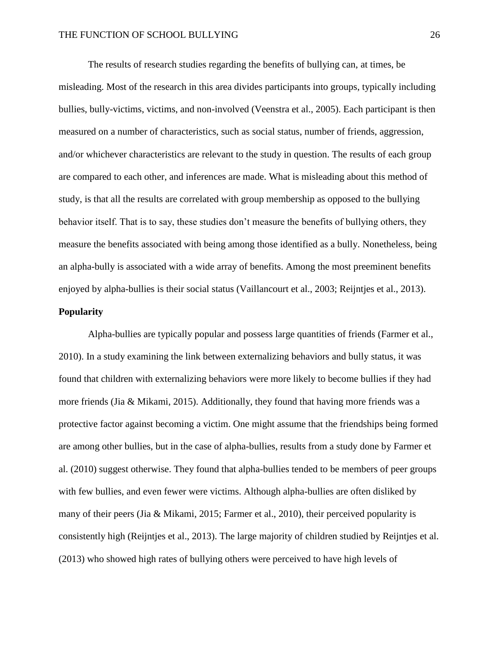The results of research studies regarding the benefits of bullying can, at times, be misleading. Most of the research in this area divides participants into groups, typically including bullies, bully-victims, victims, and non-involved (Veenstra et al., 2005). Each participant is then measured on a number of characteristics, such as social status, number of friends, aggression, and/or whichever characteristics are relevant to the study in question. The results of each group are compared to each other, and inferences are made. What is misleading about this method of study, is that all the results are correlated with group membership as opposed to the bullying behavior itself. That is to say, these studies don't measure the benefits of bullying others, they measure the benefits associated with being among those identified as a bully. Nonetheless, being an alpha-bully is associated with a wide array of benefits. Among the most preeminent benefits enjoyed by alpha-bullies is their social status (Vaillancourt et al., 2003; Reijntjes et al., 2013).

# **Popularity**

Alpha-bullies are typically popular and possess large quantities of friends (Farmer et al., 2010). In a study examining the link between externalizing behaviors and bully status, it was found that children with externalizing behaviors were more likely to become bullies if they had more friends (Jia & Mikami, 2015). Additionally, they found that having more friends was a protective factor against becoming a victim. One might assume that the friendships being formed are among other bullies, but in the case of alpha-bullies, results from a study done by Farmer et al. (2010) suggest otherwise. They found that alpha-bullies tended to be members of peer groups with few bullies, and even fewer were victims. Although alpha-bullies are often disliked by many of their peers (Jia & Mikami, 2015; Farmer et al., 2010), their perceived popularity is consistently high (Reijntjes et al., 2013). The large majority of children studied by Reijntjes et al. (2013) who showed high rates of bullying others were perceived to have high levels of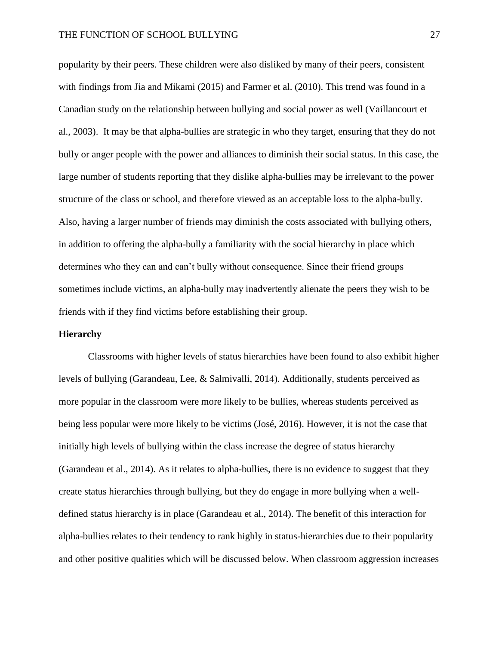popularity by their peers. These children were also disliked by many of their peers, consistent with findings from Jia and Mikami (2015) and Farmer et al. (2010). This trend was found in a Canadian study on the relationship between bullying and social power as well (Vaillancourt et al., 2003). It may be that alpha-bullies are strategic in who they target, ensuring that they do not bully or anger people with the power and alliances to diminish their social status. In this case, the large number of students reporting that they dislike alpha-bullies may be irrelevant to the power structure of the class or school, and therefore viewed as an acceptable loss to the alpha-bully. Also, having a larger number of friends may diminish the costs associated with bullying others, in addition to offering the alpha-bully a familiarity with the social hierarchy in place which determines who they can and can't bully without consequence. Since their friend groups sometimes include victims, an alpha-bully may inadvertently alienate the peers they wish to be friends with if they find victims before establishing their group.

#### **Hierarchy**

Classrooms with higher levels of status hierarchies have been found to also exhibit higher levels of bullying (Garandeau, Lee, & Salmivalli, 2014). Additionally, students perceived as more popular in the classroom were more likely to be bullies, whereas students perceived as being less popular were more likely to be victims (José, 2016). However, it is not the case that initially high levels of bullying within the class increase the degree of status hierarchy (Garandeau et al., 2014). As it relates to alpha-bullies, there is no evidence to suggest that they create status hierarchies through bullying, but they do engage in more bullying when a welldefined status hierarchy is in place (Garandeau et al., 2014). The benefit of this interaction for alpha-bullies relates to their tendency to rank highly in status-hierarchies due to their popularity and other positive qualities which will be discussed below. When classroom aggression increases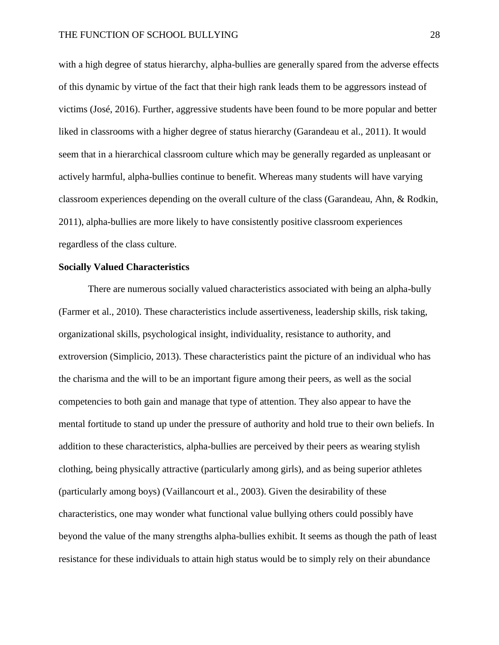with a high degree of status hierarchy, alpha-bullies are generally spared from the adverse effects of this dynamic by virtue of the fact that their high rank leads them to be aggressors instead of victims (José, 2016). Further, aggressive students have been found to be more popular and better liked in classrooms with a higher degree of status hierarchy (Garandeau et al., 2011). It would seem that in a hierarchical classroom culture which may be generally regarded as unpleasant or actively harmful, alpha-bullies continue to benefit. Whereas many students will have varying classroom experiences depending on the overall culture of the class (Garandeau, Ahn, & Rodkin, 2011), alpha-bullies are more likely to have consistently positive classroom experiences regardless of the class culture.

# **Socially Valued Characteristics**

There are numerous socially valued characteristics associated with being an alpha-bully (Farmer et al., 2010). These characteristics include assertiveness, leadership skills, risk taking, organizational skills, psychological insight, individuality, resistance to authority, and extroversion (Simplicio, 2013). These characteristics paint the picture of an individual who has the charisma and the will to be an important figure among their peers, as well as the social competencies to both gain and manage that type of attention. They also appear to have the mental fortitude to stand up under the pressure of authority and hold true to their own beliefs. In addition to these characteristics, alpha-bullies are perceived by their peers as wearing stylish clothing, being physically attractive (particularly among girls), and as being superior athletes (particularly among boys) (Vaillancourt et al., 2003). Given the desirability of these characteristics, one may wonder what functional value bullying others could possibly have beyond the value of the many strengths alpha-bullies exhibit. It seems as though the path of least resistance for these individuals to attain high status would be to simply rely on their abundance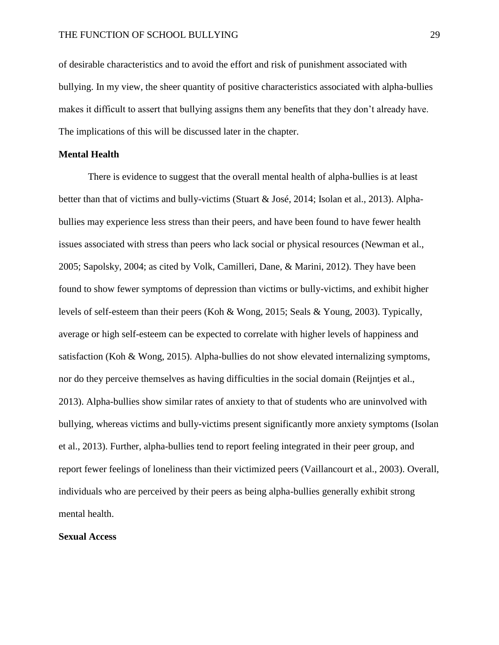of desirable characteristics and to avoid the effort and risk of punishment associated with bullying. In my view, the sheer quantity of positive characteristics associated with alpha-bullies makes it difficult to assert that bullying assigns them any benefits that they don't already have. The implications of this will be discussed later in the chapter.

# **Mental Health**

There is evidence to suggest that the overall mental health of alpha-bullies is at least better than that of victims and bully-victims (Stuart & José, 2014; Isolan et al., 2013). Alphabullies may experience less stress than their peers, and have been found to have fewer health issues associated with stress than peers who lack social or physical resources (Newman et al., 2005; Sapolsky, 2004; as cited by Volk, Camilleri, Dane, & Marini, 2012). They have been found to show fewer symptoms of depression than victims or bully-victims, and exhibit higher levels of self-esteem than their peers (Koh & Wong, 2015; Seals & Young, 2003). Typically, average or high self-esteem can be expected to correlate with higher levels of happiness and satisfaction (Koh & Wong, 2015). Alpha-bullies do not show elevated internalizing symptoms, nor do they perceive themselves as having difficulties in the social domain (Reijntjes et al., 2013). Alpha-bullies show similar rates of anxiety to that of students who are uninvolved with bullying, whereas victims and bully-victims present significantly more anxiety symptoms (Isolan et al., 2013). Further, alpha-bullies tend to report feeling integrated in their peer group, and report fewer feelings of loneliness than their victimized peers (Vaillancourt et al., 2003). Overall, individuals who are perceived by their peers as being alpha-bullies generally exhibit strong mental health.

# **Sexual Access**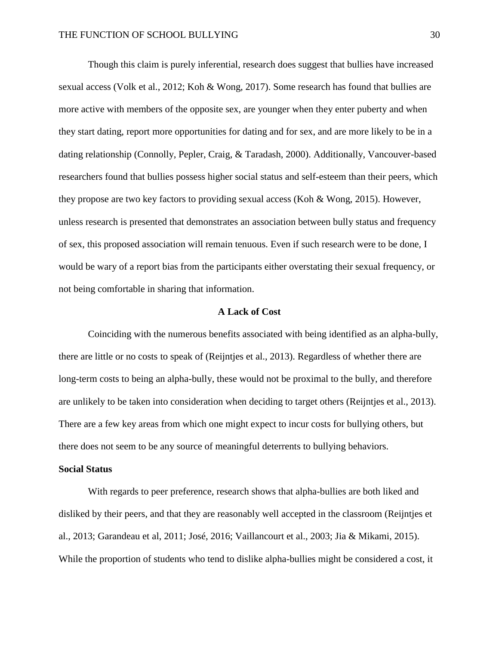Though this claim is purely inferential, research does suggest that bullies have increased sexual access (Volk et al., 2012; Koh & Wong, 2017). Some research has found that bullies are more active with members of the opposite sex, are younger when they enter puberty and when they start dating, report more opportunities for dating and for sex, and are more likely to be in a dating relationship (Connolly, Pepler, Craig, & Taradash, 2000). Additionally, Vancouver-based researchers found that bullies possess higher social status and self-esteem than their peers, which they propose are two key factors to providing sexual access (Koh & Wong, 2015). However, unless research is presented that demonstrates an association between bully status and frequency of sex, this proposed association will remain tenuous. Even if such research were to be done, I would be wary of a report bias from the participants either overstating their sexual frequency, or not being comfortable in sharing that information.

# **A Lack of Cost**

Coinciding with the numerous benefits associated with being identified as an alpha-bully, there are little or no costs to speak of (Reijntjes et al., 2013). Regardless of whether there are long-term costs to being an alpha-bully, these would not be proximal to the bully, and therefore are unlikely to be taken into consideration when deciding to target others (Reijntjes et al., 2013). There are a few key areas from which one might expect to incur costs for bullying others, but there does not seem to be any source of meaningful deterrents to bullying behaviors.

#### **Social Status**

With regards to peer preference, research shows that alpha-bullies are both liked and disliked by their peers, and that they are reasonably well accepted in the classroom (Reijntjes et al., 2013; Garandeau et al, 2011; José, 2016; Vaillancourt et al., 2003; Jia & Mikami, 2015). While the proportion of students who tend to dislike alpha-bullies might be considered a cost, it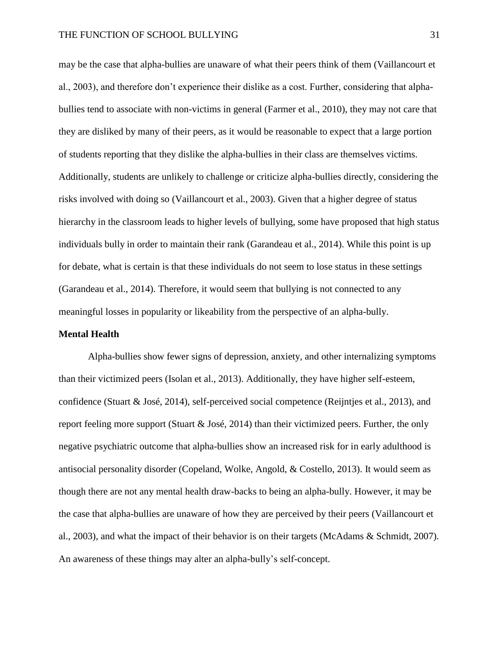may be the case that alpha-bullies are unaware of what their peers think of them (Vaillancourt et al., 2003), and therefore don't experience their dislike as a cost. Further, considering that alphabullies tend to associate with non-victims in general (Farmer et al., 2010), they may not care that they are disliked by many of their peers, as it would be reasonable to expect that a large portion of students reporting that they dislike the alpha-bullies in their class are themselves victims. Additionally, students are unlikely to challenge or criticize alpha-bullies directly, considering the risks involved with doing so (Vaillancourt et al., 2003). Given that a higher degree of status hierarchy in the classroom leads to higher levels of bullying, some have proposed that high status individuals bully in order to maintain their rank (Garandeau et al., 2014). While this point is up for debate, what is certain is that these individuals do not seem to lose status in these settings (Garandeau et al., 2014). Therefore, it would seem that bullying is not connected to any meaningful losses in popularity or likeability from the perspective of an alpha-bully.

#### **Mental Health**

Alpha-bullies show fewer signs of depression, anxiety, and other internalizing symptoms than their victimized peers (Isolan et al., 2013). Additionally, they have higher self-esteem, confidence (Stuart & José, 2014), self-perceived social competence (Reijntjes et al., 2013), and report feeling more support (Stuart & José, 2014) than their victimized peers. Further, the only negative psychiatric outcome that alpha-bullies show an increased risk for in early adulthood is antisocial personality disorder (Copeland, Wolke, Angold, & Costello, 2013). It would seem as though there are not any mental health draw-backs to being an alpha-bully. However, it may be the case that alpha-bullies are unaware of how they are perceived by their peers (Vaillancourt et al., 2003), and what the impact of their behavior is on their targets (McAdams & Schmidt, 2007). An awareness of these things may alter an alpha-bully's self-concept.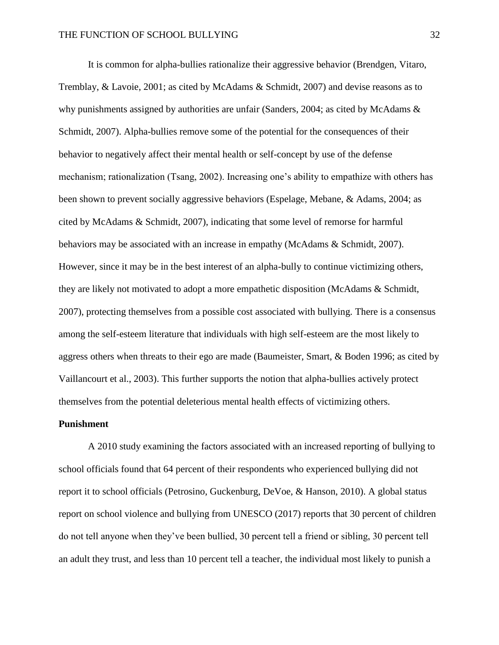It is common for alpha-bullies rationalize their aggressive behavior (Brendgen, Vitaro, Tremblay, & Lavoie, 2001; as cited by McAdams & Schmidt, 2007) and devise reasons as to why punishments assigned by authorities are unfair (Sanders, 2004; as cited by McAdams  $\&$ Schmidt, 2007). Alpha-bullies remove some of the potential for the consequences of their behavior to negatively affect their mental health or self-concept by use of the defense mechanism; rationalization (Tsang, 2002). Increasing one's ability to empathize with others has been shown to prevent socially aggressive behaviors (Espelage, Mebane, & Adams, 2004; as cited by McAdams & Schmidt, 2007), indicating that some level of remorse for harmful behaviors may be associated with an increase in empathy (McAdams & Schmidt, 2007). However, since it may be in the best interest of an alpha-bully to continue victimizing others, they are likely not motivated to adopt a more empathetic disposition (McAdams & Schmidt, 2007), protecting themselves from a possible cost associated with bullying. There is a consensus among the self-esteem literature that individuals with high self-esteem are the most likely to aggress others when threats to their ego are made (Baumeister, Smart, & Boden 1996; as cited by Vaillancourt et al., 2003). This further supports the notion that alpha-bullies actively protect themselves from the potential deleterious mental health effects of victimizing others.

# **Punishment**

A 2010 study examining the factors associated with an increased reporting of bullying to school officials found that 64 percent of their respondents who experienced bullying did not report it to school officials (Petrosino, Guckenburg, DeVoe, & Hanson, 2010). A global status report on school violence and bullying from UNESCO (2017) reports that 30 percent of children do not tell anyone when they've been bullied, 30 percent tell a friend or sibling, 30 percent tell an adult they trust, and less than 10 percent tell a teacher, the individual most likely to punish a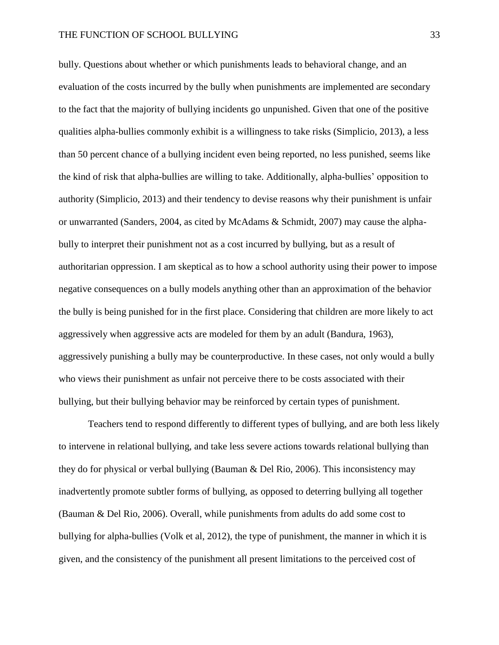bully. Questions about whether or which punishments leads to behavioral change, and an evaluation of the costs incurred by the bully when punishments are implemented are secondary to the fact that the majority of bullying incidents go unpunished. Given that one of the positive qualities alpha-bullies commonly exhibit is a willingness to take risks (Simplicio, 2013), a less than 50 percent chance of a bullying incident even being reported, no less punished, seems like the kind of risk that alpha-bullies are willing to take. Additionally, alpha-bullies' opposition to authority (Simplicio, 2013) and their tendency to devise reasons why their punishment is unfair or unwarranted (Sanders, 2004, as cited by McAdams & Schmidt, 2007) may cause the alphabully to interpret their punishment not as a cost incurred by bullying, but as a result of authoritarian oppression. I am skeptical as to how a school authority using their power to impose negative consequences on a bully models anything other than an approximation of the behavior the bully is being punished for in the first place. Considering that children are more likely to act aggressively when aggressive acts are modeled for them by an adult (Bandura, 1963), aggressively punishing a bully may be counterproductive. In these cases, not only would a bully who views their punishment as unfair not perceive there to be costs associated with their bullying, but their bullying behavior may be reinforced by certain types of punishment.

Teachers tend to respond differently to different types of bullying, and are both less likely to intervene in relational bullying, and take less severe actions towards relational bullying than they do for physical or verbal bullying (Bauman & Del Rio, 2006). This inconsistency may inadvertently promote subtler forms of bullying, as opposed to deterring bullying all together (Bauman & Del Rio, 2006). Overall, while punishments from adults do add some cost to bullying for alpha-bullies (Volk et al, 2012), the type of punishment, the manner in which it is given, and the consistency of the punishment all present limitations to the perceived cost of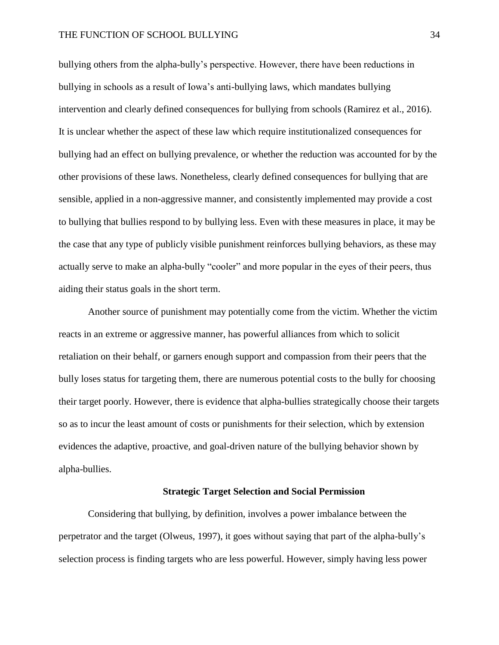bullying others from the alpha-bully's perspective. However, there have been reductions in bullying in schools as a result of Iowa's anti-bullying laws, which mandates bullying intervention and clearly defined consequences for bullying from schools (Ramirez et al., 2016). It is unclear whether the aspect of these law which require institutionalized consequences for bullying had an effect on bullying prevalence, or whether the reduction was accounted for by the other provisions of these laws. Nonetheless, clearly defined consequences for bullying that are sensible, applied in a non-aggressive manner, and consistently implemented may provide a cost to bullying that bullies respond to by bullying less. Even with these measures in place, it may be the case that any type of publicly visible punishment reinforces bullying behaviors, as these may actually serve to make an alpha-bully "cooler" and more popular in the eyes of their peers, thus aiding their status goals in the short term.

Another source of punishment may potentially come from the victim. Whether the victim reacts in an extreme or aggressive manner, has powerful alliances from which to solicit retaliation on their behalf, or garners enough support and compassion from their peers that the bully loses status for targeting them, there are numerous potential costs to the bully for choosing their target poorly. However, there is evidence that alpha-bullies strategically choose their targets so as to incur the least amount of costs or punishments for their selection, which by extension evidences the adaptive, proactive, and goal-driven nature of the bullying behavior shown by alpha-bullies.

# **Strategic Target Selection and Social Permission**

Considering that bullying, by definition, involves a power imbalance between the perpetrator and the target (Olweus, 1997), it goes without saying that part of the alpha-bully's selection process is finding targets who are less powerful. However, simply having less power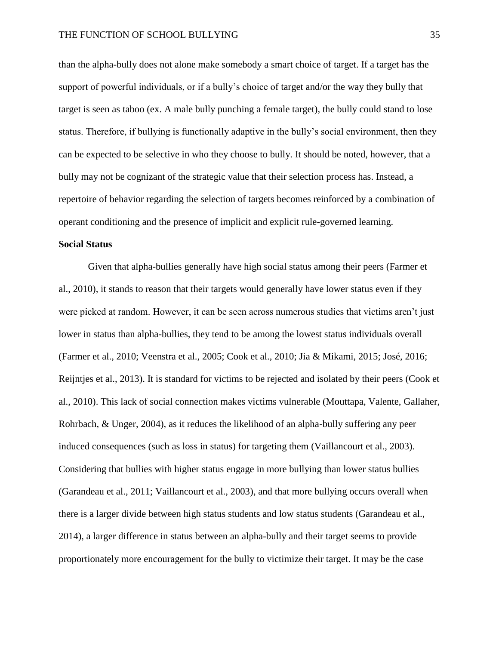than the alpha-bully does not alone make somebody a smart choice of target. If a target has the support of powerful individuals, or if a bully's choice of target and/or the way they bully that target is seen as taboo (ex. A male bully punching a female target), the bully could stand to lose status. Therefore, if bullying is functionally adaptive in the bully's social environment, then they can be expected to be selective in who they choose to bully. It should be noted, however, that a bully may not be cognizant of the strategic value that their selection process has. Instead, a repertoire of behavior regarding the selection of targets becomes reinforced by a combination of operant conditioning and the presence of implicit and explicit rule-governed learning.

# **Social Status**

Given that alpha-bullies generally have high social status among their peers (Farmer et al., 2010), it stands to reason that their targets would generally have lower status even if they were picked at random. However, it can be seen across numerous studies that victims aren't just lower in status than alpha-bullies, they tend to be among the lowest status individuals overall (Farmer et al., 2010; Veenstra et al., 2005; Cook et al., 2010; Jia & Mikami, 2015; José, 2016; Reijntjes et al., 2013). It is standard for victims to be rejected and isolated by their peers (Cook et al., 2010). This lack of social connection makes victims vulnerable (Mouttapa, Valente, Gallaher, Rohrbach, & Unger, 2004), as it reduces the likelihood of an alpha-bully suffering any peer induced consequences (such as loss in status) for targeting them (Vaillancourt et al., 2003). Considering that bullies with higher status engage in more bullying than lower status bullies (Garandeau et al., 2011; Vaillancourt et al., 2003), and that more bullying occurs overall when there is a larger divide between high status students and low status students (Garandeau et al., 2014), a larger difference in status between an alpha-bully and their target seems to provide proportionately more encouragement for the bully to victimize their target. It may be the case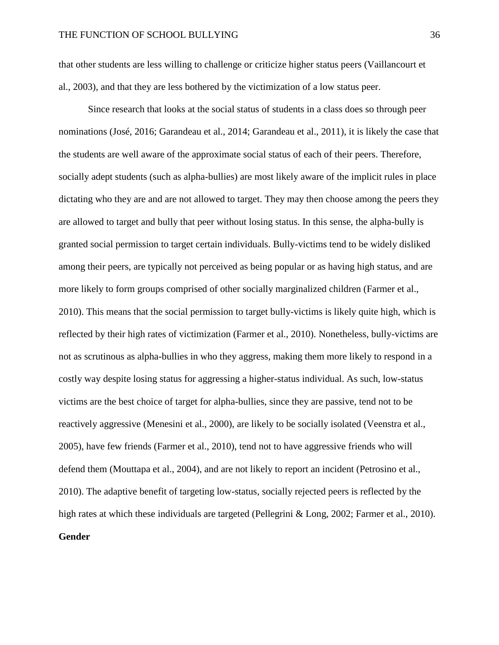that other students are less willing to challenge or criticize higher status peers (Vaillancourt et al., 2003), and that they are less bothered by the victimization of a low status peer.

Since research that looks at the social status of students in a class does so through peer nominations (José, 2016; Garandeau et al., 2014; Garandeau et al., 2011), it is likely the case that the students are well aware of the approximate social status of each of their peers. Therefore, socially adept students (such as alpha-bullies) are most likely aware of the implicit rules in place dictating who they are and are not allowed to target. They may then choose among the peers they are allowed to target and bully that peer without losing status. In this sense, the alpha-bully is granted social permission to target certain individuals. Bully-victims tend to be widely disliked among their peers, are typically not perceived as being popular or as having high status, and are more likely to form groups comprised of other socially marginalized children (Farmer et al., 2010). This means that the social permission to target bully-victims is likely quite high, which is reflected by their high rates of victimization (Farmer et al., 2010). Nonetheless, bully-victims are not as scrutinous as alpha-bullies in who they aggress, making them more likely to respond in a costly way despite losing status for aggressing a higher-status individual. As such, low-status victims are the best choice of target for alpha-bullies, since they are passive, tend not to be reactively aggressive (Menesini et al., 2000), are likely to be socially isolated (Veenstra et al., 2005), have few friends (Farmer et al., 2010), tend not to have aggressive friends who will defend them (Mouttapa et al., 2004), and are not likely to report an incident (Petrosino et al., 2010). The adaptive benefit of targeting low-status, socially rejected peers is reflected by the high rates at which these individuals are targeted (Pellegrini & Long, 2002; Farmer et al., 2010). **Gender**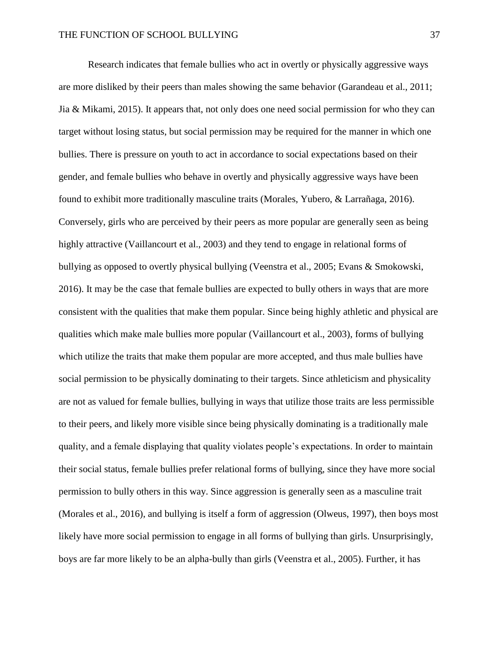Research indicates that female bullies who act in overtly or physically aggressive ways are more disliked by their peers than males showing the same behavior (Garandeau et al., 2011; Jia & Mikami, 2015). It appears that, not only does one need social permission for who they can target without losing status, but social permission may be required for the manner in which one bullies. There is pressure on youth to act in accordance to social expectations based on their gender, and female bullies who behave in overtly and physically aggressive ways have been found to exhibit more traditionally masculine traits (Morales, Yubero, & Larrañaga, 2016). Conversely, girls who are perceived by their peers as more popular are generally seen as being highly attractive (Vaillancourt et al., 2003) and they tend to engage in relational forms of bullying as opposed to overtly physical bullying (Veenstra et al., 2005; Evans & Smokowski, 2016). It may be the case that female bullies are expected to bully others in ways that are more consistent with the qualities that make them popular. Since being highly athletic and physical are qualities which make male bullies more popular (Vaillancourt et al., 2003), forms of bullying which utilize the traits that make them popular are more accepted, and thus male bullies have social permission to be physically dominating to their targets. Since athleticism and physicality are not as valued for female bullies, bullying in ways that utilize those traits are less permissible to their peers, and likely more visible since being physically dominating is a traditionally male quality, and a female displaying that quality violates people's expectations. In order to maintain their social status, female bullies prefer relational forms of bullying, since they have more social permission to bully others in this way. Since aggression is generally seen as a masculine trait (Morales et al., 2016), and bullying is itself a form of aggression (Olweus, 1997), then boys most likely have more social permission to engage in all forms of bullying than girls. Unsurprisingly, boys are far more likely to be an alpha-bully than girls (Veenstra et al., 2005). Further, it has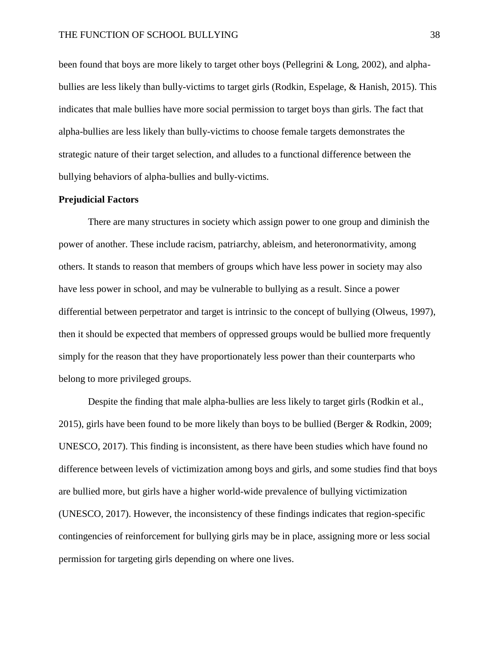been found that boys are more likely to target other boys (Pellegrini & Long, 2002), and alphabullies are less likely than bully-victims to target girls (Rodkin, Espelage, & Hanish, 2015). This indicates that male bullies have more social permission to target boys than girls. The fact that alpha-bullies are less likely than bully-victims to choose female targets demonstrates the strategic nature of their target selection, and alludes to a functional difference between the bullying behaviors of alpha-bullies and bully-victims.

# **Prejudicial Factors**

There are many structures in society which assign power to one group and diminish the power of another. These include racism, patriarchy, ableism, and heteronormativity, among others. It stands to reason that members of groups which have less power in society may also have less power in school, and may be vulnerable to bullying as a result. Since a power differential between perpetrator and target is intrinsic to the concept of bullying (Olweus, 1997), then it should be expected that members of oppressed groups would be bullied more frequently simply for the reason that they have proportionately less power than their counterparts who belong to more privileged groups.

Despite the finding that male alpha-bullies are less likely to target girls (Rodkin et al., 2015), girls have been found to be more likely than boys to be bullied (Berger & Rodkin, 2009; UNESCO, 2017). This finding is inconsistent, as there have been studies which have found no difference between levels of victimization among boys and girls, and some studies find that boys are bullied more, but girls have a higher world-wide prevalence of bullying victimization (UNESCO, 2017). However, the inconsistency of these findings indicates that region-specific contingencies of reinforcement for bullying girls may be in place, assigning more or less social permission for targeting girls depending on where one lives.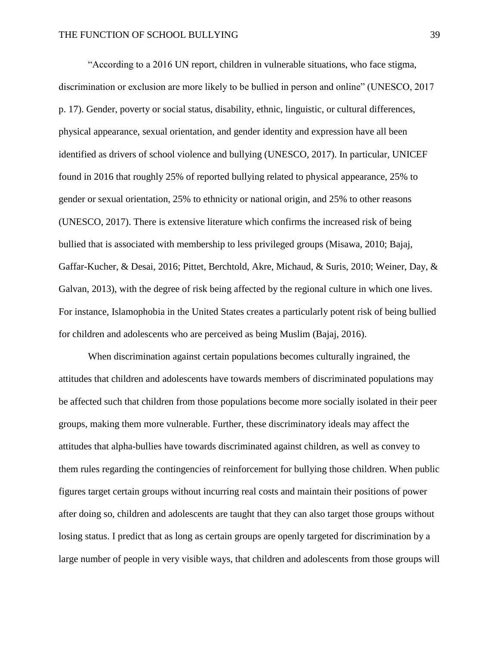"According to a 2016 UN report, children in vulnerable situations, who face stigma, discrimination or exclusion are more likely to be bullied in person and online" (UNESCO, 2017 p. 17). Gender, poverty or social status, disability, ethnic, linguistic, or cultural differences, physical appearance, sexual orientation, and gender identity and expression have all been identified as drivers of school violence and bullying (UNESCO, 2017). In particular, UNICEF found in 2016 that roughly 25% of reported bullying related to physical appearance, 25% to gender or sexual orientation, 25% to ethnicity or national origin, and 25% to other reasons (UNESCO, 2017). There is extensive literature which confirms the increased risk of being bullied that is associated with membership to less privileged groups (Misawa, 2010; Bajaj, Gaffar-Kucher, & Desai, 2016; Pittet, Berchtold, Akre, Michaud, & Suris, 2010; Weiner, Day, & Galvan, 2013), with the degree of risk being affected by the regional culture in which one lives. For instance, Islamophobia in the United States creates a particularly potent risk of being bullied for children and adolescents who are perceived as being Muslim (Bajaj, 2016).

When discrimination against certain populations becomes culturally ingrained, the attitudes that children and adolescents have towards members of discriminated populations may be affected such that children from those populations become more socially isolated in their peer groups, making them more vulnerable. Further, these discriminatory ideals may affect the attitudes that alpha-bullies have towards discriminated against children, as well as convey to them rules regarding the contingencies of reinforcement for bullying those children. When public figures target certain groups without incurring real costs and maintain their positions of power after doing so, children and adolescents are taught that they can also target those groups without losing status. I predict that as long as certain groups are openly targeted for discrimination by a large number of people in very visible ways, that children and adolescents from those groups will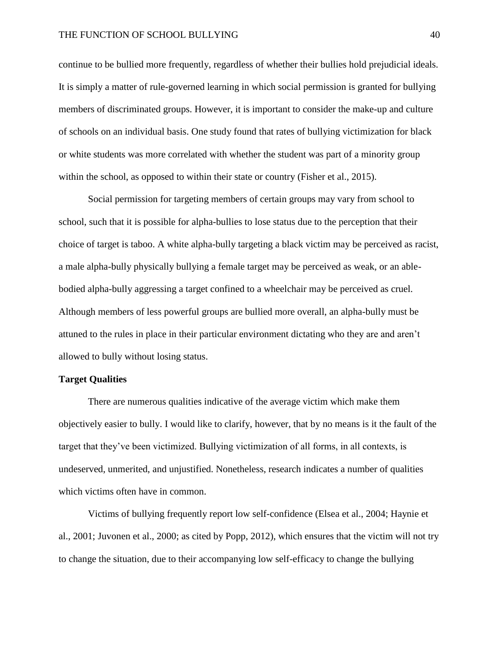continue to be bullied more frequently, regardless of whether their bullies hold prejudicial ideals. It is simply a matter of rule-governed learning in which social permission is granted for bullying members of discriminated groups. However, it is important to consider the make-up and culture of schools on an individual basis. One study found that rates of bullying victimization for black or white students was more correlated with whether the student was part of a minority group within the school, as opposed to within their state or country (Fisher et al., 2015).

Social permission for targeting members of certain groups may vary from school to school, such that it is possible for alpha-bullies to lose status due to the perception that their choice of target is taboo. A white alpha-bully targeting a black victim may be perceived as racist, a male alpha-bully physically bullying a female target may be perceived as weak, or an ablebodied alpha-bully aggressing a target confined to a wheelchair may be perceived as cruel. Although members of less powerful groups are bullied more overall, an alpha-bully must be attuned to the rules in place in their particular environment dictating who they are and aren't allowed to bully without losing status.

# **Target Qualities**

There are numerous qualities indicative of the average victim which make them objectively easier to bully. I would like to clarify, however, that by no means is it the fault of the target that they've been victimized. Bullying victimization of all forms, in all contexts, is undeserved, unmerited, and unjustified. Nonetheless, research indicates a number of qualities which victims often have in common.

Victims of bullying frequently report low self-confidence (Elsea et al., 2004; Haynie et al., 2001; Juvonen et al., 2000; as cited by Popp, 2012), which ensures that the victim will not try to change the situation, due to their accompanying low self-efficacy to change the bullying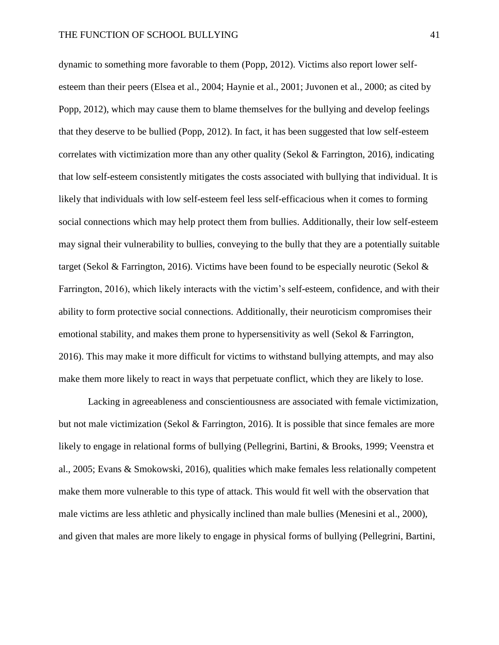dynamic to something more favorable to them (Popp, 2012). Victims also report lower selfesteem than their peers (Elsea et al., 2004; Haynie et al., 2001; Juvonen et al., 2000; as cited by Popp, 2012), which may cause them to blame themselves for the bullying and develop feelings that they deserve to be bullied (Popp, 2012). In fact, it has been suggested that low self-esteem correlates with victimization more than any other quality (Sekol & Farrington, 2016), indicating that low self-esteem consistently mitigates the costs associated with bullying that individual. It is likely that individuals with low self-esteem feel less self-efficacious when it comes to forming social connections which may help protect them from bullies. Additionally, their low self-esteem may signal their vulnerability to bullies, conveying to the bully that they are a potentially suitable target (Sekol & Farrington, 2016). Victims have been found to be especially neurotic (Sekol & Farrington, 2016), which likely interacts with the victim's self-esteem, confidence, and with their ability to form protective social connections. Additionally, their neuroticism compromises their emotional stability, and makes them prone to hypersensitivity as well (Sekol & Farrington, 2016). This may make it more difficult for victims to withstand bullying attempts, and may also make them more likely to react in ways that perpetuate conflict, which they are likely to lose.

Lacking in agreeableness and conscientiousness are associated with female victimization, but not male victimization (Sekol & Farrington, 2016). It is possible that since females are more likely to engage in relational forms of bullying (Pellegrini, Bartini, & Brooks, 1999; Veenstra et al., 2005; Evans & Smokowski, 2016), qualities which make females less relationally competent make them more vulnerable to this type of attack. This would fit well with the observation that male victims are less athletic and physically inclined than male bullies (Menesini et al., 2000), and given that males are more likely to engage in physical forms of bullying (Pellegrini, Bartini,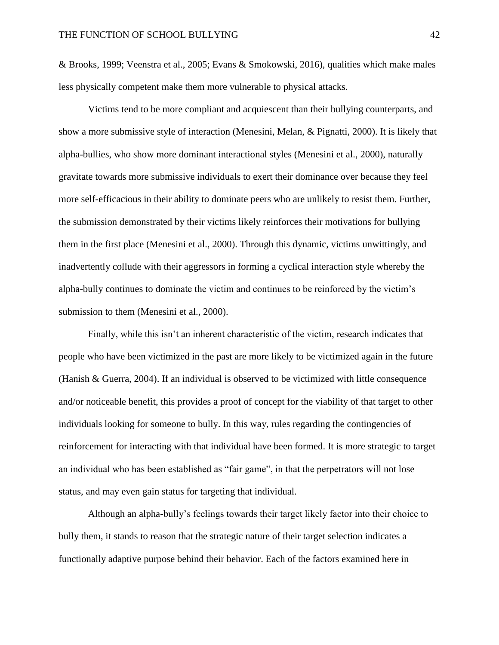& Brooks, 1999; Veenstra et al., 2005; Evans & Smokowski, 2016), qualities which make males less physically competent make them more vulnerable to physical attacks.

Victims tend to be more compliant and acquiescent than their bullying counterparts, and show a more submissive style of interaction (Menesini, Melan, & Pignatti, 2000). It is likely that alpha-bullies, who show more dominant interactional styles (Menesini et al., 2000), naturally gravitate towards more submissive individuals to exert their dominance over because they feel more self-efficacious in their ability to dominate peers who are unlikely to resist them. Further, the submission demonstrated by their victims likely reinforces their motivations for bullying them in the first place (Menesini et al., 2000). Through this dynamic, victims unwittingly, and inadvertently collude with their aggressors in forming a cyclical interaction style whereby the alpha-bully continues to dominate the victim and continues to be reinforced by the victim's submission to them (Menesini et al., 2000).

Finally, while this isn't an inherent characteristic of the victim, research indicates that people who have been victimized in the past are more likely to be victimized again in the future (Hanish & Guerra, 2004). If an individual is observed to be victimized with little consequence and/or noticeable benefit, this provides a proof of concept for the viability of that target to other individuals looking for someone to bully. In this way, rules regarding the contingencies of reinforcement for interacting with that individual have been formed. It is more strategic to target an individual who has been established as "fair game", in that the perpetrators will not lose status, and may even gain status for targeting that individual.

Although an alpha-bully's feelings towards their target likely factor into their choice to bully them, it stands to reason that the strategic nature of their target selection indicates a functionally adaptive purpose behind their behavior. Each of the factors examined here in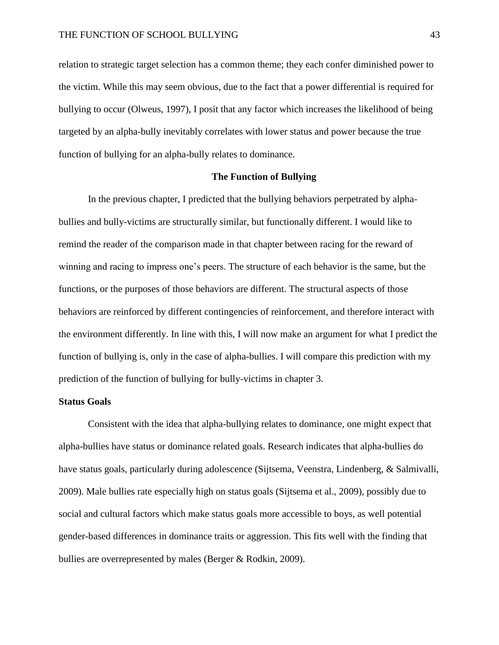relation to strategic target selection has a common theme; they each confer diminished power to the victim. While this may seem obvious, due to the fact that a power differential is required for bullying to occur (Olweus, 1997), I posit that any factor which increases the likelihood of being targeted by an alpha-bully inevitably correlates with lower status and power because the true function of bullying for an alpha-bully relates to dominance.

# **The Function of Bullying**

In the previous chapter, I predicted that the bullying behaviors perpetrated by alphabullies and bully-victims are structurally similar, but functionally different. I would like to remind the reader of the comparison made in that chapter between racing for the reward of winning and racing to impress one's peers. The structure of each behavior is the same, but the functions, or the purposes of those behaviors are different. The structural aspects of those behaviors are reinforced by different contingencies of reinforcement, and therefore interact with the environment differently. In line with this, I will now make an argument for what I predict the function of bullying is, only in the case of alpha-bullies. I will compare this prediction with my prediction of the function of bullying for bully-victims in chapter 3.

# **Status Goals**

Consistent with the idea that alpha-bullying relates to dominance, one might expect that alpha-bullies have status or dominance related goals. Research indicates that alpha-bullies do have status goals, particularly during adolescence (Sijtsema, Veenstra, Lindenberg, & Salmivalli, 2009). Male bullies rate especially high on status goals (Sijtsema et al., 2009), possibly due to social and cultural factors which make status goals more accessible to boys, as well potential gender-based differences in dominance traits or aggression. This fits well with the finding that bullies are overrepresented by males (Berger & Rodkin, 2009).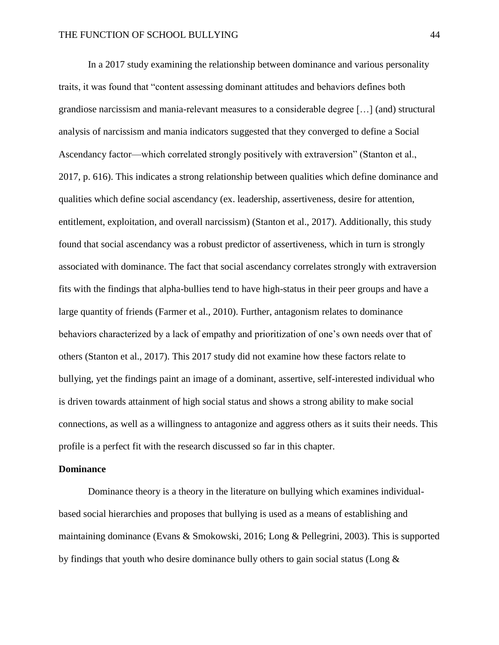In a 2017 study examining the relationship between dominance and various personality traits, it was found that "content assessing dominant attitudes and behaviors defines both grandiose narcissism and mania-relevant measures to a considerable degree […] (and) structural analysis of narcissism and mania indicators suggested that they converged to define a Social Ascendancy factor—which correlated strongly positively with extraversion" (Stanton et al., 2017, p. 616). This indicates a strong relationship between qualities which define dominance and qualities which define social ascendancy (ex. leadership, assertiveness, desire for attention, entitlement, exploitation, and overall narcissism) (Stanton et al., 2017). Additionally, this study found that social ascendancy was a robust predictor of assertiveness, which in turn is strongly associated with dominance. The fact that social ascendancy correlates strongly with extraversion fits with the findings that alpha-bullies tend to have high-status in their peer groups and have a large quantity of friends (Farmer et al., 2010). Further, antagonism relates to dominance behaviors characterized by a lack of empathy and prioritization of one's own needs over that of others (Stanton et al., 2017). This 2017 study did not examine how these factors relate to bullying, yet the findings paint an image of a dominant, assertive, self-interested individual who is driven towards attainment of high social status and shows a strong ability to make social connections, as well as a willingness to antagonize and aggress others as it suits their needs. This profile is a perfect fit with the research discussed so far in this chapter.

#### **Dominance**

Dominance theory is a theory in the literature on bullying which examines individualbased social hierarchies and proposes that bullying is used as a means of establishing and maintaining dominance (Evans & Smokowski, 2016; Long & Pellegrini, 2003). This is supported by findings that youth who desire dominance bully others to gain social status (Long  $\&$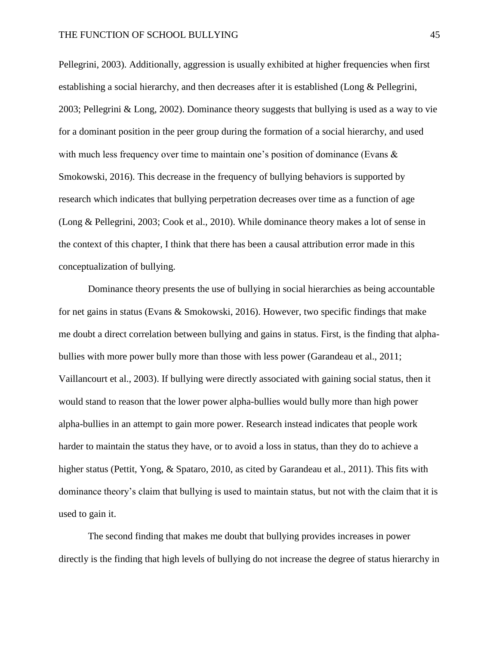Pellegrini, 2003). Additionally, aggression is usually exhibited at higher frequencies when first establishing a social hierarchy, and then decreases after it is established (Long & Pellegrini, 2003; Pellegrini & Long, 2002). Dominance theory suggests that bullying is used as a way to vie for a dominant position in the peer group during the formation of a social hierarchy, and used with much less frequency over time to maintain one's position of dominance (Evans & Smokowski, 2016). This decrease in the frequency of bullying behaviors is supported by research which indicates that bullying perpetration decreases over time as a function of age (Long & Pellegrini, 2003; Cook et al., 2010). While dominance theory makes a lot of sense in the context of this chapter, I think that there has been a causal attribution error made in this conceptualization of bullying.

Dominance theory presents the use of bullying in social hierarchies as being accountable for net gains in status (Evans & Smokowski, 2016). However, two specific findings that make me doubt a direct correlation between bullying and gains in status. First, is the finding that alphabullies with more power bully more than those with less power (Garandeau et al., 2011; Vaillancourt et al., 2003). If bullying were directly associated with gaining social status, then it would stand to reason that the lower power alpha-bullies would bully more than high power alpha-bullies in an attempt to gain more power. Research instead indicates that people work harder to maintain the status they have, or to avoid a loss in status, than they do to achieve a higher status (Pettit, Yong, & Spataro, 2010, as cited by Garandeau et al., 2011). This fits with dominance theory's claim that bullying is used to maintain status, but not with the claim that it is used to gain it.

The second finding that makes me doubt that bullying provides increases in power directly is the finding that high levels of bullying do not increase the degree of status hierarchy in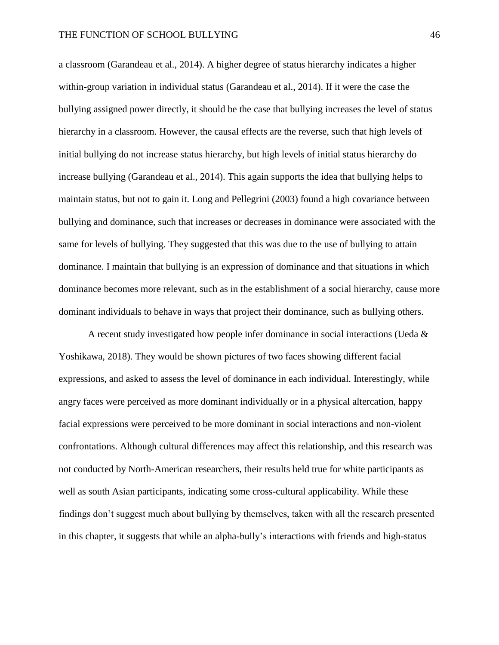a classroom (Garandeau et al., 2014). A higher degree of status hierarchy indicates a higher within-group variation in individual status (Garandeau et al., 2014). If it were the case the bullying assigned power directly, it should be the case that bullying increases the level of status hierarchy in a classroom. However, the causal effects are the reverse, such that high levels of initial bullying do not increase status hierarchy, but high levels of initial status hierarchy do increase bullying (Garandeau et al., 2014). This again supports the idea that bullying helps to maintain status, but not to gain it. Long and Pellegrini (2003) found a high covariance between bullying and dominance, such that increases or decreases in dominance were associated with the same for levels of bullying. They suggested that this was due to the use of bullying to attain dominance. I maintain that bullying is an expression of dominance and that situations in which dominance becomes more relevant, such as in the establishment of a social hierarchy, cause more dominant individuals to behave in ways that project their dominance, such as bullying others.

A recent study investigated how people infer dominance in social interactions (Ueda & Yoshikawa, 2018). They would be shown pictures of two faces showing different facial expressions, and asked to assess the level of dominance in each individual. Interestingly, while angry faces were perceived as more dominant individually or in a physical altercation, happy facial expressions were perceived to be more dominant in social interactions and non-violent confrontations. Although cultural differences may affect this relationship, and this research was not conducted by North-American researchers, their results held true for white participants as well as south Asian participants, indicating some cross-cultural applicability. While these findings don't suggest much about bullying by themselves, taken with all the research presented in this chapter, it suggests that while an alpha-bully's interactions with friends and high-status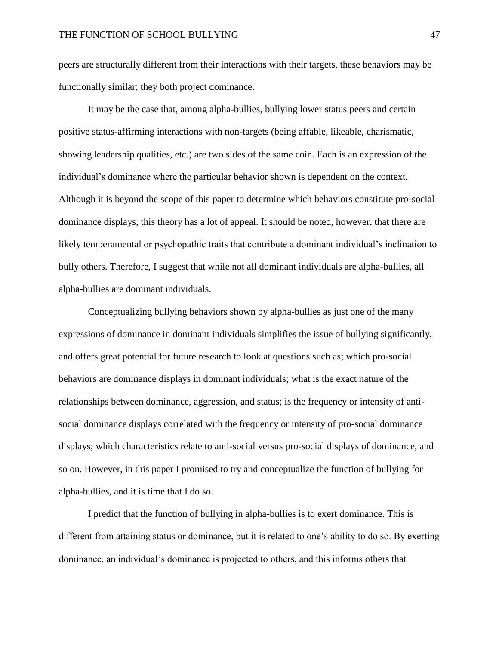peers are structurally different from their interactions with their targets, these behaviors may be functionally similar; they both project dominance.

It may be the case that, among alpha-bullies, bullying lower status peers and certain positive status-affirming interactions with non-targets (being affable, likeable, charismatic, showing leadership qualities, etc.) are two sides of the same coin. Each is an expression of the individual's dominance where the particular behavior shown is dependent on the context. Although it is beyond the scope of this paper to determine which behaviors constitute pro-social dominance displays, this theory has a lot of appeal. It should be noted, however, that there are likely temperamental or psychopathic traits that contribute a dominant individual's inclination to bully others. Therefore, I suggest that while not all dominant individuals are alpha-bullies, all alpha-bullies are dominant individuals.

Conceptualizing bullying behaviors shown by alpha-bullies as just one of the many expressions of dominance in dominant individuals simplifies the issue of bullying significantly, and offers great potential for future research to look at questions such as; which pro-social behaviors are dominance displays in dominant individuals; what is the exact nature of the relationships between dominance, aggression, and status; is the frequency or intensity of antisocial dominance displays correlated with the frequency or intensity of pro-social dominance displays; which characteristics relate to anti-social versus pro-social displays of dominance, and so on. However, in this paper I promised to try and conceptualize the function of bullying for alpha-bullies, and it is time that I do so.

I predict that the function of bullying in alpha-bullies is to exert dominance. This is different from attaining status or dominance, but it is related to one's ability to do so. By exerting dominance, an individual's dominance is projected to others, and this informs others that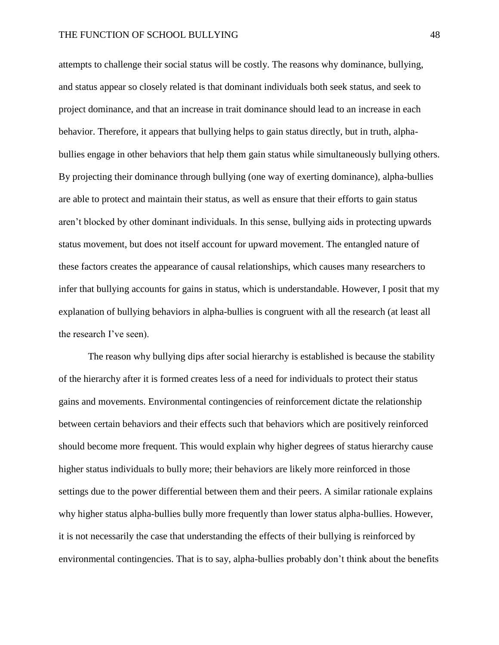attempts to challenge their social status will be costly. The reasons why dominance, bullying, and status appear so closely related is that dominant individuals both seek status, and seek to project dominance, and that an increase in trait dominance should lead to an increase in each behavior. Therefore, it appears that bullying helps to gain status directly, but in truth, alphabullies engage in other behaviors that help them gain status while simultaneously bullying others. By projecting their dominance through bullying (one way of exerting dominance), alpha-bullies are able to protect and maintain their status, as well as ensure that their efforts to gain status aren't blocked by other dominant individuals. In this sense, bullying aids in protecting upwards status movement, but does not itself account for upward movement. The entangled nature of these factors creates the appearance of causal relationships, which causes many researchers to infer that bullying accounts for gains in status, which is understandable. However, I posit that my explanation of bullying behaviors in alpha-bullies is congruent with all the research (at least all the research I've seen).

The reason why bullying dips after social hierarchy is established is because the stability of the hierarchy after it is formed creates less of a need for individuals to protect their status gains and movements. Environmental contingencies of reinforcement dictate the relationship between certain behaviors and their effects such that behaviors which are positively reinforced should become more frequent. This would explain why higher degrees of status hierarchy cause higher status individuals to bully more; their behaviors are likely more reinforced in those settings due to the power differential between them and their peers. A similar rationale explains why higher status alpha-bullies bully more frequently than lower status alpha-bullies. However, it is not necessarily the case that understanding the effects of their bullying is reinforced by environmental contingencies. That is to say, alpha-bullies probably don't think about the benefits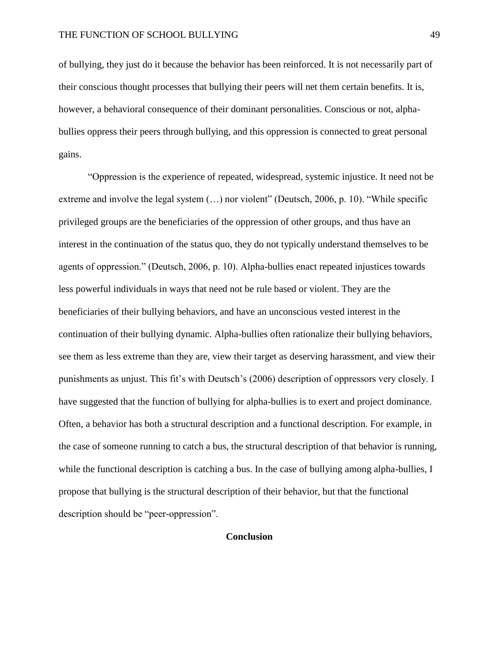of bullying, they just do it because the behavior has been reinforced. It is not necessarily part of their conscious thought processes that bullying their peers will net them certain benefits. It is, however, a behavioral consequence of their dominant personalities. Conscious or not, alphabullies oppress their peers through bullying, and this oppression is connected to great personal gains.

"Oppression is the experience of repeated, widespread, systemic injustice. It need not be extreme and involve the legal system (…) nor violent" (Deutsch, 2006, p. 10). "While specific privileged groups are the beneficiaries of the oppression of other groups, and thus have an interest in the continuation of the status quo, they do not typically understand themselves to be agents of oppression." (Deutsch, 2006, p. 10). Alpha-bullies enact repeated injustices towards less powerful individuals in ways that need not be rule based or violent. They are the beneficiaries of their bullying behaviors, and have an unconscious vested interest in the continuation of their bullying dynamic. Alpha-bullies often rationalize their bullying behaviors, see them as less extreme than they are, view their target as deserving harassment, and view their punishments as unjust. This fit's with Deutsch's (2006) description of oppressors very closely. I have suggested that the function of bullying for alpha-bullies is to exert and project dominance. Often, a behavior has both a structural description and a functional description. For example, in the case of someone running to catch a bus, the structural description of that behavior is running, while the functional description is catching a bus. In the case of bullying among alpha-bullies, I propose that bullying is the structural description of their behavior, but that the functional description should be "peer-oppression".

# **Conclusion**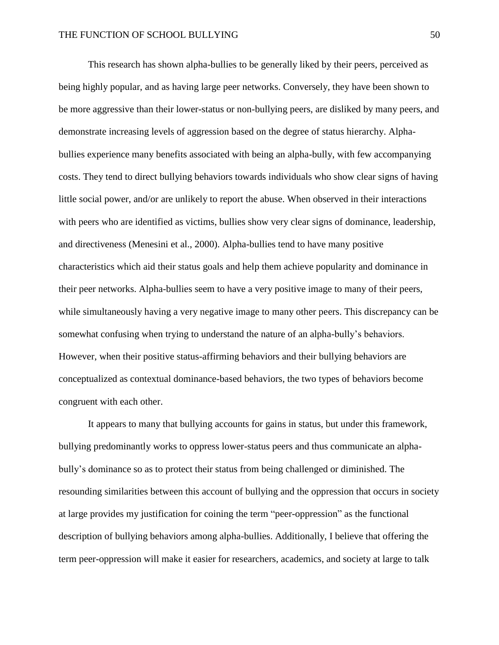This research has shown alpha-bullies to be generally liked by their peers, perceived as being highly popular, and as having large peer networks. Conversely, they have been shown to be more aggressive than their lower-status or non-bullying peers, are disliked by many peers, and demonstrate increasing levels of aggression based on the degree of status hierarchy. Alphabullies experience many benefits associated with being an alpha-bully, with few accompanying costs. They tend to direct bullying behaviors towards individuals who show clear signs of having little social power, and/or are unlikely to report the abuse. When observed in their interactions with peers who are identified as victims, bullies show very clear signs of dominance, leadership, and directiveness (Menesini et al., 2000). Alpha-bullies tend to have many positive characteristics which aid their status goals and help them achieve popularity and dominance in their peer networks. Alpha-bullies seem to have a very positive image to many of their peers, while simultaneously having a very negative image to many other peers. This discrepancy can be somewhat confusing when trying to understand the nature of an alpha-bully's behaviors. However, when their positive status-affirming behaviors and their bullying behaviors are conceptualized as contextual dominance-based behaviors, the two types of behaviors become congruent with each other.

It appears to many that bullying accounts for gains in status, but under this framework, bullying predominantly works to oppress lower-status peers and thus communicate an alphabully's dominance so as to protect their status from being challenged or diminished. The resounding similarities between this account of bullying and the oppression that occurs in society at large provides my justification for coining the term "peer-oppression" as the functional description of bullying behaviors among alpha-bullies. Additionally, I believe that offering the term peer-oppression will make it easier for researchers, academics, and society at large to talk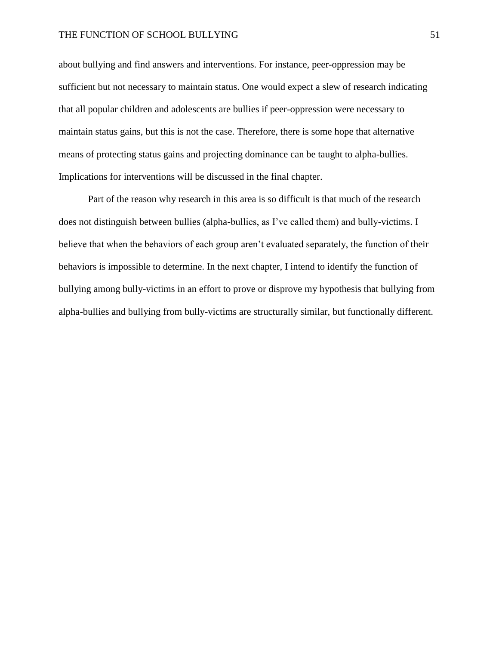about bullying and find answers and interventions. For instance, peer-oppression may be sufficient but not necessary to maintain status. One would expect a slew of research indicating that all popular children and adolescents are bullies if peer-oppression were necessary to maintain status gains, but this is not the case. Therefore, there is some hope that alternative means of protecting status gains and projecting dominance can be taught to alpha-bullies. Implications for interventions will be discussed in the final chapter.

Part of the reason why research in this area is so difficult is that much of the research does not distinguish between bullies (alpha-bullies, as I've called them) and bully-victims. I believe that when the behaviors of each group aren't evaluated separately, the function of their behaviors is impossible to determine. In the next chapter, I intend to identify the function of bullying among bully-victims in an effort to prove or disprove my hypothesis that bullying from alpha-bullies and bullying from bully-victims are structurally similar, but functionally different.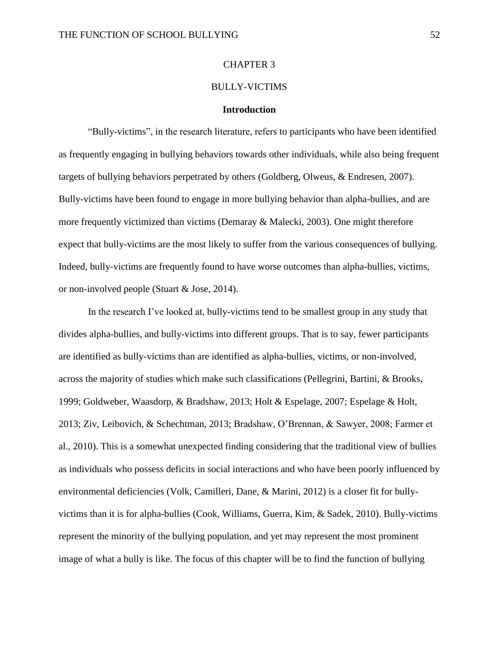## CHAPTER 3

#### BULLY-VICTIMS

## **Introduction**

"Bully-victims", in the research literature, refers to participants who have been identified as frequently engaging in bullying behaviors towards other individuals, while also being frequent targets of bullying behaviors perpetrated by others (Goldberg, Olweus, & Endresen, 2007). Bully-victims have been found to engage in more bullying behavior than alpha-bullies, and are more frequently victimized than victims (Demaray & Malecki, 2003). One might therefore expect that bully-victims are the most likely to suffer from the various consequences of bullying. Indeed, bully-victims are frequently found to have worse outcomes than alpha-bullies, victims, or non-involved people (Stuart & Jose, 2014).

In the research I've looked at, bully-victims tend to be smallest group in any study that divides alpha-bullies, and bully-victims into different groups. That is to say, fewer participants are identified as bully-victims than are identified as alpha-bullies, victims, or non-involved, across the majority of studies which make such classifications (Pellegrini, Bartini, & Brooks, 1999; Goldweber, Waasdorp, & Bradshaw, 2013; Holt & Espelage, 2007; Espelage & Holt, 2013; Ziv, Leibovich, & Schechtman, 2013; Bradshaw, O'Brennan, & Sawyer, 2008; Farmer et al., 2010). This is a somewhat unexpected finding considering that the traditional view of bullies as individuals who possess deficits in social interactions and who have been poorly influenced by environmental deficiencies (Volk, Camilleri, Dane, & Marini, 2012) is a closer fit for bullyvictims than it is for alpha-bullies (Cook, Williams, Guerra, Kim, & Sadek, 2010). Bully-victims represent the minority of the bullying population, and yet may represent the most prominent image of what a bully is like. The focus of this chapter will be to find the function of bullying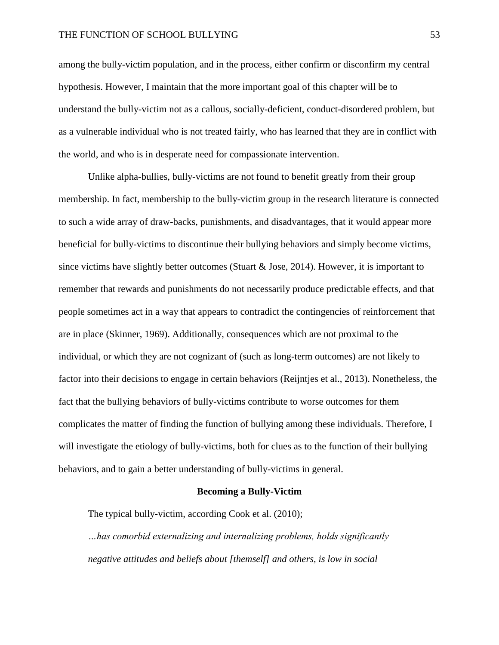### THE FUNCTION OF SCHOOL BULLYING 53

among the bully-victim population, and in the process, either confirm or disconfirm my central hypothesis. However, I maintain that the more important goal of this chapter will be to understand the bully-victim not as a callous, socially-deficient, conduct-disordered problem, but as a vulnerable individual who is not treated fairly, who has learned that they are in conflict with the world, and who is in desperate need for compassionate intervention.

Unlike alpha-bullies, bully-victims are not found to benefit greatly from their group membership. In fact, membership to the bully-victim group in the research literature is connected to such a wide array of draw-backs, punishments, and disadvantages, that it would appear more beneficial for bully-victims to discontinue their bullying behaviors and simply become victims, since victims have slightly better outcomes (Stuart & Jose, 2014). However, it is important to remember that rewards and punishments do not necessarily produce predictable effects, and that people sometimes act in a way that appears to contradict the contingencies of reinforcement that are in place (Skinner, 1969). Additionally, consequences which are not proximal to the individual, or which they are not cognizant of (such as long-term outcomes) are not likely to factor into their decisions to engage in certain behaviors (Reijntjes et al., 2013). Nonetheless, the fact that the bullying behaviors of bully-victims contribute to worse outcomes for them complicates the matter of finding the function of bullying among these individuals. Therefore, I will investigate the etiology of bully-victims, both for clues as to the function of their bullying behaviors, and to gain a better understanding of bully-victims in general.

# **Becoming a Bully-Victim**

The typical bully-victim, according Cook et al. (2010);

*…has comorbid externalizing and internalizing problems, holds significantly negative attitudes and beliefs about [themself] and others, is low in social*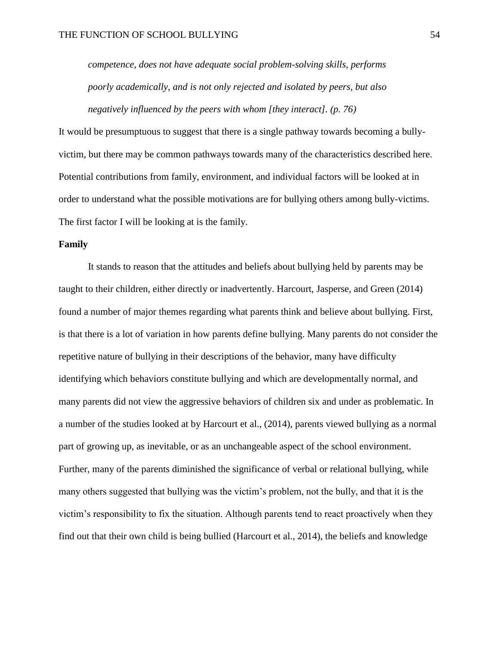*competence, does not have adequate social problem-solving skills, performs poorly academically, and is not only rejected and isolated by peers, but also negatively influenced by the peers with whom [they interact]. (p. 76)*

It would be presumptuous to suggest that there is a single pathway towards becoming a bullyvictim, but there may be common pathways towards many of the characteristics described here. Potential contributions from family, environment, and individual factors will be looked at in order to understand what the possible motivations are for bullying others among bully-victims. The first factor I will be looking at is the family.

# **Family**

It stands to reason that the attitudes and beliefs about bullying held by parents may be taught to their children, either directly or inadvertently. Harcourt, Jasperse, and Green (2014) found a number of major themes regarding what parents think and believe about bullying. First, is that there is a lot of variation in how parents define bullying. Many parents do not consider the repetitive nature of bullying in their descriptions of the behavior, many have difficulty identifying which behaviors constitute bullying and which are developmentally normal, and many parents did not view the aggressive behaviors of children six and under as problematic. In a number of the studies looked at by Harcourt et al., (2014), parents viewed bullying as a normal part of growing up, as inevitable, or as an unchangeable aspect of the school environment. Further, many of the parents diminished the significance of verbal or relational bullying, while many others suggested that bullying was the victim's problem, not the bully, and that it is the victim's responsibility to fix the situation. Although parents tend to react proactively when they find out that their own child is being bullied (Harcourt et al., 2014), the beliefs and knowledge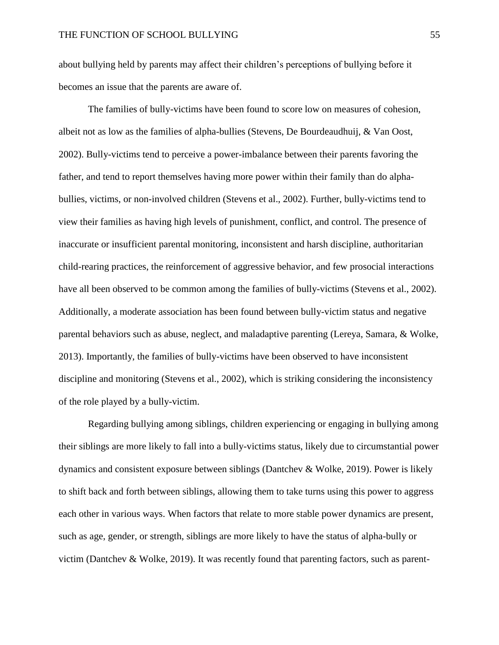about bullying held by parents may affect their children's perceptions of bullying before it becomes an issue that the parents are aware of.

The families of bully-victims have been found to score low on measures of cohesion, albeit not as low as the families of alpha-bullies (Stevens, De Bourdeaudhuij, & Van Oost, 2002). Bully-victims tend to perceive a power-imbalance between their parents favoring the father, and tend to report themselves having more power within their family than do alphabullies, victims, or non-involved children (Stevens et al., 2002). Further, bully-victims tend to view their families as having high levels of punishment, conflict, and control. The presence of inaccurate or insufficient parental monitoring, inconsistent and harsh discipline, authoritarian child-rearing practices, the reinforcement of aggressive behavior, and few prosocial interactions have all been observed to be common among the families of bully-victims (Stevens et al., 2002). Additionally, a moderate association has been found between bully-victim status and negative parental behaviors such as abuse, neglect, and maladaptive parenting (Lereya, Samara, & Wolke, 2013). Importantly, the families of bully-victims have been observed to have inconsistent discipline and monitoring (Stevens et al., 2002), which is striking considering the inconsistency of the role played by a bully-victim.

Regarding bullying among siblings, children experiencing or engaging in bullying among their siblings are more likely to fall into a bully-victims status, likely due to circumstantial power dynamics and consistent exposure between siblings (Dantchev & Wolke, 2019). Power is likely to shift back and forth between siblings, allowing them to take turns using this power to aggress each other in various ways. When factors that relate to more stable power dynamics are present, such as age, gender, or strength, siblings are more likely to have the status of alpha-bully or victim (Dantchev & Wolke, 2019). It was recently found that parenting factors, such as parent-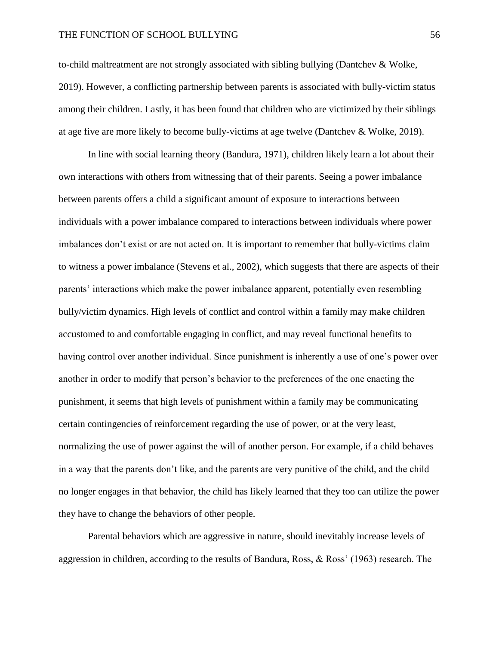### THE FUNCTION OF SCHOOL BULLYING 56

to-child maltreatment are not strongly associated with sibling bullying (Dantchev & Wolke, 2019). However, a conflicting partnership between parents is associated with bully-victim status among their children. Lastly, it has been found that children who are victimized by their siblings at age five are more likely to become bully-victims at age twelve (Dantchev & Wolke, 2019).

In line with social learning theory (Bandura, 1971), children likely learn a lot about their own interactions with others from witnessing that of their parents. Seeing a power imbalance between parents offers a child a significant amount of exposure to interactions between individuals with a power imbalance compared to interactions between individuals where power imbalances don't exist or are not acted on. It is important to remember that bully-victims claim to witness a power imbalance (Stevens et al., 2002), which suggests that there are aspects of their parents' interactions which make the power imbalance apparent, potentially even resembling bully/victim dynamics. High levels of conflict and control within a family may make children accustomed to and comfortable engaging in conflict, and may reveal functional benefits to having control over another individual. Since punishment is inherently a use of one's power over another in order to modify that person's behavior to the preferences of the one enacting the punishment, it seems that high levels of punishment within a family may be communicating certain contingencies of reinforcement regarding the use of power, or at the very least, normalizing the use of power against the will of another person. For example, if a child behaves in a way that the parents don't like, and the parents are very punitive of the child, and the child no longer engages in that behavior, the child has likely learned that they too can utilize the power they have to change the behaviors of other people.

Parental behaviors which are aggressive in nature, should inevitably increase levels of aggression in children, according to the results of Bandura, Ross, & Ross' (1963) research. The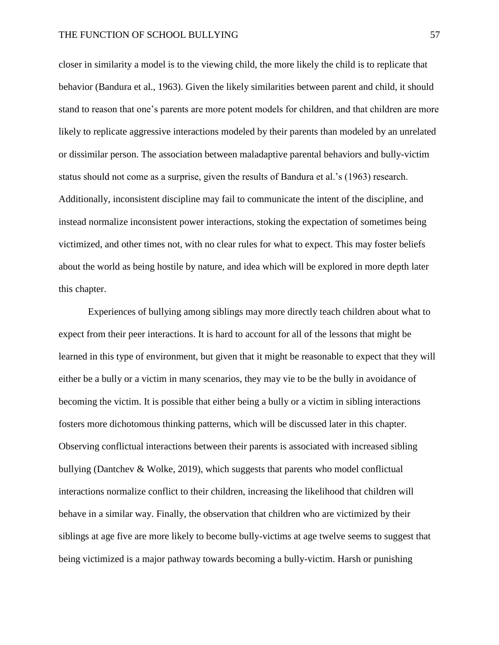closer in similarity a model is to the viewing child, the more likely the child is to replicate that behavior (Bandura et al., 1963). Given the likely similarities between parent and child, it should stand to reason that one's parents are more potent models for children, and that children are more likely to replicate aggressive interactions modeled by their parents than modeled by an unrelated or dissimilar person. The association between maladaptive parental behaviors and bully-victim status should not come as a surprise, given the results of Bandura et al.'s (1963) research. Additionally, inconsistent discipline may fail to communicate the intent of the discipline, and instead normalize inconsistent power interactions, stoking the expectation of sometimes being victimized, and other times not, with no clear rules for what to expect. This may foster beliefs about the world as being hostile by nature, and idea which will be explored in more depth later this chapter.

Experiences of bullying among siblings may more directly teach children about what to expect from their peer interactions. It is hard to account for all of the lessons that might be learned in this type of environment, but given that it might be reasonable to expect that they will either be a bully or a victim in many scenarios, they may vie to be the bully in avoidance of becoming the victim. It is possible that either being a bully or a victim in sibling interactions fosters more dichotomous thinking patterns, which will be discussed later in this chapter. Observing conflictual interactions between their parents is associated with increased sibling bullying (Dantchev & Wolke, 2019), which suggests that parents who model conflictual interactions normalize conflict to their children, increasing the likelihood that children will behave in a similar way. Finally, the observation that children who are victimized by their siblings at age five are more likely to become bully-victims at age twelve seems to suggest that being victimized is a major pathway towards becoming a bully-victim. Harsh or punishing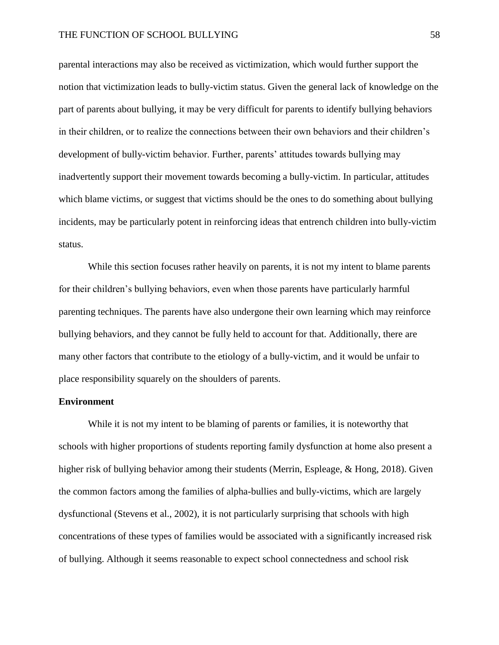parental interactions may also be received as victimization, which would further support the notion that victimization leads to bully-victim status. Given the general lack of knowledge on the part of parents about bullying, it may be very difficult for parents to identify bullying behaviors in their children, or to realize the connections between their own behaviors and their children's development of bully-victim behavior. Further, parents' attitudes towards bullying may inadvertently support their movement towards becoming a bully-victim. In particular, attitudes which blame victims, or suggest that victims should be the ones to do something about bullying incidents, may be particularly potent in reinforcing ideas that entrench children into bully-victim status.

While this section focuses rather heavily on parents, it is not my intent to blame parents for their children's bullying behaviors, even when those parents have particularly harmful parenting techniques. The parents have also undergone their own learning which may reinforce bullying behaviors, and they cannot be fully held to account for that. Additionally, there are many other factors that contribute to the etiology of a bully-victim, and it would be unfair to place responsibility squarely on the shoulders of parents.

# **Environment**

While it is not my intent to be blaming of parents or families, it is noteworthy that schools with higher proportions of students reporting family dysfunction at home also present a higher risk of bullying behavior among their students (Merrin, Espleage, & Hong, 2018). Given the common factors among the families of alpha-bullies and bully-victims, which are largely dysfunctional (Stevens et al., 2002), it is not particularly surprising that schools with high concentrations of these types of families would be associated with a significantly increased risk of bullying. Although it seems reasonable to expect school connectedness and school risk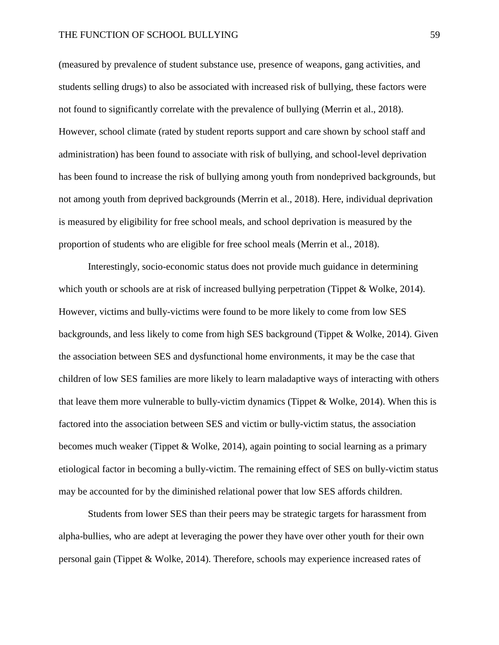(measured by prevalence of student substance use, presence of weapons, gang activities, and students selling drugs) to also be associated with increased risk of bullying, these factors were not found to significantly correlate with the prevalence of bullying (Merrin et al., 2018). However, school climate (rated by student reports support and care shown by school staff and administration) has been found to associate with risk of bullying, and school-level deprivation has been found to increase the risk of bullying among youth from nondeprived backgrounds, but not among youth from deprived backgrounds (Merrin et al., 2018). Here, individual deprivation is measured by eligibility for free school meals, and school deprivation is measured by the proportion of students who are eligible for free school meals (Merrin et al., 2018).

Interestingly, socio-economic status does not provide much guidance in determining which youth or schools are at risk of increased bullying perpetration (Tippet & Wolke, 2014). However, victims and bully-victims were found to be more likely to come from low SES backgrounds, and less likely to come from high SES background (Tippet & Wolke, 2014). Given the association between SES and dysfunctional home environments, it may be the case that children of low SES families are more likely to learn maladaptive ways of interacting with others that leave them more vulnerable to bully-victim dynamics (Tippet & Wolke, 2014). When this is factored into the association between SES and victim or bully-victim status, the association becomes much weaker (Tippet & Wolke, 2014), again pointing to social learning as a primary etiological factor in becoming a bully-victim. The remaining effect of SES on bully-victim status may be accounted for by the diminished relational power that low SES affords children.

Students from lower SES than their peers may be strategic targets for harassment from alpha-bullies, who are adept at leveraging the power they have over other youth for their own personal gain (Tippet & Wolke, 2014). Therefore, schools may experience increased rates of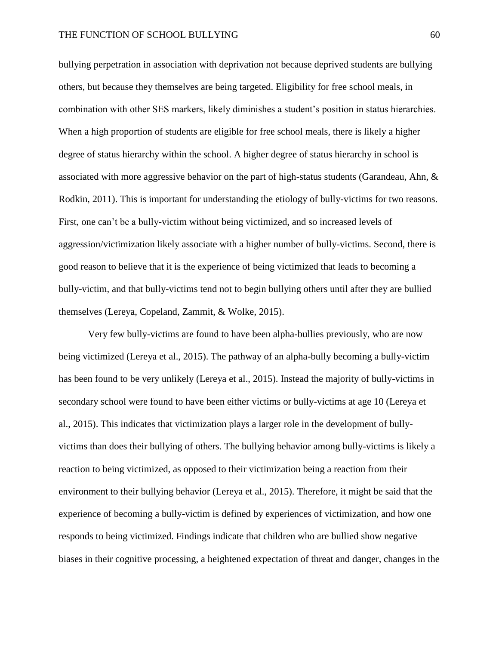bullying perpetration in association with deprivation not because deprived students are bullying others, but because they themselves are being targeted. Eligibility for free school meals, in combination with other SES markers, likely diminishes a student's position in status hierarchies. When a high proportion of students are eligible for free school meals, there is likely a higher degree of status hierarchy within the school. A higher degree of status hierarchy in school is associated with more aggressive behavior on the part of high-status students (Garandeau, Ahn, & Rodkin, 2011). This is important for understanding the etiology of bully-victims for two reasons. First, one can't be a bully-victim without being victimized, and so increased levels of aggression/victimization likely associate with a higher number of bully-victims. Second, there is good reason to believe that it is the experience of being victimized that leads to becoming a bully-victim, and that bully-victims tend not to begin bullying others until after they are bullied themselves (Lereya, Copeland, Zammit, & Wolke, 2015).

Very few bully-victims are found to have been alpha-bullies previously, who are now being victimized (Lereya et al., 2015). The pathway of an alpha-bully becoming a bully-victim has been found to be very unlikely (Lereya et al., 2015). Instead the majority of bully-victims in secondary school were found to have been either victims or bully-victims at age 10 (Lereya et al., 2015). This indicates that victimization plays a larger role in the development of bullyvictims than does their bullying of others. The bullying behavior among bully-victims is likely a reaction to being victimized, as opposed to their victimization being a reaction from their environment to their bullying behavior (Lereya et al., 2015). Therefore, it might be said that the experience of becoming a bully-victim is defined by experiences of victimization, and how one responds to being victimized. Findings indicate that children who are bullied show negative biases in their cognitive processing, a heightened expectation of threat and danger, changes in the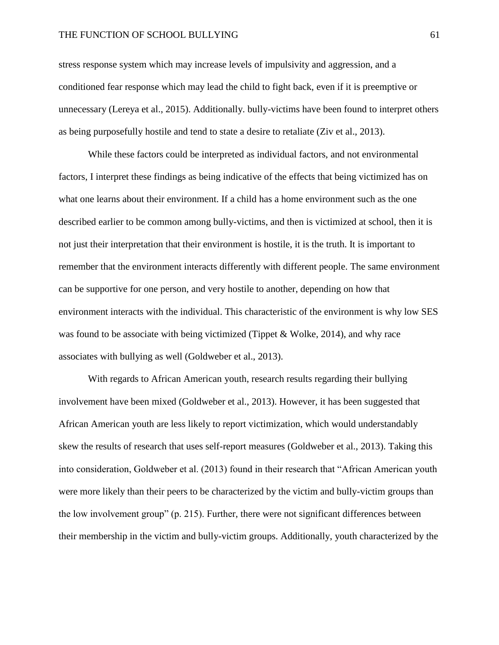### THE FUNCTION OF SCHOOL BULLYING 61

stress response system which may increase levels of impulsivity and aggression, and a conditioned fear response which may lead the child to fight back, even if it is preemptive or unnecessary (Lereya et al., 2015). Additionally. bully-victims have been found to interpret others as being purposefully hostile and tend to state a desire to retaliate (Ziv et al., 2013).

While these factors could be interpreted as individual factors, and not environmental factors, I interpret these findings as being indicative of the effects that being victimized has on what one learns about their environment. If a child has a home environment such as the one described earlier to be common among bully-victims, and then is victimized at school, then it is not just their interpretation that their environment is hostile, it is the truth. It is important to remember that the environment interacts differently with different people. The same environment can be supportive for one person, and very hostile to another, depending on how that environment interacts with the individual. This characteristic of the environment is why low SES was found to be associate with being victimized (Tippet & Wolke, 2014), and why race associates with bullying as well (Goldweber et al., 2013).

With regards to African American youth, research results regarding their bullying involvement have been mixed (Goldweber et al., 2013). However, it has been suggested that African American youth are less likely to report victimization, which would understandably skew the results of research that uses self-report measures (Goldweber et al., 2013). Taking this into consideration, Goldweber et al. (2013) found in their research that "African American youth were more likely than their peers to be characterized by the victim and bully-victim groups than the low involvement group" (p. 215). Further, there were not significant differences between their membership in the victim and bully-victim groups. Additionally, youth characterized by the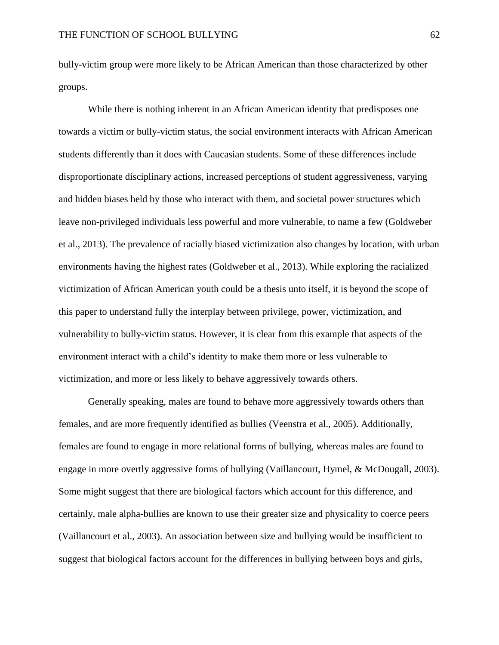bully-victim group were more likely to be African American than those characterized by other groups.

While there is nothing inherent in an African American identity that predisposes one towards a victim or bully-victim status, the social environment interacts with African American students differently than it does with Caucasian students. Some of these differences include disproportionate disciplinary actions, increased perceptions of student aggressiveness, varying and hidden biases held by those who interact with them, and societal power structures which leave non-privileged individuals less powerful and more vulnerable, to name a few (Goldweber et al., 2013). The prevalence of racially biased victimization also changes by location, with urban environments having the highest rates (Goldweber et al., 2013). While exploring the racialized victimization of African American youth could be a thesis unto itself, it is beyond the scope of this paper to understand fully the interplay between privilege, power, victimization, and vulnerability to bully-victim status. However, it is clear from this example that aspects of the environment interact with a child's identity to make them more or less vulnerable to victimization, and more or less likely to behave aggressively towards others.

Generally speaking, males are found to behave more aggressively towards others than females, and are more frequently identified as bullies (Veenstra et al., 2005). Additionally, females are found to engage in more relational forms of bullying, whereas males are found to engage in more overtly aggressive forms of bullying (Vaillancourt, Hymel, & McDougall, 2003). Some might suggest that there are biological factors which account for this difference, and certainly, male alpha-bullies are known to use their greater size and physicality to coerce peers (Vaillancourt et al., 2003). An association between size and bullying would be insufficient to suggest that biological factors account for the differences in bullying between boys and girls,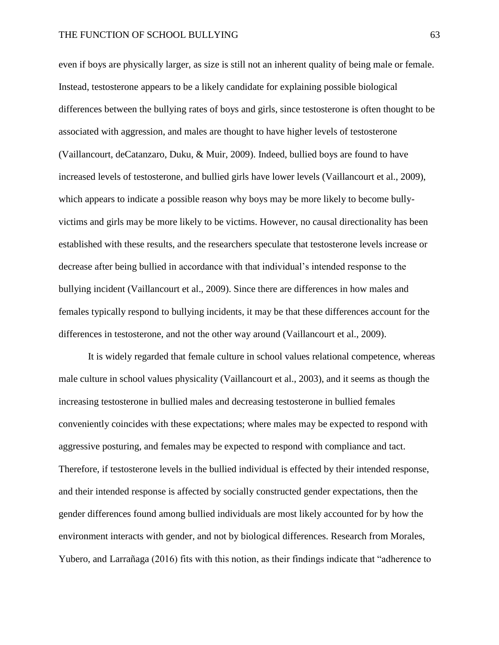even if boys are physically larger, as size is still not an inherent quality of being male or female. Instead, testosterone appears to be a likely candidate for explaining possible biological differences between the bullying rates of boys and girls, since testosterone is often thought to be associated with aggression, and males are thought to have higher levels of testosterone (Vaillancourt, deCatanzaro, Duku, & Muir, 2009). Indeed, bullied boys are found to have increased levels of testosterone, and bullied girls have lower levels (Vaillancourt et al., 2009), which appears to indicate a possible reason why boys may be more likely to become bullyvictims and girls may be more likely to be victims. However, no causal directionality has been established with these results, and the researchers speculate that testosterone levels increase or decrease after being bullied in accordance with that individual's intended response to the bullying incident (Vaillancourt et al., 2009). Since there are differences in how males and females typically respond to bullying incidents, it may be that these differences account for the differences in testosterone, and not the other way around (Vaillancourt et al., 2009).

It is widely regarded that female culture in school values relational competence, whereas male culture in school values physicality (Vaillancourt et al., 2003), and it seems as though the increasing testosterone in bullied males and decreasing testosterone in bullied females conveniently coincides with these expectations; where males may be expected to respond with aggressive posturing, and females may be expected to respond with compliance and tact. Therefore, if testosterone levels in the bullied individual is effected by their intended response, and their intended response is affected by socially constructed gender expectations, then the gender differences found among bullied individuals are most likely accounted for by how the environment interacts with gender, and not by biological differences. Research from Morales, Yubero, and Larrañaga (2016) fits with this notion, as their findings indicate that "adherence to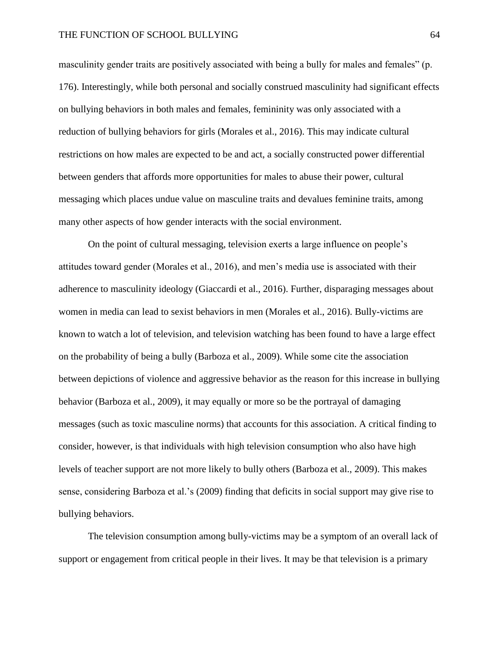masculinity gender traits are positively associated with being a bully for males and females" (p. 176). Interestingly, while both personal and socially construed masculinity had significant effects on bullying behaviors in both males and females, femininity was only associated with a reduction of bullying behaviors for girls (Morales et al., 2016). This may indicate cultural restrictions on how males are expected to be and act, a socially constructed power differential between genders that affords more opportunities for males to abuse their power, cultural messaging which places undue value on masculine traits and devalues feminine traits, among many other aspects of how gender interacts with the social environment.

On the point of cultural messaging, television exerts a large influence on people's attitudes toward gender (Morales et al., 2016), and men's media use is associated with their adherence to masculinity ideology (Giaccardi et al., 2016). Further, disparaging messages about women in media can lead to sexist behaviors in men (Morales et al., 2016). Bully-victims are known to watch a lot of television, and television watching has been found to have a large effect on the probability of being a bully (Barboza et al., 2009). While some cite the association between depictions of violence and aggressive behavior as the reason for this increase in bullying behavior (Barboza et al., 2009), it may equally or more so be the portrayal of damaging messages (such as toxic masculine norms) that accounts for this association. A critical finding to consider, however, is that individuals with high television consumption who also have high levels of teacher support are not more likely to bully others (Barboza et al., 2009). This makes sense, considering Barboza et al.'s (2009) finding that deficits in social support may give rise to bullying behaviors.

The television consumption among bully-victims may be a symptom of an overall lack of support or engagement from critical people in their lives. It may be that television is a primary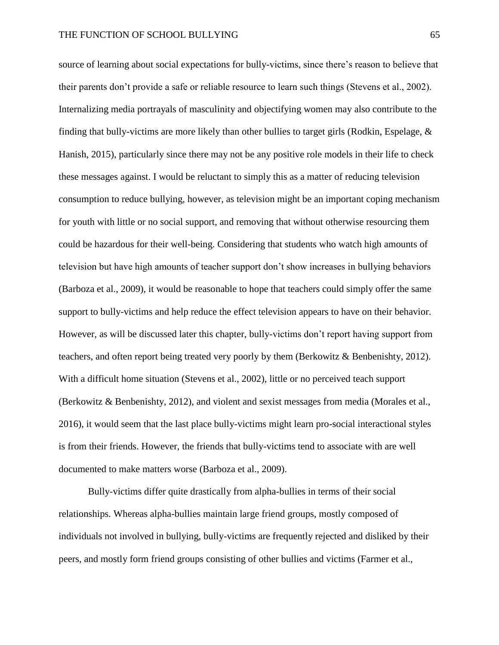source of learning about social expectations for bully-victims, since there's reason to believe that their parents don't provide a safe or reliable resource to learn such things (Stevens et al., 2002). Internalizing media portrayals of masculinity and objectifying women may also contribute to the finding that bully-victims are more likely than other bullies to target girls (Rodkin, Espelage,  $\&$ Hanish, 2015), particularly since there may not be any positive role models in their life to check these messages against. I would be reluctant to simply this as a matter of reducing television consumption to reduce bullying, however, as television might be an important coping mechanism for youth with little or no social support, and removing that without otherwise resourcing them could be hazardous for their well-being. Considering that students who watch high amounts of television but have high amounts of teacher support don't show increases in bullying behaviors (Barboza et al., 2009), it would be reasonable to hope that teachers could simply offer the same support to bully-victims and help reduce the effect television appears to have on their behavior. However, as will be discussed later this chapter, bully-victims don't report having support from teachers, and often report being treated very poorly by them (Berkowitz & Benbenishty, 2012). With a difficult home situation (Stevens et al., 2002), little or no perceived teach support (Berkowitz & Benbenishty, 2012), and violent and sexist messages from media (Morales et al., 2016), it would seem that the last place bully-victims might learn pro-social interactional styles is from their friends. However, the friends that bully-victims tend to associate with are well documented to make matters worse (Barboza et al., 2009).

Bully-victims differ quite drastically from alpha-bullies in terms of their social relationships. Whereas alpha-bullies maintain large friend groups, mostly composed of individuals not involved in bullying, bully-victims are frequently rejected and disliked by their peers, and mostly form friend groups consisting of other bullies and victims (Farmer et al.,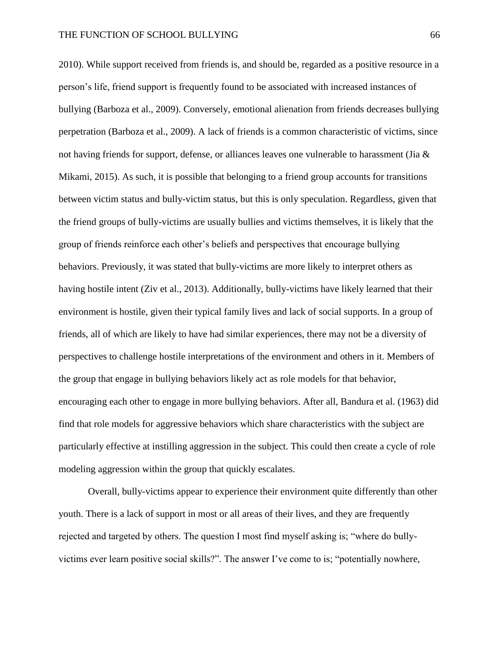2010). While support received from friends is, and should be, regarded as a positive resource in a person's life, friend support is frequently found to be associated with increased instances of bullying (Barboza et al., 2009). Conversely, emotional alienation from friends decreases bullying perpetration (Barboza et al., 2009). A lack of friends is a common characteristic of victims, since not having friends for support, defense, or alliances leaves one vulnerable to harassment (Jia & Mikami, 2015). As such, it is possible that belonging to a friend group accounts for transitions between victim status and bully-victim status, but this is only speculation. Regardless, given that the friend groups of bully-victims are usually bullies and victims themselves, it is likely that the group of friends reinforce each other's beliefs and perspectives that encourage bullying behaviors. Previously, it was stated that bully-victims are more likely to interpret others as having hostile intent (Ziv et al., 2013). Additionally, bully-victims have likely learned that their environment is hostile, given their typical family lives and lack of social supports. In a group of friends, all of which are likely to have had similar experiences, there may not be a diversity of perspectives to challenge hostile interpretations of the environment and others in it. Members of the group that engage in bullying behaviors likely act as role models for that behavior, encouraging each other to engage in more bullying behaviors. After all, Bandura et al. (1963) did find that role models for aggressive behaviors which share characteristics with the subject are particularly effective at instilling aggression in the subject. This could then create a cycle of role modeling aggression within the group that quickly escalates.

Overall, bully-victims appear to experience their environment quite differently than other youth. There is a lack of support in most or all areas of their lives, and they are frequently rejected and targeted by others. The question I most find myself asking is; "where do bullyvictims ever learn positive social skills?". The answer I've come to is; "potentially nowhere,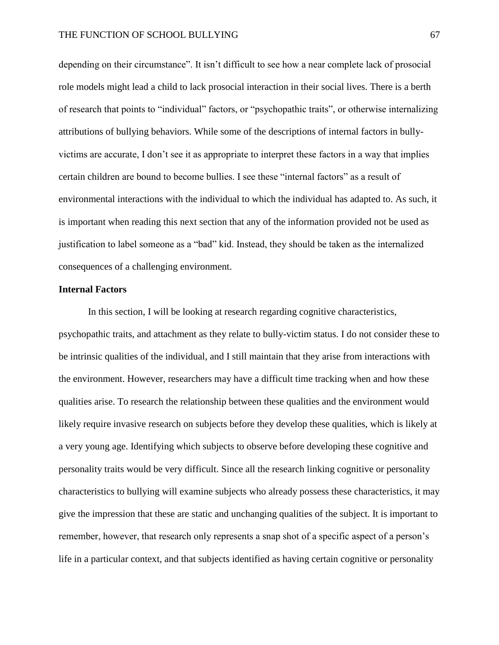depending on their circumstance". It isn't difficult to see how a near complete lack of prosocial role models might lead a child to lack prosocial interaction in their social lives. There is a berth of research that points to "individual" factors, or "psychopathic traits", or otherwise internalizing attributions of bullying behaviors. While some of the descriptions of internal factors in bullyvictims are accurate, I don't see it as appropriate to interpret these factors in a way that implies certain children are bound to become bullies. I see these "internal factors" as a result of environmental interactions with the individual to which the individual has adapted to. As such, it is important when reading this next section that any of the information provided not be used as justification to label someone as a "bad" kid. Instead, they should be taken as the internalized consequences of a challenging environment.

#### **Internal Factors**

In this section, I will be looking at research regarding cognitive characteristics, psychopathic traits, and attachment as they relate to bully-victim status. I do not consider these to be intrinsic qualities of the individual, and I still maintain that they arise from interactions with the environment. However, researchers may have a difficult time tracking when and how these qualities arise. To research the relationship between these qualities and the environment would likely require invasive research on subjects before they develop these qualities, which is likely at a very young age. Identifying which subjects to observe before developing these cognitive and personality traits would be very difficult. Since all the research linking cognitive or personality characteristics to bullying will examine subjects who already possess these characteristics, it may give the impression that these are static and unchanging qualities of the subject. It is important to remember, however, that research only represents a snap shot of a specific aspect of a person's life in a particular context, and that subjects identified as having certain cognitive or personality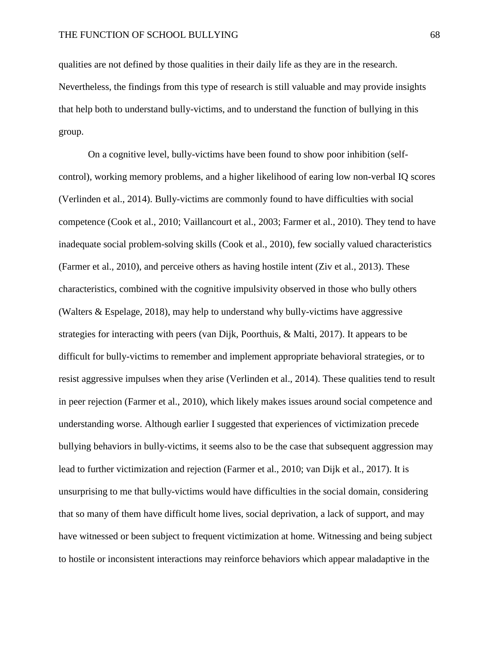qualities are not defined by those qualities in their daily life as they are in the research. Nevertheless, the findings from this type of research is still valuable and may provide insights that help both to understand bully-victims, and to understand the function of bullying in this group.

On a cognitive level, bully-victims have been found to show poor inhibition (selfcontrol), working memory problems, and a higher likelihood of earing low non-verbal IQ scores (Verlinden et al., 2014). Bully-victims are commonly found to have difficulties with social competence (Cook et al., 2010; Vaillancourt et al., 2003; Farmer et al., 2010). They tend to have inadequate social problem-solving skills (Cook et al., 2010), few socially valued characteristics (Farmer et al., 2010), and perceive others as having hostile intent (Ziv et al., 2013). These characteristics, combined with the cognitive impulsivity observed in those who bully others (Walters & Espelage, 2018), may help to understand why bully-victims have aggressive strategies for interacting with peers (van Dijk, Poorthuis, & Malti, 2017). It appears to be difficult for bully-victims to remember and implement appropriate behavioral strategies, or to resist aggressive impulses when they arise (Verlinden et al., 2014). These qualities tend to result in peer rejection (Farmer et al., 2010), which likely makes issues around social competence and understanding worse. Although earlier I suggested that experiences of victimization precede bullying behaviors in bully-victims, it seems also to be the case that subsequent aggression may lead to further victimization and rejection (Farmer et al., 2010; van Dijk et al., 2017). It is unsurprising to me that bully-victims would have difficulties in the social domain, considering that so many of them have difficult home lives, social deprivation, a lack of support, and may have witnessed or been subject to frequent victimization at home. Witnessing and being subject to hostile or inconsistent interactions may reinforce behaviors which appear maladaptive in the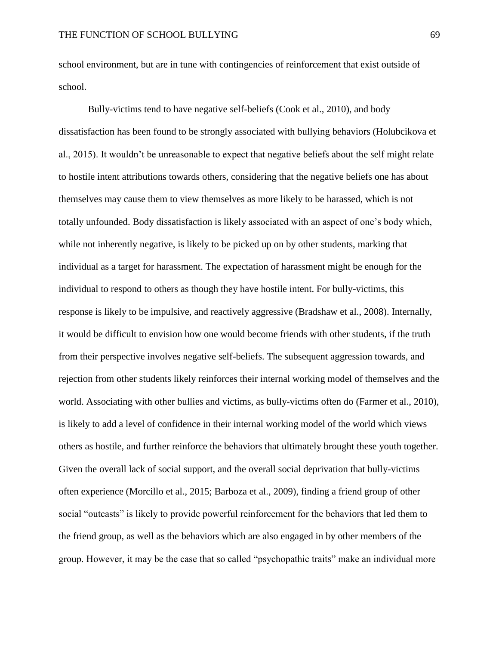school environment, but are in tune with contingencies of reinforcement that exist outside of school.

Bully-victims tend to have negative self-beliefs (Cook et al., 2010), and body dissatisfaction has been found to be strongly associated with bullying behaviors (Holubcikova et al., 2015). It wouldn't be unreasonable to expect that negative beliefs about the self might relate to hostile intent attributions towards others, considering that the negative beliefs one has about themselves may cause them to view themselves as more likely to be harassed, which is not totally unfounded. Body dissatisfaction is likely associated with an aspect of one's body which, while not inherently negative, is likely to be picked up on by other students, marking that individual as a target for harassment. The expectation of harassment might be enough for the individual to respond to others as though they have hostile intent. For bully-victims, this response is likely to be impulsive, and reactively aggressive (Bradshaw et al., 2008). Internally, it would be difficult to envision how one would become friends with other students, if the truth from their perspective involves negative self-beliefs. The subsequent aggression towards, and rejection from other students likely reinforces their internal working model of themselves and the world. Associating with other bullies and victims, as bully-victims often do (Farmer et al., 2010), is likely to add a level of confidence in their internal working model of the world which views others as hostile, and further reinforce the behaviors that ultimately brought these youth together. Given the overall lack of social support, and the overall social deprivation that bully-victims often experience (Morcillo et al., 2015; Barboza et al., 2009), finding a friend group of other social "outcasts" is likely to provide powerful reinforcement for the behaviors that led them to the friend group, as well as the behaviors which are also engaged in by other members of the group. However, it may be the case that so called "psychopathic traits" make an individual more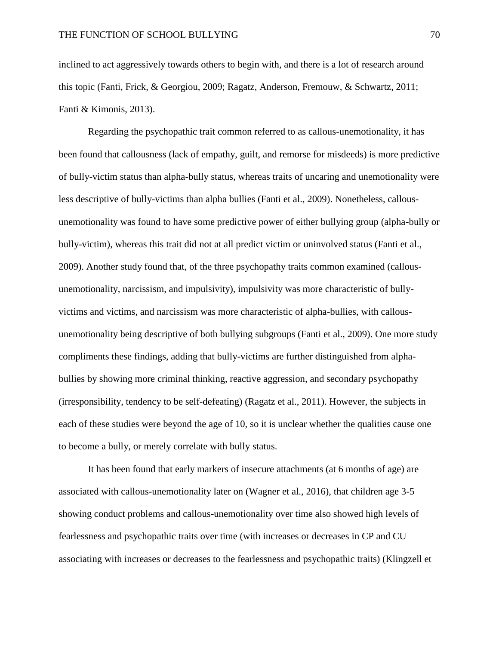inclined to act aggressively towards others to begin with, and there is a lot of research around this topic (Fanti, Frick, & Georgiou, 2009; Ragatz, Anderson, Fremouw, & Schwartz, 2011; Fanti & Kimonis, 2013).

Regarding the psychopathic trait common referred to as callous-unemotionality, it has been found that callousness (lack of empathy, guilt, and remorse for misdeeds) is more predictive of bully-victim status than alpha-bully status, whereas traits of uncaring and unemotionality were less descriptive of bully-victims than alpha bullies (Fanti et al., 2009). Nonetheless, callousunemotionality was found to have some predictive power of either bullying group (alpha-bully or bully-victim), whereas this trait did not at all predict victim or uninvolved status (Fanti et al., 2009). Another study found that, of the three psychopathy traits common examined (callousunemotionality, narcissism, and impulsivity), impulsivity was more characteristic of bullyvictims and victims, and narcissism was more characteristic of alpha-bullies, with callousunemotionality being descriptive of both bullying subgroups (Fanti et al., 2009). One more study compliments these findings, adding that bully-victims are further distinguished from alphabullies by showing more criminal thinking, reactive aggression, and secondary psychopathy (irresponsibility, tendency to be self-defeating) (Ragatz et al., 2011). However, the subjects in each of these studies were beyond the age of 10, so it is unclear whether the qualities cause one to become a bully, or merely correlate with bully status.

It has been found that early markers of insecure attachments (at 6 months of age) are associated with callous-unemotionality later on (Wagner et al., 2016), that children age 3-5 showing conduct problems and callous-unemotionality over time also showed high levels of fearlessness and psychopathic traits over time (with increases or decreases in CP and CU associating with increases or decreases to the fearlessness and psychopathic traits) (Klingzell et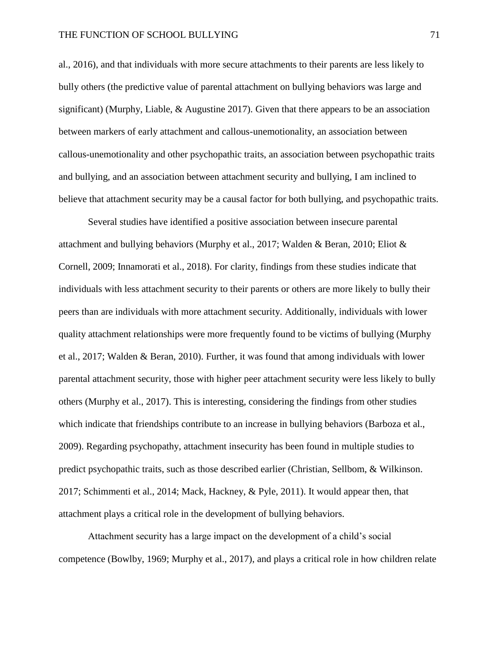al., 2016), and that individuals with more secure attachments to their parents are less likely to bully others (the predictive value of parental attachment on bullying behaviors was large and significant) (Murphy, Liable,  $\&$  Augustine 2017). Given that there appears to be an association between markers of early attachment and callous-unemotionality, an association between callous-unemotionality and other psychopathic traits, an association between psychopathic traits and bullying, and an association between attachment security and bullying, I am inclined to believe that attachment security may be a causal factor for both bullying, and psychopathic traits.

Several studies have identified a positive association between insecure parental attachment and bullying behaviors (Murphy et al., 2017; Walden & Beran, 2010; Eliot & Cornell, 2009; Innamorati et al., 2018). For clarity, findings from these studies indicate that individuals with less attachment security to their parents or others are more likely to bully their peers than are individuals with more attachment security. Additionally, individuals with lower quality attachment relationships were more frequently found to be victims of bullying (Murphy et al., 2017; Walden & Beran, 2010). Further, it was found that among individuals with lower parental attachment security, those with higher peer attachment security were less likely to bully others (Murphy et al., 2017). This is interesting, considering the findings from other studies which indicate that friendships contribute to an increase in bullying behaviors (Barboza et al., 2009). Regarding psychopathy, attachment insecurity has been found in multiple studies to predict psychopathic traits, such as those described earlier (Christian, Sellbom, & Wilkinson. 2017; Schimmenti et al., 2014; Mack, Hackney, & Pyle, 2011). It would appear then, that attachment plays a critical role in the development of bullying behaviors.

Attachment security has a large impact on the development of a child's social competence (Bowlby, 1969; Murphy et al., 2017), and plays a critical role in how children relate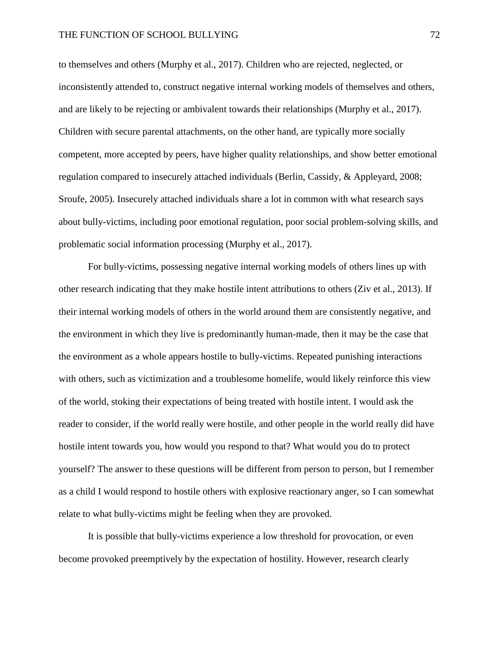to themselves and others (Murphy et al., 2017). Children who are rejected, neglected, or inconsistently attended to, construct negative internal working models of themselves and others, and are likely to be rejecting or ambivalent towards their relationships (Murphy et al., 2017). Children with secure parental attachments, on the other hand, are typically more socially competent, more accepted by peers, have higher quality relationships, and show better emotional regulation compared to insecurely attached individuals (Berlin, Cassidy, & Appleyard, 2008; Sroufe, 2005). Insecurely attached individuals share a lot in common with what research says about bully-victims, including poor emotional regulation, poor social problem-solving skills, and problematic social information processing (Murphy et al., 2017).

For bully-victims, possessing negative internal working models of others lines up with other research indicating that they make hostile intent attributions to others (Ziv et al., 2013). If their internal working models of others in the world around them are consistently negative, and the environment in which they live is predominantly human-made, then it may be the case that the environment as a whole appears hostile to bully-victims. Repeated punishing interactions with others, such as victimization and a troublesome homelife, would likely reinforce this view of the world, stoking their expectations of being treated with hostile intent. I would ask the reader to consider, if the world really were hostile, and other people in the world really did have hostile intent towards you, how would you respond to that? What would you do to protect yourself? The answer to these questions will be different from person to person, but I remember as a child I would respond to hostile others with explosive reactionary anger, so I can somewhat relate to what bully-victims might be feeling when they are provoked.

It is possible that bully-victims experience a low threshold for provocation, or even become provoked preemptively by the expectation of hostility. However, research clearly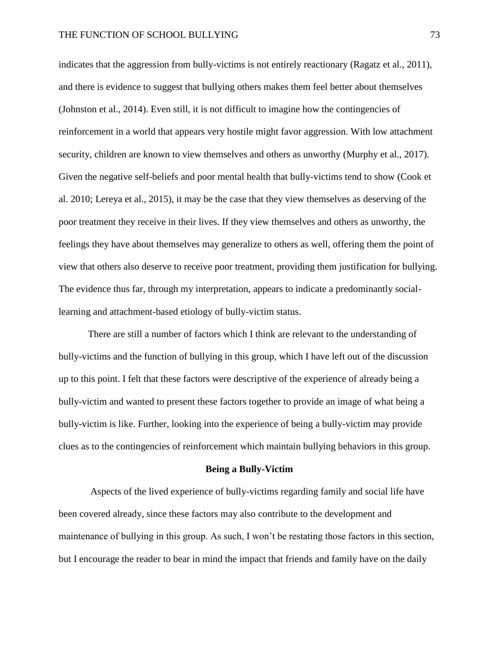indicates that the aggression from bully-victims is not entirely reactionary (Ragatz et al., 2011), and there is evidence to suggest that bullying others makes them feel better about themselves (Johnston et al., 2014). Even still, it is not difficult to imagine how the contingencies of reinforcement in a world that appears very hostile might favor aggression. With low attachment security, children are known to view themselves and others as unworthy (Murphy et al., 2017). Given the negative self-beliefs and poor mental health that bully-victims tend to show (Cook et al. 2010; Lereya et al., 2015), it may be the case that they view themselves as deserving of the poor treatment they receive in their lives. If they view themselves and others as unworthy, the feelings they have about themselves may generalize to others as well, offering them the point of view that others also deserve to receive poor treatment, providing them justification for bullying. The evidence thus far, through my interpretation, appears to indicate a predominantly sociallearning and attachment-based etiology of bully-victim status.

There are still a number of factors which I think are relevant to the understanding of bully-victims and the function of bullying in this group, which I have left out of the discussion up to this point. I felt that these factors were descriptive of the experience of already being a bully-victim and wanted to present these factors together to provide an image of what being a bully-victim is like. Further, looking into the experience of being a bully-victim may provide clues as to the contingencies of reinforcement which maintain bullying behaviors in this group.

#### **Being a Bully-Victim**

Aspects of the lived experience of bully-victims regarding family and social life have been covered already, since these factors may also contribute to the development and maintenance of bullying in this group. As such, I won't be restating those factors in this section, but I encourage the reader to bear in mind the impact that friends and family have on the daily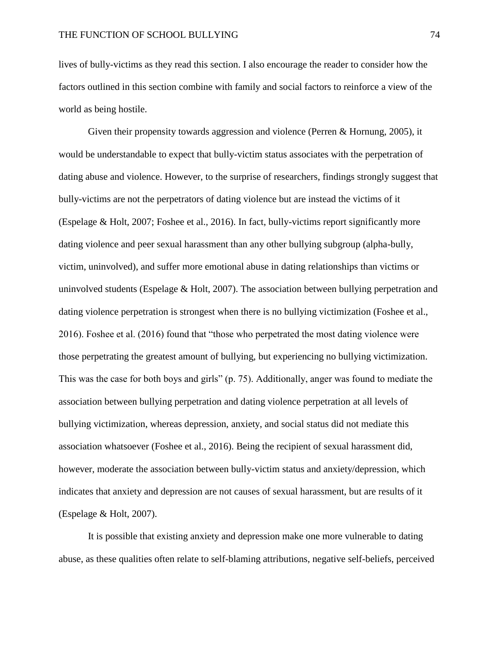lives of bully-victims as they read this section. I also encourage the reader to consider how the factors outlined in this section combine with family and social factors to reinforce a view of the world as being hostile.

Given their propensity towards aggression and violence (Perren & Hornung, 2005), it would be understandable to expect that bully-victim status associates with the perpetration of dating abuse and violence. However, to the surprise of researchers, findings strongly suggest that bully-victims are not the perpetrators of dating violence but are instead the victims of it (Espelage & Holt, 2007; Foshee et al., 2016). In fact, bully-victims report significantly more dating violence and peer sexual harassment than any other bullying subgroup (alpha-bully, victim, uninvolved), and suffer more emotional abuse in dating relationships than victims or uninvolved students (Espelage & Holt, 2007). The association between bullying perpetration and dating violence perpetration is strongest when there is no bullying victimization (Foshee et al., 2016). Foshee et al. (2016) found that "those who perpetrated the most dating violence were those perpetrating the greatest amount of bullying, but experiencing no bullying victimization. This was the case for both boys and girls" (p. 75). Additionally, anger was found to mediate the association between bullying perpetration and dating violence perpetration at all levels of bullying victimization, whereas depression, anxiety, and social status did not mediate this association whatsoever (Foshee et al., 2016). Being the recipient of sexual harassment did, however, moderate the association between bully-victim status and anxiety/depression, which indicates that anxiety and depression are not causes of sexual harassment, but are results of it (Espelage & Holt, 2007).

It is possible that existing anxiety and depression make one more vulnerable to dating abuse, as these qualities often relate to self-blaming attributions, negative self-beliefs, perceived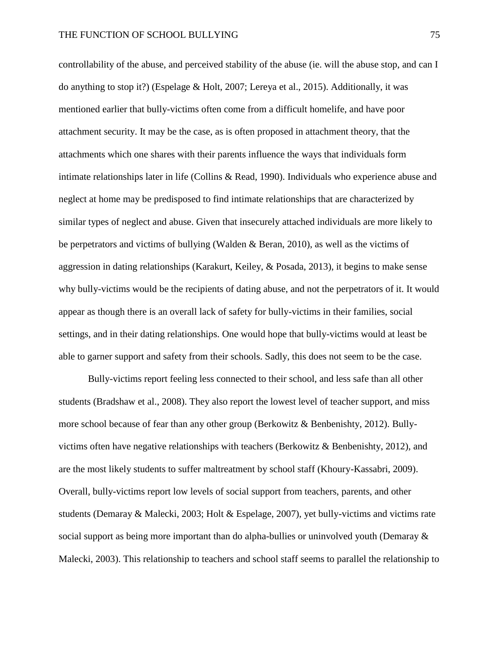controllability of the abuse, and perceived stability of the abuse (ie. will the abuse stop, and can I do anything to stop it?) (Espelage & Holt, 2007; Lereya et al., 2015). Additionally, it was mentioned earlier that bully-victims often come from a difficult homelife, and have poor attachment security. It may be the case, as is often proposed in attachment theory, that the attachments which one shares with their parents influence the ways that individuals form intimate relationships later in life (Collins & Read, 1990). Individuals who experience abuse and neglect at home may be predisposed to find intimate relationships that are characterized by similar types of neglect and abuse. Given that insecurely attached individuals are more likely to be perpetrators and victims of bullying (Walden & Beran, 2010), as well as the victims of aggression in dating relationships (Karakurt, Keiley, & Posada, 2013), it begins to make sense why bully-victims would be the recipients of dating abuse, and not the perpetrators of it. It would appear as though there is an overall lack of safety for bully-victims in their families, social settings, and in their dating relationships. One would hope that bully-victims would at least be able to garner support and safety from their schools. Sadly, this does not seem to be the case.

Bully-victims report feeling less connected to their school, and less safe than all other students (Bradshaw et al., 2008). They also report the lowest level of teacher support, and miss more school because of fear than any other group (Berkowitz & Benbenishty, 2012). Bullyvictims often have negative relationships with teachers (Berkowitz & Benbenishty, 2012), and are the most likely students to suffer maltreatment by school staff (Khoury-Kassabri, 2009). Overall, bully-victims report low levels of social support from teachers, parents, and other students (Demaray & Malecki, 2003; Holt & Espelage, 2007), yet bully-victims and victims rate social support as being more important than do alpha-bullies or uninvolved youth (Demaray & Malecki, 2003). This relationship to teachers and school staff seems to parallel the relationship to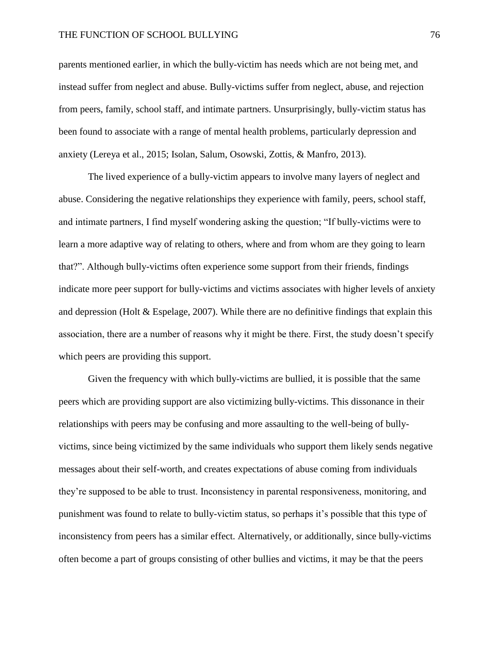parents mentioned earlier, in which the bully-victim has needs which are not being met, and instead suffer from neglect and abuse. Bully-victims suffer from neglect, abuse, and rejection from peers, family, school staff, and intimate partners. Unsurprisingly, bully-victim status has been found to associate with a range of mental health problems, particularly depression and anxiety (Lereya et al., 2015; Isolan, Salum, Osowski, Zottis, & Manfro, 2013).

The lived experience of a bully-victim appears to involve many layers of neglect and abuse. Considering the negative relationships they experience with family, peers, school staff, and intimate partners, I find myself wondering asking the question; "If bully-victims were to learn a more adaptive way of relating to others, where and from whom are they going to learn that?". Although bully-victims often experience some support from their friends, findings indicate more peer support for bully-victims and victims associates with higher levels of anxiety and depression (Holt & Espelage, 2007). While there are no definitive findings that explain this association, there are a number of reasons why it might be there. First, the study doesn't specify which peers are providing this support.

Given the frequency with which bully-victims are bullied, it is possible that the same peers which are providing support are also victimizing bully-victims. This dissonance in their relationships with peers may be confusing and more assaulting to the well-being of bullyvictims, since being victimized by the same individuals who support them likely sends negative messages about their self-worth, and creates expectations of abuse coming from individuals they're supposed to be able to trust. Inconsistency in parental responsiveness, monitoring, and punishment was found to relate to bully-victim status, so perhaps it's possible that this type of inconsistency from peers has a similar effect. Alternatively, or additionally, since bully-victims often become a part of groups consisting of other bullies and victims, it may be that the peers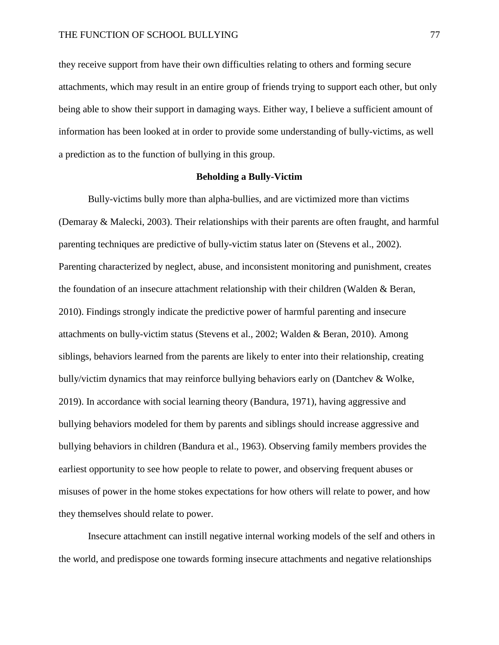they receive support from have their own difficulties relating to others and forming secure attachments, which may result in an entire group of friends trying to support each other, but only being able to show their support in damaging ways. Either way, I believe a sufficient amount of information has been looked at in order to provide some understanding of bully-victims, as well a prediction as to the function of bullying in this group.

### **Beholding a Bully-Victim**

Bully-victims bully more than alpha-bullies, and are victimized more than victims (Demaray & Malecki, 2003). Their relationships with their parents are often fraught, and harmful parenting techniques are predictive of bully-victim status later on (Stevens et al., 2002). Parenting characterized by neglect, abuse, and inconsistent monitoring and punishment, creates the foundation of an insecure attachment relationship with their children (Walden & Beran, 2010). Findings strongly indicate the predictive power of harmful parenting and insecure attachments on bully-victim status (Stevens et al., 2002; Walden & Beran, 2010). Among siblings, behaviors learned from the parents are likely to enter into their relationship, creating bully/victim dynamics that may reinforce bullying behaviors early on (Dantchev & Wolke, 2019). In accordance with social learning theory (Bandura, 1971), having aggressive and bullying behaviors modeled for them by parents and siblings should increase aggressive and bullying behaviors in children (Bandura et al., 1963). Observing family members provides the earliest opportunity to see how people to relate to power, and observing frequent abuses or misuses of power in the home stokes expectations for how others will relate to power, and how they themselves should relate to power.

Insecure attachment can instill negative internal working models of the self and others in the world, and predispose one towards forming insecure attachments and negative relationships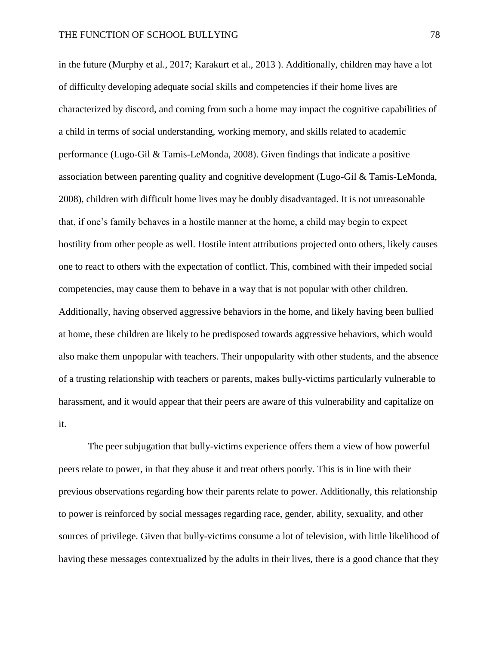in the future (Murphy et al., 2017; Karakurt et al., 2013 ). Additionally, children may have a lot of difficulty developing adequate social skills and competencies if their home lives are characterized by discord, and coming from such a home may impact the cognitive capabilities of a child in terms of social understanding, working memory, and skills related to academic performance (Lugo-Gil & Tamis-LeMonda, 2008). Given findings that indicate a positive association between parenting quality and cognitive development (Lugo-Gil & Tamis-LeMonda, 2008), children with difficult home lives may be doubly disadvantaged. It is not unreasonable that, if one's family behaves in a hostile manner at the home, a child may begin to expect hostility from other people as well. Hostile intent attributions projected onto others, likely causes one to react to others with the expectation of conflict. This, combined with their impeded social competencies, may cause them to behave in a way that is not popular with other children. Additionally, having observed aggressive behaviors in the home, and likely having been bullied at home, these children are likely to be predisposed towards aggressive behaviors, which would also make them unpopular with teachers. Their unpopularity with other students, and the absence of a trusting relationship with teachers or parents, makes bully-victims particularly vulnerable to harassment, and it would appear that their peers are aware of this vulnerability and capitalize on it.

The peer subjugation that bully-victims experience offers them a view of how powerful peers relate to power, in that they abuse it and treat others poorly. This is in line with their previous observations regarding how their parents relate to power. Additionally, this relationship to power is reinforced by social messages regarding race, gender, ability, sexuality, and other sources of privilege. Given that bully-victims consume a lot of television, with little likelihood of having these messages contextualized by the adults in their lives, there is a good chance that they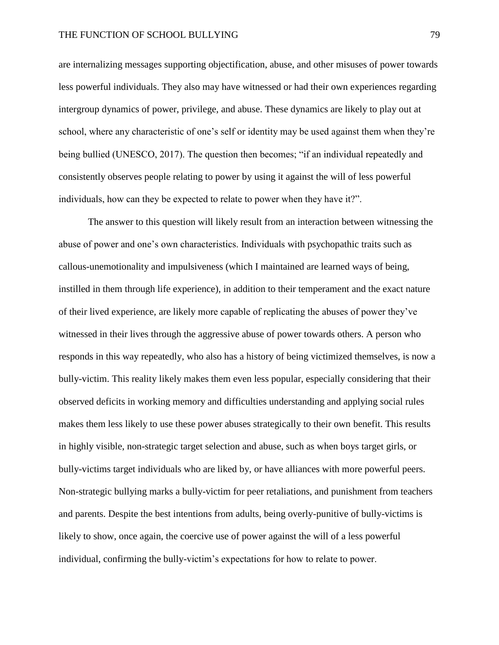are internalizing messages supporting objectification, abuse, and other misuses of power towards less powerful individuals. They also may have witnessed or had their own experiences regarding intergroup dynamics of power, privilege, and abuse. These dynamics are likely to play out at school, where any characteristic of one's self or identity may be used against them when they're being bullied (UNESCO, 2017). The question then becomes; "if an individual repeatedly and consistently observes people relating to power by using it against the will of less powerful individuals, how can they be expected to relate to power when they have it?".

The answer to this question will likely result from an interaction between witnessing the abuse of power and one's own characteristics. Individuals with psychopathic traits such as callous-unemotionality and impulsiveness (which I maintained are learned ways of being, instilled in them through life experience), in addition to their temperament and the exact nature of their lived experience, are likely more capable of replicating the abuses of power they've witnessed in their lives through the aggressive abuse of power towards others. A person who responds in this way repeatedly, who also has a history of being victimized themselves, is now a bully-victim. This reality likely makes them even less popular, especially considering that their observed deficits in working memory and difficulties understanding and applying social rules makes them less likely to use these power abuses strategically to their own benefit. This results in highly visible, non-strategic target selection and abuse, such as when boys target girls, or bully-victims target individuals who are liked by, or have alliances with more powerful peers. Non-strategic bullying marks a bully-victim for peer retaliations, and punishment from teachers and parents. Despite the best intentions from adults, being overly-punitive of bully-victims is likely to show, once again, the coercive use of power against the will of a less powerful individual, confirming the bully-victim's expectations for how to relate to power.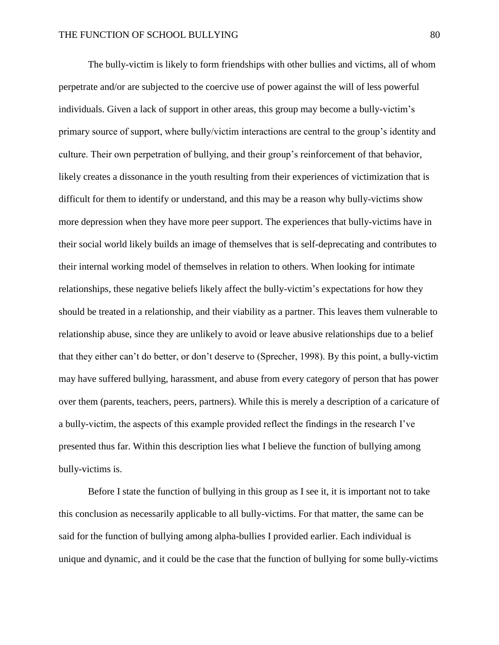The bully-victim is likely to form friendships with other bullies and victims, all of whom perpetrate and/or are subjected to the coercive use of power against the will of less powerful individuals. Given a lack of support in other areas, this group may become a bully-victim's primary source of support, where bully/victim interactions are central to the group's identity and culture. Their own perpetration of bullying, and their group's reinforcement of that behavior, likely creates a dissonance in the youth resulting from their experiences of victimization that is difficult for them to identify or understand, and this may be a reason why bully-victims show more depression when they have more peer support. The experiences that bully-victims have in their social world likely builds an image of themselves that is self-deprecating and contributes to their internal working model of themselves in relation to others. When looking for intimate relationships, these negative beliefs likely affect the bully-victim's expectations for how they should be treated in a relationship, and their viability as a partner. This leaves them vulnerable to relationship abuse, since they are unlikely to avoid or leave abusive relationships due to a belief that they either can't do better, or don't deserve to (Sprecher, 1998). By this point, a bully-victim may have suffered bullying, harassment, and abuse from every category of person that has power over them (parents, teachers, peers, partners). While this is merely a description of a caricature of a bully-victim, the aspects of this example provided reflect the findings in the research I've presented thus far. Within this description lies what I believe the function of bullying among bully-victims is.

Before I state the function of bullying in this group as I see it, it is important not to take this conclusion as necessarily applicable to all bully-victims. For that matter, the same can be said for the function of bullying among alpha-bullies I provided earlier. Each individual is unique and dynamic, and it could be the case that the function of bullying for some bully-victims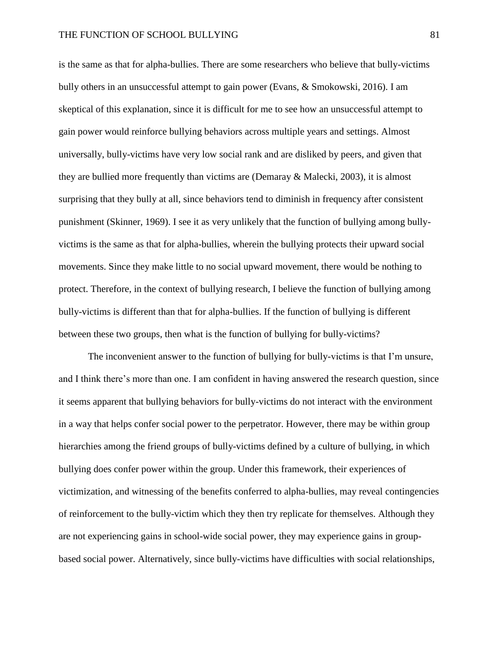is the same as that for alpha-bullies. There are some researchers who believe that bully-victims bully others in an unsuccessful attempt to gain power (Evans, & Smokowski, 2016). I am skeptical of this explanation, since it is difficult for me to see how an unsuccessful attempt to gain power would reinforce bullying behaviors across multiple years and settings. Almost universally, bully-victims have very low social rank and are disliked by peers, and given that they are bullied more frequently than victims are (Demaray & Malecki, 2003), it is almost surprising that they bully at all, since behaviors tend to diminish in frequency after consistent punishment (Skinner, 1969). I see it as very unlikely that the function of bullying among bullyvictims is the same as that for alpha-bullies, wherein the bullying protects their upward social movements. Since they make little to no social upward movement, there would be nothing to protect. Therefore, in the context of bullying research, I believe the function of bullying among bully-victims is different than that for alpha-bullies. If the function of bullying is different between these two groups, then what is the function of bullying for bully-victims?

The inconvenient answer to the function of bullying for bully-victims is that I'm unsure, and I think there's more than one. I am confident in having answered the research question, since it seems apparent that bullying behaviors for bully-victims do not interact with the environment in a way that helps confer social power to the perpetrator. However, there may be within group hierarchies among the friend groups of bully-victims defined by a culture of bullying, in which bullying does confer power within the group. Under this framework, their experiences of victimization, and witnessing of the benefits conferred to alpha-bullies, may reveal contingencies of reinforcement to the bully-victim which they then try replicate for themselves. Although they are not experiencing gains in school-wide social power, they may experience gains in groupbased social power. Alternatively, since bully-victims have difficulties with social relationships,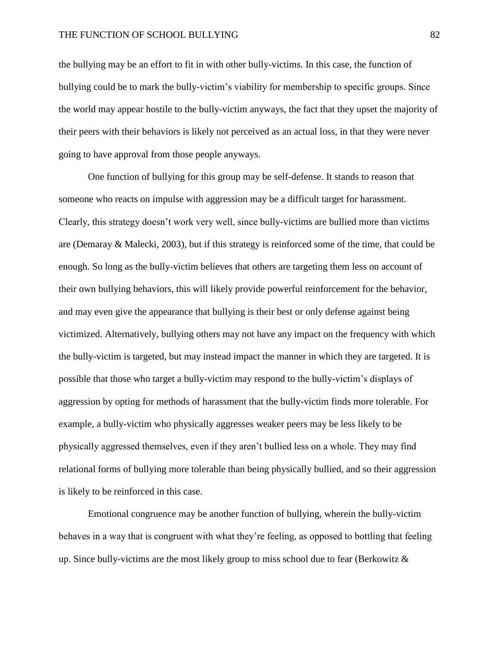## THE FUNCTION OF SCHOOL BULLYING 82

the bullying may be an effort to fit in with other bully-victims. In this case, the function of bullying could be to mark the bully-victim's viability for membership to specific groups. Since the world may appear hostile to the bully-victim anyways, the fact that they upset the majority of their peers with their behaviors is likely not perceived as an actual loss, in that they were never going to have approval from those people anyways.

One function of bullying for this group may be self-defense. It stands to reason that someone who reacts on impulse with aggression may be a difficult target for harassment. Clearly, this strategy doesn't work very well, since bully-victims are bullied more than victims are (Demaray & Malecki, 2003), but if this strategy is reinforced some of the time, that could be enough. So long as the bully-victim believes that others are targeting them less on account of their own bullying behaviors, this will likely provide powerful reinforcement for the behavior, and may even give the appearance that bullying is their best or only defense against being victimized. Alternatively, bullying others may not have any impact on the frequency with which the bully-victim is targeted, but may instead impact the manner in which they are targeted. It is possible that those who target a bully-victim may respond to the bully-victim's displays of aggression by opting for methods of harassment that the bully-victim finds more tolerable. For example, a bully-victim who physically aggresses weaker peers may be less likely to be physically aggressed themselves, even if they aren't bullied less on a whole. They may find relational forms of bullying more tolerable than being physically bullied, and so their aggression is likely to be reinforced in this case.

Emotional congruence may be another function of bullying, wherein the bully-victim behaves in a way that is congruent with what they're feeling, as opposed to bottling that feeling up. Since bully-victims are the most likely group to miss school due to fear (Berkowitz  $\&$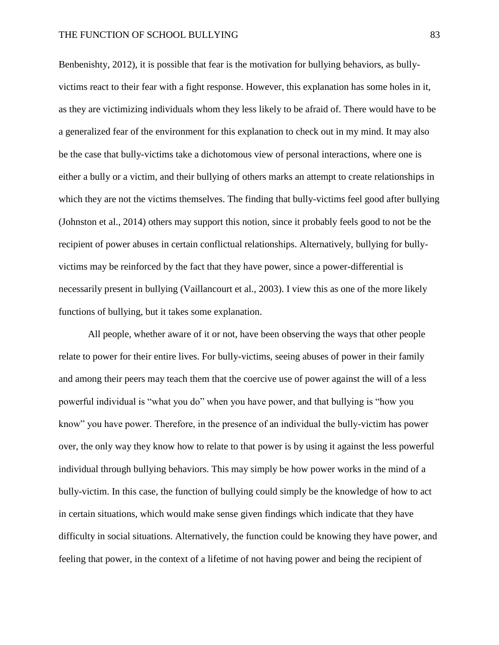Benbenishty, 2012), it is possible that fear is the motivation for bullying behaviors, as bullyvictims react to their fear with a fight response. However, this explanation has some holes in it, as they are victimizing individuals whom they less likely to be afraid of. There would have to be a generalized fear of the environment for this explanation to check out in my mind. It may also be the case that bully-victims take a dichotomous view of personal interactions, where one is either a bully or a victim, and their bullying of others marks an attempt to create relationships in which they are not the victims themselves. The finding that bully-victims feel good after bullying (Johnston et al., 2014) others may support this notion, since it probably feels good to not be the recipient of power abuses in certain conflictual relationships. Alternatively, bullying for bullyvictims may be reinforced by the fact that they have power, since a power-differential is necessarily present in bullying (Vaillancourt et al., 2003). I view this as one of the more likely functions of bullying, but it takes some explanation.

All people, whether aware of it or not, have been observing the ways that other people relate to power for their entire lives. For bully-victims, seeing abuses of power in their family and among their peers may teach them that the coercive use of power against the will of a less powerful individual is "what you do" when you have power, and that bullying is "how you know" you have power. Therefore, in the presence of an individual the bully-victim has power over, the only way they know how to relate to that power is by using it against the less powerful individual through bullying behaviors. This may simply be how power works in the mind of a bully-victim. In this case, the function of bullying could simply be the knowledge of how to act in certain situations, which would make sense given findings which indicate that they have difficulty in social situations. Alternatively, the function could be knowing they have power, and feeling that power, in the context of a lifetime of not having power and being the recipient of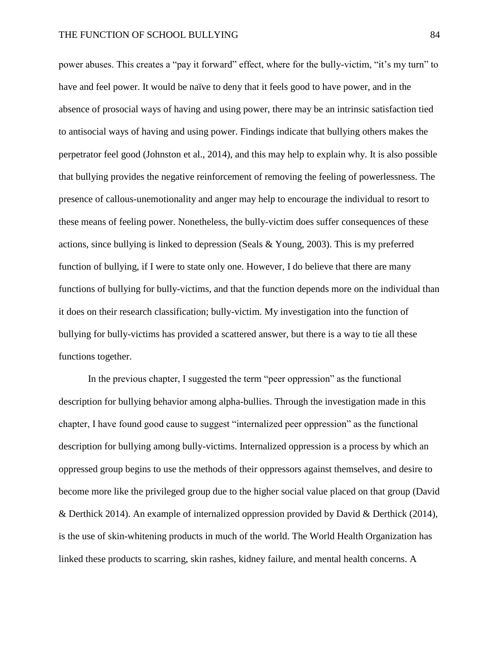power abuses. This creates a "pay it forward" effect, where for the bully-victim, "it's my turn" to have and feel power. It would be naïve to deny that it feels good to have power, and in the absence of prosocial ways of having and using power, there may be an intrinsic satisfaction tied to antisocial ways of having and using power. Findings indicate that bullying others makes the perpetrator feel good (Johnston et al., 2014), and this may help to explain why. It is also possible that bullying provides the negative reinforcement of removing the feeling of powerlessness. The presence of callous-unemotionality and anger may help to encourage the individual to resort to these means of feeling power. Nonetheless, the bully-victim does suffer consequences of these actions, since bullying is linked to depression (Seals & Young, 2003). This is my preferred function of bullying, if I were to state only one. However, I do believe that there are many functions of bullying for bully-victims, and that the function depends more on the individual than it does on their research classification; bully-victim. My investigation into the function of bullying for bully-victims has provided a scattered answer, but there is a way to tie all these functions together.

In the previous chapter, I suggested the term "peer oppression" as the functional description for bullying behavior among alpha-bullies. Through the investigation made in this chapter, I have found good cause to suggest "internalized peer oppression" as the functional description for bullying among bully-victims. Internalized oppression is a process by which an oppressed group begins to use the methods of their oppressors against themselves, and desire to become more like the privileged group due to the higher social value placed on that group (David & Derthick 2014). An example of internalized oppression provided by David & Derthick (2014), is the use of skin-whitening products in much of the world. The World Health Organization has linked these products to scarring, skin rashes, kidney failure, and mental health concerns. A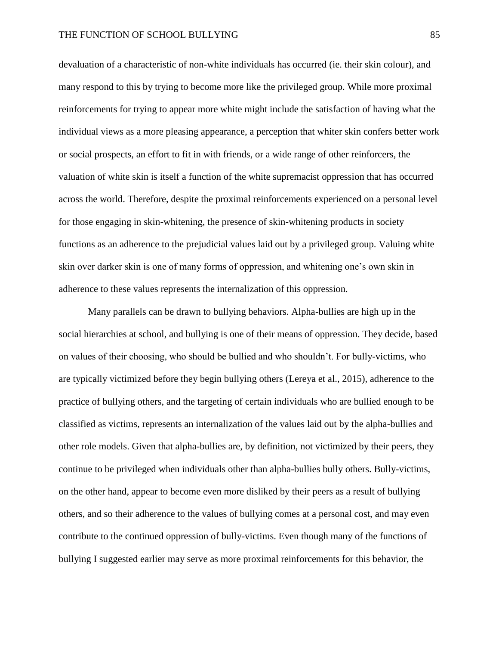devaluation of a characteristic of non-white individuals has occurred (ie. their skin colour), and many respond to this by trying to become more like the privileged group. While more proximal reinforcements for trying to appear more white might include the satisfaction of having what the individual views as a more pleasing appearance, a perception that whiter skin confers better work or social prospects, an effort to fit in with friends, or a wide range of other reinforcers, the valuation of white skin is itself a function of the white supremacist oppression that has occurred across the world. Therefore, despite the proximal reinforcements experienced on a personal level for those engaging in skin-whitening, the presence of skin-whitening products in society functions as an adherence to the prejudicial values laid out by a privileged group. Valuing white skin over darker skin is one of many forms of oppression, and whitening one's own skin in adherence to these values represents the internalization of this oppression.

Many parallels can be drawn to bullying behaviors. Alpha-bullies are high up in the social hierarchies at school, and bullying is one of their means of oppression. They decide, based on values of their choosing, who should be bullied and who shouldn't. For bully-victims, who are typically victimized before they begin bullying others (Lereya et al., 2015), adherence to the practice of bullying others, and the targeting of certain individuals who are bullied enough to be classified as victims, represents an internalization of the values laid out by the alpha-bullies and other role models. Given that alpha-bullies are, by definition, not victimized by their peers, they continue to be privileged when individuals other than alpha-bullies bully others. Bully-victims, on the other hand, appear to become even more disliked by their peers as a result of bullying others, and so their adherence to the values of bullying comes at a personal cost, and may even contribute to the continued oppression of bully-victims. Even though many of the functions of bullying I suggested earlier may serve as more proximal reinforcements for this behavior, the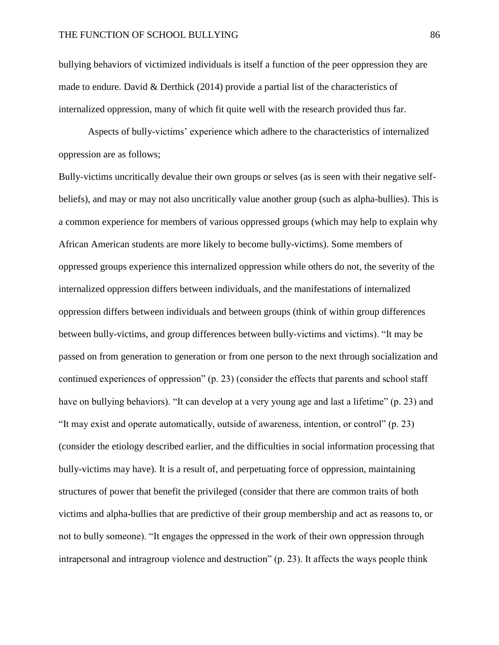bullying behaviors of victimized individuals is itself a function of the peer oppression they are made to endure. David & Derthick (2014) provide a partial list of the characteristics of internalized oppression, many of which fit quite well with the research provided thus far.

Aspects of bully-victims' experience which adhere to the characteristics of internalized oppression are as follows;

Bully-victims uncritically devalue their own groups or selves (as is seen with their negative selfbeliefs), and may or may not also uncritically value another group (such as alpha-bullies). This is a common experience for members of various oppressed groups (which may help to explain why African American students are more likely to become bully-victims). Some members of oppressed groups experience this internalized oppression while others do not, the severity of the internalized oppression differs between individuals, and the manifestations of internalized oppression differs between individuals and between groups (think of within group differences between bully-victims, and group differences between bully-victims and victims). "It may be passed on from generation to generation or from one person to the next through socialization and continued experiences of oppression" (p. 23) (consider the effects that parents and school staff have on bullying behaviors). "It can develop at a very young age and last a lifetime" (p. 23) and "It may exist and operate automatically, outside of awareness, intention, or control" (p. 23) (consider the etiology described earlier, and the difficulties in social information processing that bully-victims may have). It is a result of, and perpetuating force of oppression, maintaining structures of power that benefit the privileged (consider that there are common traits of both victims and alpha-bullies that are predictive of their group membership and act as reasons to, or not to bully someone). "It engages the oppressed in the work of their own oppression through intrapersonal and intragroup violence and destruction" (p. 23). It affects the ways people think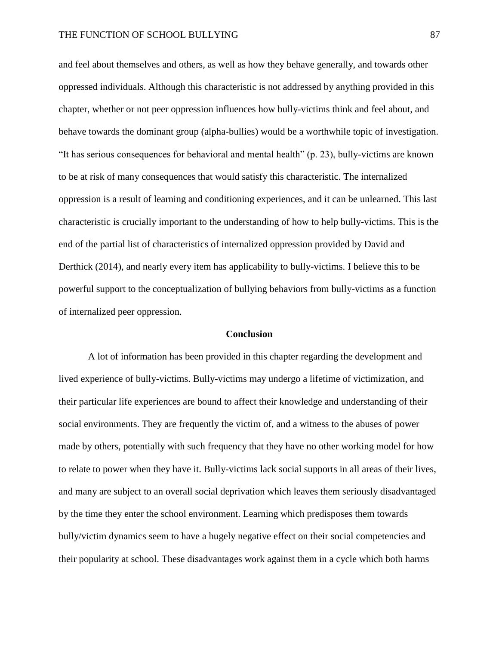and feel about themselves and others, as well as how they behave generally, and towards other oppressed individuals. Although this characteristic is not addressed by anything provided in this chapter, whether or not peer oppression influences how bully-victims think and feel about, and behave towards the dominant group (alpha-bullies) would be a worthwhile topic of investigation. "It has serious consequences for behavioral and mental health" (p. 23), bully-victims are known to be at risk of many consequences that would satisfy this characteristic. The internalized oppression is a result of learning and conditioning experiences, and it can be unlearned. This last characteristic is crucially important to the understanding of how to help bully-victims. This is the end of the partial list of characteristics of internalized oppression provided by David and Derthick (2014), and nearly every item has applicability to bully-victims. I believe this to be powerful support to the conceptualization of bullying behaviors from bully-victims as a function of internalized peer oppression.

#### **Conclusion**

A lot of information has been provided in this chapter regarding the development and lived experience of bully-victims. Bully-victims may undergo a lifetime of victimization, and their particular life experiences are bound to affect their knowledge and understanding of their social environments. They are frequently the victim of, and a witness to the abuses of power made by others, potentially with such frequency that they have no other working model for how to relate to power when they have it. Bully-victims lack social supports in all areas of their lives, and many are subject to an overall social deprivation which leaves them seriously disadvantaged by the time they enter the school environment. Learning which predisposes them towards bully/victim dynamics seem to have a hugely negative effect on their social competencies and their popularity at school. These disadvantages work against them in a cycle which both harms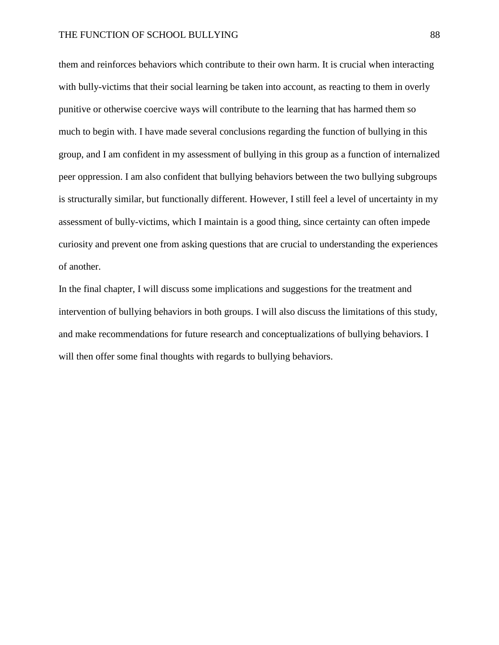them and reinforces behaviors which contribute to their own harm. It is crucial when interacting with bully-victims that their social learning be taken into account, as reacting to them in overly punitive or otherwise coercive ways will contribute to the learning that has harmed them so much to begin with. I have made several conclusions regarding the function of bullying in this group, and I am confident in my assessment of bullying in this group as a function of internalized peer oppression. I am also confident that bullying behaviors between the two bullying subgroups is structurally similar, but functionally different. However, I still feel a level of uncertainty in my assessment of bully-victims, which I maintain is a good thing, since certainty can often impede curiosity and prevent one from asking questions that are crucial to understanding the experiences of another.

In the final chapter, I will discuss some implications and suggestions for the treatment and intervention of bullying behaviors in both groups. I will also discuss the limitations of this study, and make recommendations for future research and conceptualizations of bullying behaviors. I will then offer some final thoughts with regards to bullying behaviors.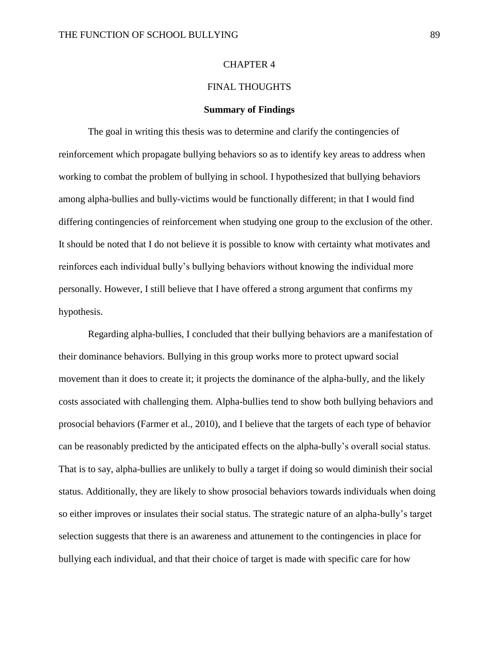### CHAPTER 4

# FINAL THOUGHTS

### **Summary of Findings**

The goal in writing this thesis was to determine and clarify the contingencies of reinforcement which propagate bullying behaviors so as to identify key areas to address when working to combat the problem of bullying in school. I hypothesized that bullying behaviors among alpha-bullies and bully-victims would be functionally different; in that I would find differing contingencies of reinforcement when studying one group to the exclusion of the other. It should be noted that I do not believe it is possible to know with certainty what motivates and reinforces each individual bully's bullying behaviors without knowing the individual more personally. However, I still believe that I have offered a strong argument that confirms my hypothesis.

Regarding alpha-bullies, I concluded that their bullying behaviors are a manifestation of their dominance behaviors. Bullying in this group works more to protect upward social movement than it does to create it; it projects the dominance of the alpha-bully, and the likely costs associated with challenging them. Alpha-bullies tend to show both bullying behaviors and prosocial behaviors (Farmer et al., 2010), and I believe that the targets of each type of behavior can be reasonably predicted by the anticipated effects on the alpha-bully's overall social status. That is to say, alpha-bullies are unlikely to bully a target if doing so would diminish their social status. Additionally, they are likely to show prosocial behaviors towards individuals when doing so either improves or insulates their social status. The strategic nature of an alpha-bully's target selection suggests that there is an awareness and attunement to the contingencies in place for bullying each individual, and that their choice of target is made with specific care for how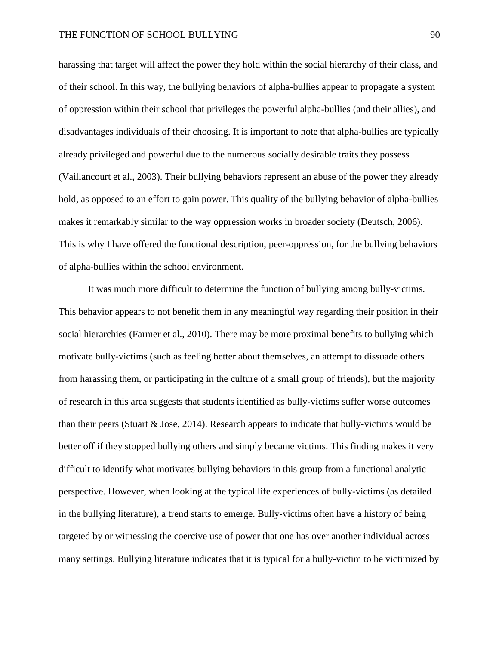harassing that target will affect the power they hold within the social hierarchy of their class, and of their school. In this way, the bullying behaviors of alpha-bullies appear to propagate a system of oppression within their school that privileges the powerful alpha-bullies (and their allies), and disadvantages individuals of their choosing. It is important to note that alpha-bullies are typically already privileged and powerful due to the numerous socially desirable traits they possess (Vaillancourt et al., 2003). Their bullying behaviors represent an abuse of the power they already hold, as opposed to an effort to gain power. This quality of the bullying behavior of alpha-bullies makes it remarkably similar to the way oppression works in broader society (Deutsch, 2006). This is why I have offered the functional description, peer-oppression, for the bullying behaviors of alpha-bullies within the school environment.

It was much more difficult to determine the function of bullying among bully-victims. This behavior appears to not benefit them in any meaningful way regarding their position in their social hierarchies (Farmer et al., 2010). There may be more proximal benefits to bullying which motivate bully-victims (such as feeling better about themselves, an attempt to dissuade others from harassing them, or participating in the culture of a small group of friends), but the majority of research in this area suggests that students identified as bully-victims suffer worse outcomes than their peers (Stuart & Jose, 2014). Research appears to indicate that bully-victims would be better off if they stopped bullying others and simply became victims. This finding makes it very difficult to identify what motivates bullying behaviors in this group from a functional analytic perspective. However, when looking at the typical life experiences of bully-victims (as detailed in the bullying literature), a trend starts to emerge. Bully-victims often have a history of being targeted by or witnessing the coercive use of power that one has over another individual across many settings. Bullying literature indicates that it is typical for a bully-victim to be victimized by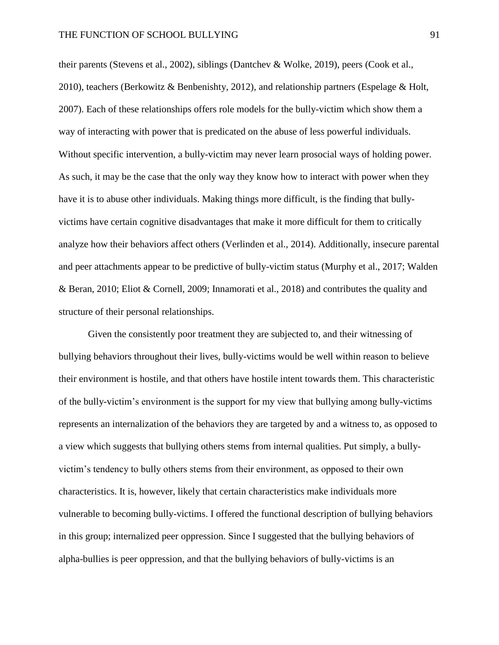their parents (Stevens et al., 2002), siblings (Dantchev & Wolke, 2019), peers (Cook et al., 2010), teachers (Berkowitz & Benbenishty, 2012), and relationship partners (Espelage & Holt, 2007). Each of these relationships offers role models for the bully-victim which show them a way of interacting with power that is predicated on the abuse of less powerful individuals. Without specific intervention, a bully-victim may never learn prosocial ways of holding power. As such, it may be the case that the only way they know how to interact with power when they have it is to abuse other individuals. Making things more difficult, is the finding that bullyvictims have certain cognitive disadvantages that make it more difficult for them to critically analyze how their behaviors affect others (Verlinden et al., 2014). Additionally, insecure parental and peer attachments appear to be predictive of bully-victim status (Murphy et al., 2017; Walden & Beran, 2010; Eliot & Cornell, 2009; Innamorati et al., 2018) and contributes the quality and structure of their personal relationships.

Given the consistently poor treatment they are subjected to, and their witnessing of bullying behaviors throughout their lives, bully-victims would be well within reason to believe their environment is hostile, and that others have hostile intent towards them. This characteristic of the bully-victim's environment is the support for my view that bullying among bully-victims represents an internalization of the behaviors they are targeted by and a witness to, as opposed to a view which suggests that bullying others stems from internal qualities. Put simply, a bullyvictim's tendency to bully others stems from their environment, as opposed to their own characteristics. It is, however, likely that certain characteristics make individuals more vulnerable to becoming bully-victims. I offered the functional description of bullying behaviors in this group; internalized peer oppression. Since I suggested that the bullying behaviors of alpha-bullies is peer oppression, and that the bullying behaviors of bully-victims is an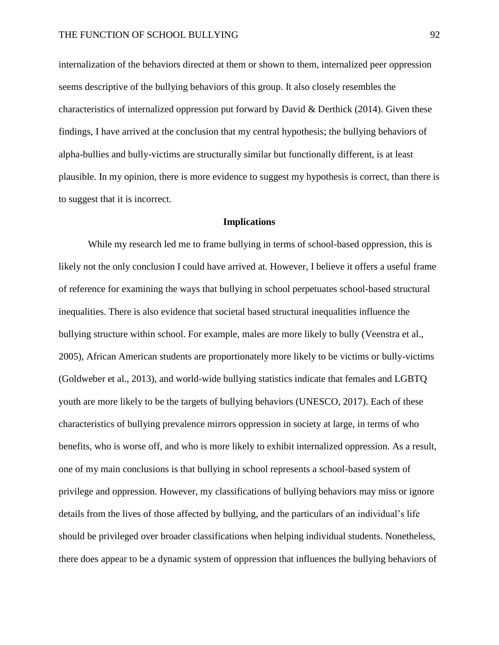internalization of the behaviors directed at them or shown to them, internalized peer oppression seems descriptive of the bullying behaviors of this group. It also closely resembles the characteristics of internalized oppression put forward by David & Derthick (2014). Given these findings, I have arrived at the conclusion that my central hypothesis; the bullying behaviors of alpha-bullies and bully-victims are structurally similar but functionally different, is at least plausible. In my opinion, there is more evidence to suggest my hypothesis is correct, than there is to suggest that it is incorrect.

## **Implications**

While my research led me to frame bullying in terms of school-based oppression, this is likely not the only conclusion I could have arrived at. However, I believe it offers a useful frame of reference for examining the ways that bullying in school perpetuates school-based structural inequalities. There is also evidence that societal based structural inequalities influence the bullying structure within school. For example, males are more likely to bully (Veenstra et al., 2005), African American students are proportionately more likely to be victims or bully-victims (Goldweber et al., 2013), and world-wide bullying statistics indicate that females and LGBTQ youth are more likely to be the targets of bullying behaviors (UNESCO, 2017). Each of these characteristics of bullying prevalence mirrors oppression in society at large, in terms of who benefits, who is worse off, and who is more likely to exhibit internalized oppression. As a result, one of my main conclusions is that bullying in school represents a school-based system of privilege and oppression. However, my classifications of bullying behaviors may miss or ignore details from the lives of those affected by bullying, and the particulars of an individual's life should be privileged over broader classifications when helping individual students. Nonetheless, there does appear to be a dynamic system of oppression that influences the bullying behaviors of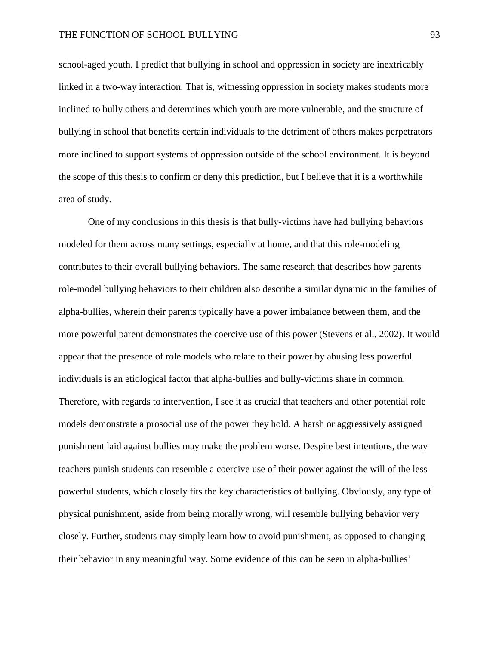### THE FUNCTION OF SCHOOL BULLYING 93

school-aged youth. I predict that bullying in school and oppression in society are inextricably linked in a two-way interaction. That is, witnessing oppression in society makes students more inclined to bully others and determines which youth are more vulnerable, and the structure of bullying in school that benefits certain individuals to the detriment of others makes perpetrators more inclined to support systems of oppression outside of the school environment. It is beyond the scope of this thesis to confirm or deny this prediction, but I believe that it is a worthwhile area of study.

One of my conclusions in this thesis is that bully-victims have had bullying behaviors modeled for them across many settings, especially at home, and that this role-modeling contributes to their overall bullying behaviors. The same research that describes how parents role-model bullying behaviors to their children also describe a similar dynamic in the families of alpha-bullies, wherein their parents typically have a power imbalance between them, and the more powerful parent demonstrates the coercive use of this power (Stevens et al., 2002). It would appear that the presence of role models who relate to their power by abusing less powerful individuals is an etiological factor that alpha-bullies and bully-victims share in common. Therefore, with regards to intervention, I see it as crucial that teachers and other potential role models demonstrate a prosocial use of the power they hold. A harsh or aggressively assigned punishment laid against bullies may make the problem worse. Despite best intentions, the way teachers punish students can resemble a coercive use of their power against the will of the less powerful students, which closely fits the key characteristics of bullying. Obviously, any type of physical punishment, aside from being morally wrong, will resemble bullying behavior very closely. Further, students may simply learn how to avoid punishment, as opposed to changing their behavior in any meaningful way. Some evidence of this can be seen in alpha-bullies'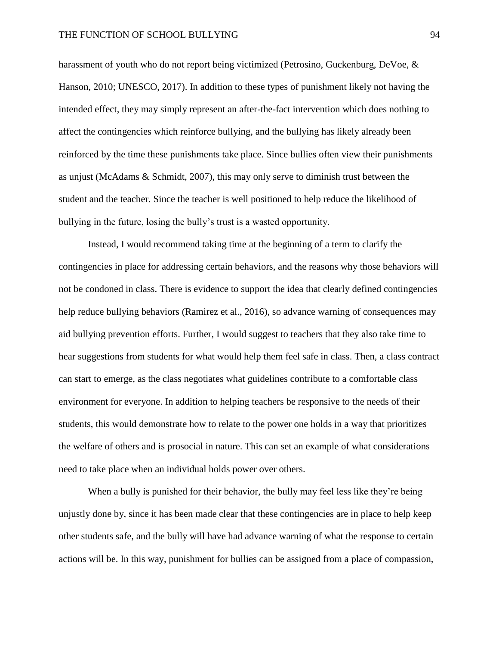harassment of youth who do not report being victimized (Petrosino, Guckenburg, DeVoe, & Hanson, 2010; UNESCO, 2017). In addition to these types of punishment likely not having the intended effect, they may simply represent an after-the-fact intervention which does nothing to affect the contingencies which reinforce bullying, and the bullying has likely already been reinforced by the time these punishments take place. Since bullies often view their punishments as unjust (McAdams & Schmidt, 2007), this may only serve to diminish trust between the student and the teacher. Since the teacher is well positioned to help reduce the likelihood of bullying in the future, losing the bully's trust is a wasted opportunity.

Instead, I would recommend taking time at the beginning of a term to clarify the contingencies in place for addressing certain behaviors, and the reasons why those behaviors will not be condoned in class. There is evidence to support the idea that clearly defined contingencies help reduce bullying behaviors (Ramirez et al., 2016), so advance warning of consequences may aid bullying prevention efforts. Further, I would suggest to teachers that they also take time to hear suggestions from students for what would help them feel safe in class. Then, a class contract can start to emerge, as the class negotiates what guidelines contribute to a comfortable class environment for everyone. In addition to helping teachers be responsive to the needs of their students, this would demonstrate how to relate to the power one holds in a way that prioritizes the welfare of others and is prosocial in nature. This can set an example of what considerations need to take place when an individual holds power over others.

When a bully is punished for their behavior, the bully may feel less like they're being unjustly done by, since it has been made clear that these contingencies are in place to help keep other students safe, and the bully will have had advance warning of what the response to certain actions will be. In this way, punishment for bullies can be assigned from a place of compassion,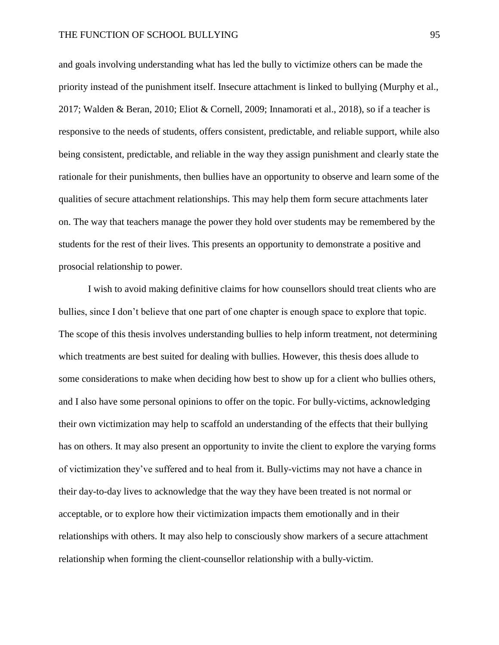and goals involving understanding what has led the bully to victimize others can be made the priority instead of the punishment itself. Insecure attachment is linked to bullying (Murphy et al., 2017; Walden & Beran, 2010; Eliot & Cornell, 2009; Innamorati et al., 2018), so if a teacher is responsive to the needs of students, offers consistent, predictable, and reliable support, while also being consistent, predictable, and reliable in the way they assign punishment and clearly state the rationale for their punishments, then bullies have an opportunity to observe and learn some of the qualities of secure attachment relationships. This may help them form secure attachments later on. The way that teachers manage the power they hold over students may be remembered by the students for the rest of their lives. This presents an opportunity to demonstrate a positive and prosocial relationship to power.

I wish to avoid making definitive claims for how counsellors should treat clients who are bullies, since I don't believe that one part of one chapter is enough space to explore that topic. The scope of this thesis involves understanding bullies to help inform treatment, not determining which treatments are best suited for dealing with bullies. However, this thesis does allude to some considerations to make when deciding how best to show up for a client who bullies others, and I also have some personal opinions to offer on the topic. For bully-victims, acknowledging their own victimization may help to scaffold an understanding of the effects that their bullying has on others. It may also present an opportunity to invite the client to explore the varying forms of victimization they've suffered and to heal from it. Bully-victims may not have a chance in their day-to-day lives to acknowledge that the way they have been treated is not normal or acceptable, or to explore how their victimization impacts them emotionally and in their relationships with others. It may also help to consciously show markers of a secure attachment relationship when forming the client-counsellor relationship with a bully-victim.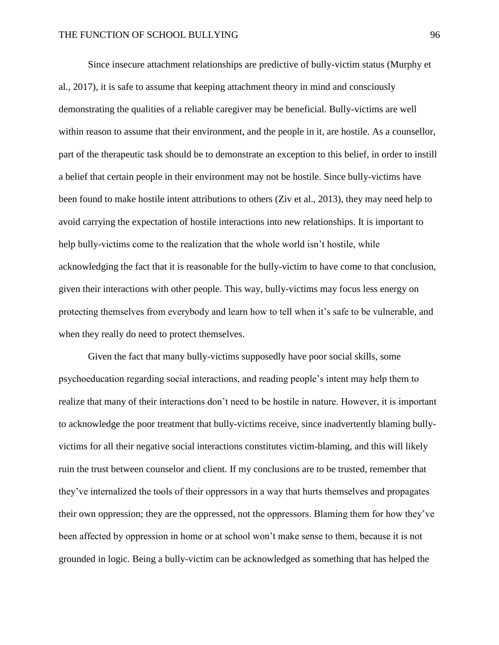Since insecure attachment relationships are predictive of bully-victim status (Murphy et al., 2017), it is safe to assume that keeping attachment theory in mind and consciously demonstrating the qualities of a reliable caregiver may be beneficial. Bully-victims are well within reason to assume that their environment, and the people in it, are hostile. As a counsellor, part of the therapeutic task should be to demonstrate an exception to this belief, in order to instill a belief that certain people in their environment may not be hostile. Since bully-victims have been found to make hostile intent attributions to others (Ziv et al., 2013), they may need help to avoid carrying the expectation of hostile interactions into new relationships. It is important to help bully-victims come to the realization that the whole world isn't hostile, while acknowledging the fact that it is reasonable for the bully-victim to have come to that conclusion, given their interactions with other people. This way, bully-victims may focus less energy on protecting themselves from everybody and learn how to tell when it's safe to be vulnerable, and when they really do need to protect themselves.

Given the fact that many bully-victims supposedly have poor social skills, some psychoeducation regarding social interactions, and reading people's intent may help them to realize that many of their interactions don't need to be hostile in nature. However, it is important to acknowledge the poor treatment that bully-victims receive, since inadvertently blaming bullyvictims for all their negative social interactions constitutes victim-blaming, and this will likely ruin the trust between counselor and client. If my conclusions are to be trusted, remember that they've internalized the tools of their oppressors in a way that hurts themselves and propagates their own oppression; they are the oppressed, not the oppressors. Blaming them for how they've been affected by oppression in home or at school won't make sense to them, because it is not grounded in logic. Being a bully-victim can be acknowledged as something that has helped the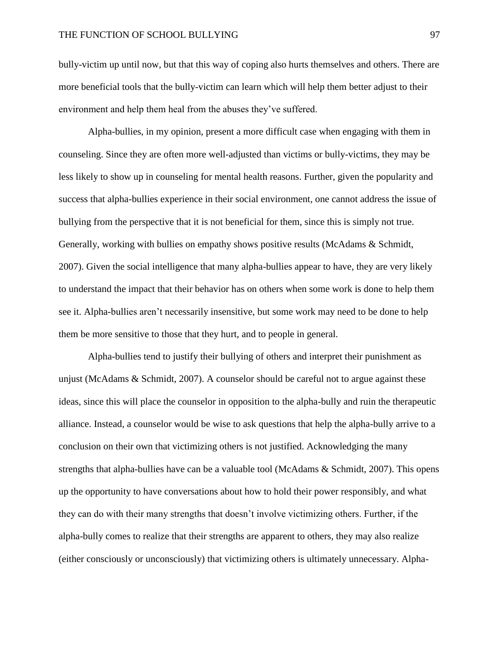bully-victim up until now, but that this way of coping also hurts themselves and others. There are more beneficial tools that the bully-victim can learn which will help them better adjust to their environment and help them heal from the abuses they've suffered.

Alpha-bullies, in my opinion, present a more difficult case when engaging with them in counseling. Since they are often more well-adjusted than victims or bully-victims, they may be less likely to show up in counseling for mental health reasons. Further, given the popularity and success that alpha-bullies experience in their social environment, one cannot address the issue of bullying from the perspective that it is not beneficial for them, since this is simply not true. Generally, working with bullies on empathy shows positive results (McAdams & Schmidt, 2007). Given the social intelligence that many alpha-bullies appear to have, they are very likely to understand the impact that their behavior has on others when some work is done to help them see it. Alpha-bullies aren't necessarily insensitive, but some work may need to be done to help them be more sensitive to those that they hurt, and to people in general.

Alpha-bullies tend to justify their bullying of others and interpret their punishment as unjust (McAdams  $\&$  Schmidt, 2007). A counselor should be careful not to argue against these ideas, since this will place the counselor in opposition to the alpha-bully and ruin the therapeutic alliance. Instead, a counselor would be wise to ask questions that help the alpha-bully arrive to a conclusion on their own that victimizing others is not justified. Acknowledging the many strengths that alpha-bullies have can be a valuable tool (McAdams & Schmidt, 2007). This opens up the opportunity to have conversations about how to hold their power responsibly, and what they can do with their many strengths that doesn't involve victimizing others. Further, if the alpha-bully comes to realize that their strengths are apparent to others, they may also realize (either consciously or unconsciously) that victimizing others is ultimately unnecessary. Alpha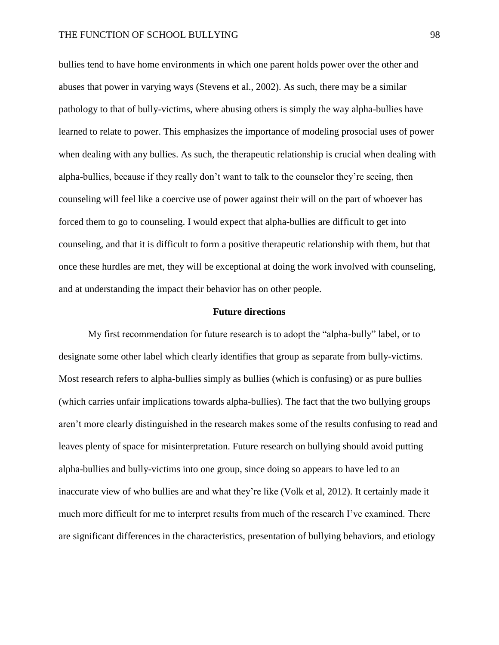bullies tend to have home environments in which one parent holds power over the other and abuses that power in varying ways (Stevens et al., 2002). As such, there may be a similar pathology to that of bully-victims, where abusing others is simply the way alpha-bullies have learned to relate to power. This emphasizes the importance of modeling prosocial uses of power when dealing with any bullies. As such, the therapeutic relationship is crucial when dealing with alpha-bullies, because if they really don't want to talk to the counselor they're seeing, then counseling will feel like a coercive use of power against their will on the part of whoever has forced them to go to counseling. I would expect that alpha-bullies are difficult to get into counseling, and that it is difficult to form a positive therapeutic relationship with them, but that once these hurdles are met, they will be exceptional at doing the work involved with counseling, and at understanding the impact their behavior has on other people.

### **Future directions**

My first recommendation for future research is to adopt the "alpha-bully" label, or to designate some other label which clearly identifies that group as separate from bully-victims. Most research refers to alpha-bullies simply as bullies (which is confusing) or as pure bullies (which carries unfair implications towards alpha-bullies). The fact that the two bullying groups aren't more clearly distinguished in the research makes some of the results confusing to read and leaves plenty of space for misinterpretation. Future research on bullying should avoid putting alpha-bullies and bully-victims into one group, since doing so appears to have led to an inaccurate view of who bullies are and what they're like (Volk et al, 2012). It certainly made it much more difficult for me to interpret results from much of the research I've examined. There are significant differences in the characteristics, presentation of bullying behaviors, and etiology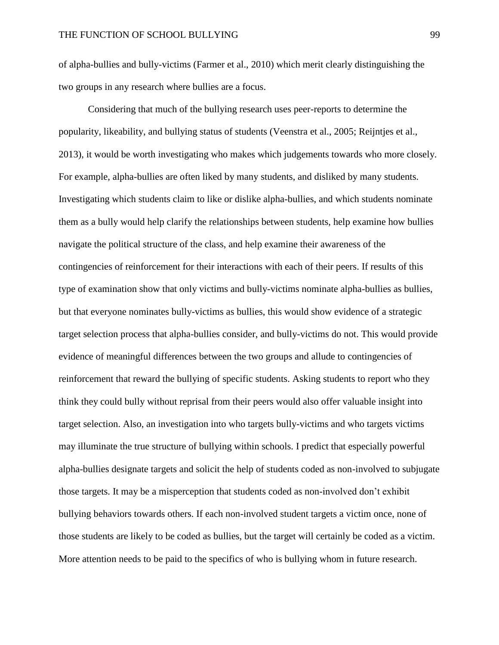of alpha-bullies and bully-victims (Farmer et al., 2010) which merit clearly distinguishing the two groups in any research where bullies are a focus.

Considering that much of the bullying research uses peer-reports to determine the popularity, likeability, and bullying status of students (Veenstra et al., 2005; Reijntjes et al., 2013), it would be worth investigating who makes which judgements towards who more closely. For example, alpha-bullies are often liked by many students, and disliked by many students. Investigating which students claim to like or dislike alpha-bullies, and which students nominate them as a bully would help clarify the relationships between students, help examine how bullies navigate the political structure of the class, and help examine their awareness of the contingencies of reinforcement for their interactions with each of their peers. If results of this type of examination show that only victims and bully-victims nominate alpha-bullies as bullies, but that everyone nominates bully-victims as bullies, this would show evidence of a strategic target selection process that alpha-bullies consider, and bully-victims do not. This would provide evidence of meaningful differences between the two groups and allude to contingencies of reinforcement that reward the bullying of specific students. Asking students to report who they think they could bully without reprisal from their peers would also offer valuable insight into target selection. Also, an investigation into who targets bully-victims and who targets victims may illuminate the true structure of bullying within schools. I predict that especially powerful alpha-bullies designate targets and solicit the help of students coded as non-involved to subjugate those targets. It may be a misperception that students coded as non-involved don't exhibit bullying behaviors towards others. If each non-involved student targets a victim once, none of those students are likely to be coded as bullies, but the target will certainly be coded as a victim. More attention needs to be paid to the specifics of who is bullying whom in future research.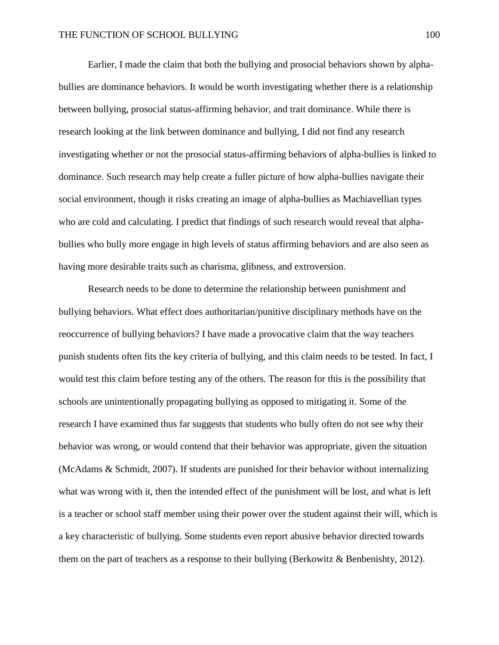Earlier, I made the claim that both the bullying and prosocial behaviors shown by alphabullies are dominance behaviors. It would be worth investigating whether there is a relationship between bullying, prosocial status-affirming behavior, and trait dominance. While there is research looking at the link between dominance and bullying, I did not find any research investigating whether or not the prosocial status-affirming behaviors of alpha-bullies is linked to dominance. Such research may help create a fuller picture of how alpha-bullies navigate their social environment, though it risks creating an image of alpha-bullies as Machiavellian types who are cold and calculating. I predict that findings of such research would reveal that alphabullies who bully more engage in high levels of status affirming behaviors and are also seen as having more desirable traits such as charisma, glibness, and extroversion.

Research needs to be done to determine the relationship between punishment and bullying behaviors. What effect does authoritarian/punitive disciplinary methods have on the reoccurrence of bullying behaviors? I have made a provocative claim that the way teachers punish students often fits the key criteria of bullying, and this claim needs to be tested. In fact, I would test this claim before testing any of the others. The reason for this is the possibility that schools are unintentionally propagating bullying as opposed to mitigating it. Some of the research I have examined thus far suggests that students who bully often do not see why their behavior was wrong, or would contend that their behavior was appropriate, given the situation (McAdams & Schmidt, 2007). If students are punished for their behavior without internalizing what was wrong with it, then the intended effect of the punishment will be lost, and what is left is a teacher or school staff member using their power over the student against their will, which is a key characteristic of bullying. Some students even report abusive behavior directed towards them on the part of teachers as a response to their bullying (Berkowitz & Benbenishty, 2012).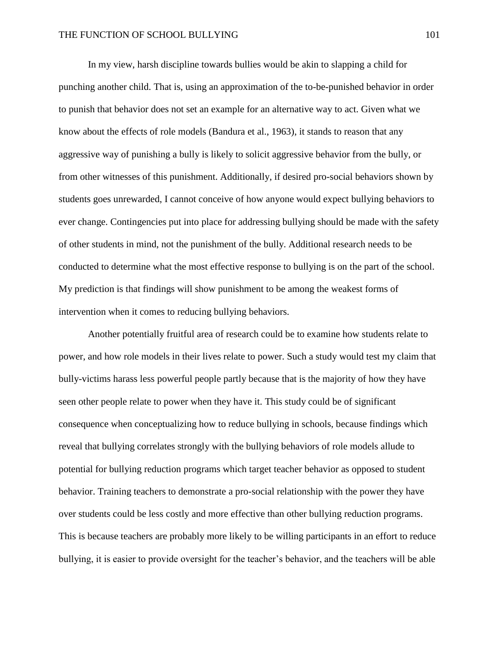In my view, harsh discipline towards bullies would be akin to slapping a child for punching another child. That is, using an approximation of the to-be-punished behavior in order to punish that behavior does not set an example for an alternative way to act. Given what we know about the effects of role models (Bandura et al., 1963), it stands to reason that any aggressive way of punishing a bully is likely to solicit aggressive behavior from the bully, or from other witnesses of this punishment. Additionally, if desired pro-social behaviors shown by students goes unrewarded, I cannot conceive of how anyone would expect bullying behaviors to ever change. Contingencies put into place for addressing bullying should be made with the safety of other students in mind, not the punishment of the bully. Additional research needs to be conducted to determine what the most effective response to bullying is on the part of the school. My prediction is that findings will show punishment to be among the weakest forms of intervention when it comes to reducing bullying behaviors.

Another potentially fruitful area of research could be to examine how students relate to power, and how role models in their lives relate to power. Such a study would test my claim that bully-victims harass less powerful people partly because that is the majority of how they have seen other people relate to power when they have it. This study could be of significant consequence when conceptualizing how to reduce bullying in schools, because findings which reveal that bullying correlates strongly with the bullying behaviors of role models allude to potential for bullying reduction programs which target teacher behavior as opposed to student behavior. Training teachers to demonstrate a pro-social relationship with the power they have over students could be less costly and more effective than other bullying reduction programs. This is because teachers are probably more likely to be willing participants in an effort to reduce bullying, it is easier to provide oversight for the teacher's behavior, and the teachers will be able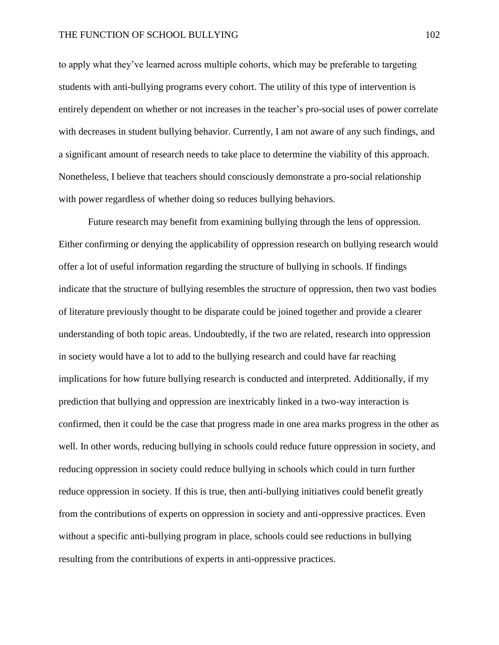to apply what they've learned across multiple cohorts, which may be preferable to targeting students with anti-bullying programs every cohort. The utility of this type of intervention is entirely dependent on whether or not increases in the teacher's pro-social uses of power correlate with decreases in student bullying behavior. Currently, I am not aware of any such findings, and a significant amount of research needs to take place to determine the viability of this approach. Nonetheless, I believe that teachers should consciously demonstrate a pro-social relationship with power regardless of whether doing so reduces bullying behaviors.

Future research may benefit from examining bullying through the lens of oppression. Either confirming or denying the applicability of oppression research on bullying research would offer a lot of useful information regarding the structure of bullying in schools. If findings indicate that the structure of bullying resembles the structure of oppression, then two vast bodies of literature previously thought to be disparate could be joined together and provide a clearer understanding of both topic areas. Undoubtedly, if the two are related, research into oppression in society would have a lot to add to the bullying research and could have far reaching implications for how future bullying research is conducted and interpreted. Additionally, if my prediction that bullying and oppression are inextricably linked in a two-way interaction is confirmed, then it could be the case that progress made in one area marks progress in the other as well. In other words, reducing bullying in schools could reduce future oppression in society, and reducing oppression in society could reduce bullying in schools which could in turn further reduce oppression in society. If this is true, then anti-bullying initiatives could benefit greatly from the contributions of experts on oppression in society and anti-oppressive practices. Even without a specific anti-bullying program in place, schools could see reductions in bullying resulting from the contributions of experts in anti-oppressive practices.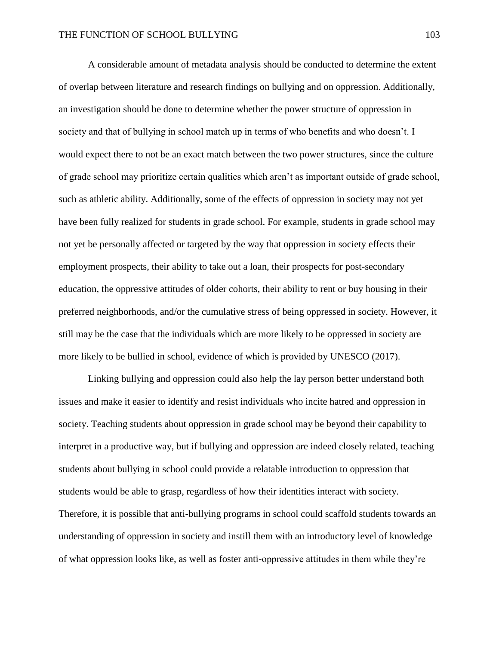A considerable amount of metadata analysis should be conducted to determine the extent of overlap between literature and research findings on bullying and on oppression. Additionally, an investigation should be done to determine whether the power structure of oppression in society and that of bullying in school match up in terms of who benefits and who doesn't. I would expect there to not be an exact match between the two power structures, since the culture of grade school may prioritize certain qualities which aren't as important outside of grade school, such as athletic ability. Additionally, some of the effects of oppression in society may not yet have been fully realized for students in grade school. For example, students in grade school may not yet be personally affected or targeted by the way that oppression in society effects their employment prospects, their ability to take out a loan, their prospects for post-secondary education, the oppressive attitudes of older cohorts, their ability to rent or buy housing in their preferred neighborhoods, and/or the cumulative stress of being oppressed in society. However, it still may be the case that the individuals which are more likely to be oppressed in society are more likely to be bullied in school, evidence of which is provided by UNESCO (2017).

Linking bullying and oppression could also help the lay person better understand both issues and make it easier to identify and resist individuals who incite hatred and oppression in society. Teaching students about oppression in grade school may be beyond their capability to interpret in a productive way, but if bullying and oppression are indeed closely related, teaching students about bullying in school could provide a relatable introduction to oppression that students would be able to grasp, regardless of how their identities interact with society. Therefore, it is possible that anti-bullying programs in school could scaffold students towards an understanding of oppression in society and instill them with an introductory level of knowledge of what oppression looks like, as well as foster anti-oppressive attitudes in them while they're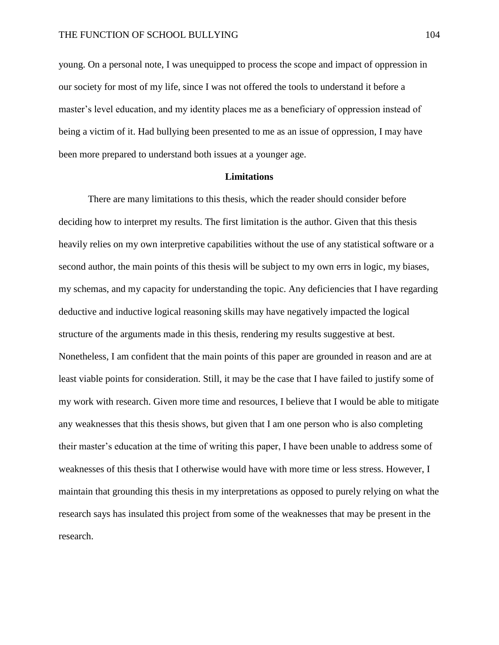young. On a personal note, I was unequipped to process the scope and impact of oppression in our society for most of my life, since I was not offered the tools to understand it before a master's level education, and my identity places me as a beneficiary of oppression instead of being a victim of it. Had bullying been presented to me as an issue of oppression, I may have been more prepared to understand both issues at a younger age.

### **Limitations**

There are many limitations to this thesis, which the reader should consider before deciding how to interpret my results. The first limitation is the author. Given that this thesis heavily relies on my own interpretive capabilities without the use of any statistical software or a second author, the main points of this thesis will be subject to my own errs in logic, my biases, my schemas, and my capacity for understanding the topic. Any deficiencies that I have regarding deductive and inductive logical reasoning skills may have negatively impacted the logical structure of the arguments made in this thesis, rendering my results suggestive at best. Nonetheless, I am confident that the main points of this paper are grounded in reason and are at least viable points for consideration. Still, it may be the case that I have failed to justify some of my work with research. Given more time and resources, I believe that I would be able to mitigate any weaknesses that this thesis shows, but given that I am one person who is also completing their master's education at the time of writing this paper, I have been unable to address some of weaknesses of this thesis that I otherwise would have with more time or less stress. However, I maintain that grounding this thesis in my interpretations as opposed to purely relying on what the research says has insulated this project from some of the weaknesses that may be present in the research.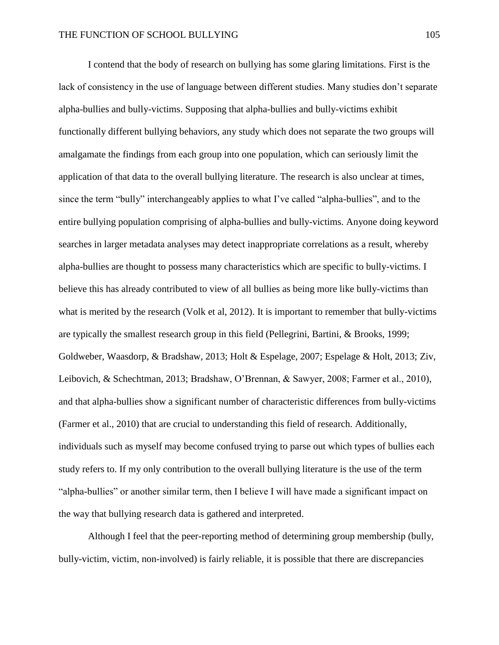I contend that the body of research on bullying has some glaring limitations. First is the lack of consistency in the use of language between different studies. Many studies don't separate alpha-bullies and bully-victims. Supposing that alpha-bullies and bully-victims exhibit functionally different bullying behaviors, any study which does not separate the two groups will amalgamate the findings from each group into one population, which can seriously limit the application of that data to the overall bullying literature. The research is also unclear at times, since the term "bully" interchangeably applies to what I've called "alpha-bullies", and to the entire bullying population comprising of alpha-bullies and bully-victims. Anyone doing keyword searches in larger metadata analyses may detect inappropriate correlations as a result, whereby alpha-bullies are thought to possess many characteristics which are specific to bully-victims. I believe this has already contributed to view of all bullies as being more like bully-victims than what is merited by the research (Volk et al, 2012). It is important to remember that bully-victims are typically the smallest research group in this field (Pellegrini, Bartini, & Brooks, 1999; Goldweber, Waasdorp, & Bradshaw, 2013; Holt & Espelage, 2007; Espelage & Holt, 2013; Ziv, Leibovich, & Schechtman, 2013; Bradshaw, O'Brennan, & Sawyer, 2008; Farmer et al., 2010), and that alpha-bullies show a significant number of characteristic differences from bully-victims (Farmer et al., 2010) that are crucial to understanding this field of research. Additionally, individuals such as myself may become confused trying to parse out which types of bullies each study refers to. If my only contribution to the overall bullying literature is the use of the term "alpha-bullies" or another similar term, then I believe I will have made a significant impact on the way that bullying research data is gathered and interpreted.

Although I feel that the peer-reporting method of determining group membership (bully, bully-victim, victim, non-involved) is fairly reliable, it is possible that there are discrepancies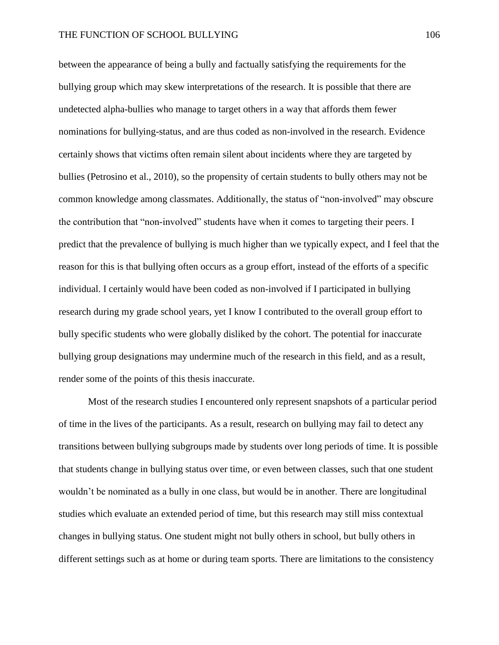between the appearance of being a bully and factually satisfying the requirements for the bullying group which may skew interpretations of the research. It is possible that there are undetected alpha-bullies who manage to target others in a way that affords them fewer nominations for bullying-status, and are thus coded as non-involved in the research. Evidence certainly shows that victims often remain silent about incidents where they are targeted by bullies (Petrosino et al., 2010), so the propensity of certain students to bully others may not be common knowledge among classmates. Additionally, the status of "non-involved" may obscure the contribution that "non-involved" students have when it comes to targeting their peers. I predict that the prevalence of bullying is much higher than we typically expect, and I feel that the reason for this is that bullying often occurs as a group effort, instead of the efforts of a specific individual. I certainly would have been coded as non-involved if I participated in bullying research during my grade school years, yet I know I contributed to the overall group effort to bully specific students who were globally disliked by the cohort. The potential for inaccurate bullying group designations may undermine much of the research in this field, and as a result, render some of the points of this thesis inaccurate.

Most of the research studies I encountered only represent snapshots of a particular period of time in the lives of the participants. As a result, research on bullying may fail to detect any transitions between bullying subgroups made by students over long periods of time. It is possible that students change in bullying status over time, or even between classes, such that one student wouldn't be nominated as a bully in one class, but would be in another. There are longitudinal studies which evaluate an extended period of time, but this research may still miss contextual changes in bullying status. One student might not bully others in school, but bully others in different settings such as at home or during team sports. There are limitations to the consistency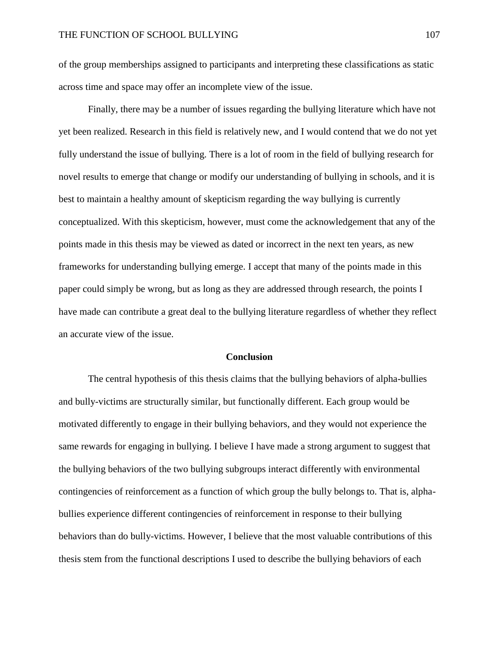of the group memberships assigned to participants and interpreting these classifications as static across time and space may offer an incomplete view of the issue.

Finally, there may be a number of issues regarding the bullying literature which have not yet been realized. Research in this field is relatively new, and I would contend that we do not yet fully understand the issue of bullying. There is a lot of room in the field of bullying research for novel results to emerge that change or modify our understanding of bullying in schools, and it is best to maintain a healthy amount of skepticism regarding the way bullying is currently conceptualized. With this skepticism, however, must come the acknowledgement that any of the points made in this thesis may be viewed as dated or incorrect in the next ten years, as new frameworks for understanding bullying emerge. I accept that many of the points made in this paper could simply be wrong, but as long as they are addressed through research, the points I have made can contribute a great deal to the bullying literature regardless of whether they reflect an accurate view of the issue.

## **Conclusion**

The central hypothesis of this thesis claims that the bullying behaviors of alpha-bullies and bully-victims are structurally similar, but functionally different. Each group would be motivated differently to engage in their bullying behaviors, and they would not experience the same rewards for engaging in bullying. I believe I have made a strong argument to suggest that the bullying behaviors of the two bullying subgroups interact differently with environmental contingencies of reinforcement as a function of which group the bully belongs to. That is, alphabullies experience different contingencies of reinforcement in response to their bullying behaviors than do bully-victims. However, I believe that the most valuable contributions of this thesis stem from the functional descriptions I used to describe the bullying behaviors of each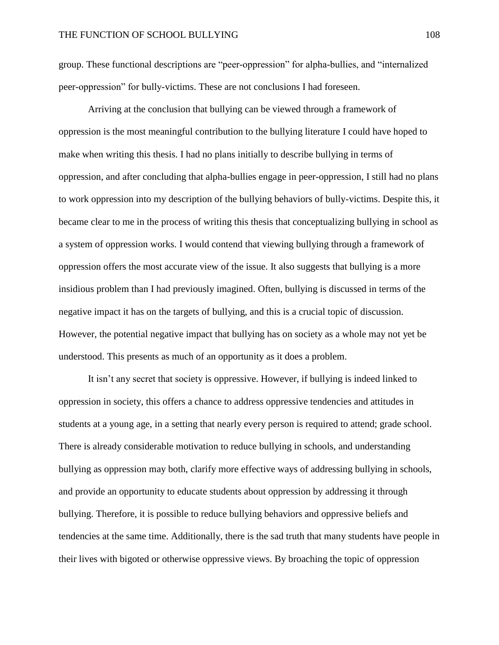group. These functional descriptions are "peer-oppression" for alpha-bullies, and "internalized peer-oppression" for bully-victims. These are not conclusions I had foreseen.

Arriving at the conclusion that bullying can be viewed through a framework of oppression is the most meaningful contribution to the bullying literature I could have hoped to make when writing this thesis. I had no plans initially to describe bullying in terms of oppression, and after concluding that alpha-bullies engage in peer-oppression, I still had no plans to work oppression into my description of the bullying behaviors of bully-victims. Despite this, it became clear to me in the process of writing this thesis that conceptualizing bullying in school as a system of oppression works. I would contend that viewing bullying through a framework of oppression offers the most accurate view of the issue. It also suggests that bullying is a more insidious problem than I had previously imagined. Often, bullying is discussed in terms of the negative impact it has on the targets of bullying, and this is a crucial topic of discussion. However, the potential negative impact that bullying has on society as a whole may not yet be understood. This presents as much of an opportunity as it does a problem.

It isn't any secret that society is oppressive. However, if bullying is indeed linked to oppression in society, this offers a chance to address oppressive tendencies and attitudes in students at a young age, in a setting that nearly every person is required to attend; grade school. There is already considerable motivation to reduce bullying in schools, and understanding bullying as oppression may both, clarify more effective ways of addressing bullying in schools, and provide an opportunity to educate students about oppression by addressing it through bullying. Therefore, it is possible to reduce bullying behaviors and oppressive beliefs and tendencies at the same time. Additionally, there is the sad truth that many students have people in their lives with bigoted or otherwise oppressive views. By broaching the topic of oppression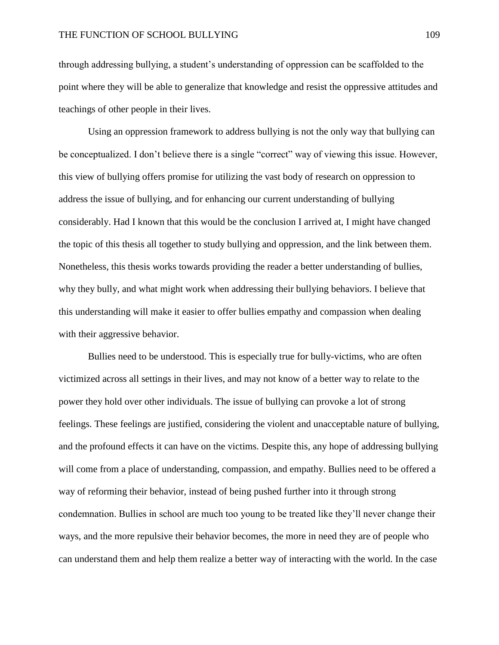through addressing bullying, a student's understanding of oppression can be scaffolded to the point where they will be able to generalize that knowledge and resist the oppressive attitudes and teachings of other people in their lives.

Using an oppression framework to address bullying is not the only way that bullying can be conceptualized. I don't believe there is a single "correct" way of viewing this issue. However, this view of bullying offers promise for utilizing the vast body of research on oppression to address the issue of bullying, and for enhancing our current understanding of bullying considerably. Had I known that this would be the conclusion I arrived at, I might have changed the topic of this thesis all together to study bullying and oppression, and the link between them. Nonetheless, this thesis works towards providing the reader a better understanding of bullies, why they bully, and what might work when addressing their bullying behaviors. I believe that this understanding will make it easier to offer bullies empathy and compassion when dealing with their aggressive behavior.

Bullies need to be understood. This is especially true for bully-victims, who are often victimized across all settings in their lives, and may not know of a better way to relate to the power they hold over other individuals. The issue of bullying can provoke a lot of strong feelings. These feelings are justified, considering the violent and unacceptable nature of bullying, and the profound effects it can have on the victims. Despite this, any hope of addressing bullying will come from a place of understanding, compassion, and empathy. Bullies need to be offered a way of reforming their behavior, instead of being pushed further into it through strong condemnation. Bullies in school are much too young to be treated like they'll never change their ways, and the more repulsive their behavior becomes, the more in need they are of people who can understand them and help them realize a better way of interacting with the world. In the case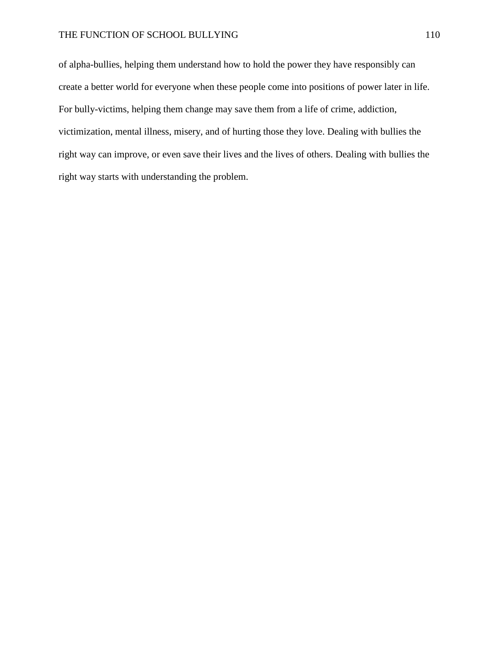## THE FUNCTION OF SCHOOL BULLYING 110

of alpha-bullies, helping them understand how to hold the power they have responsibly can create a better world for everyone when these people come into positions of power later in life. For bully-victims, helping them change may save them from a life of crime, addiction, victimization, mental illness, misery, and of hurting those they love. Dealing with bullies the right way can improve, or even save their lives and the lives of others. Dealing with bullies the right way starts with understanding the problem.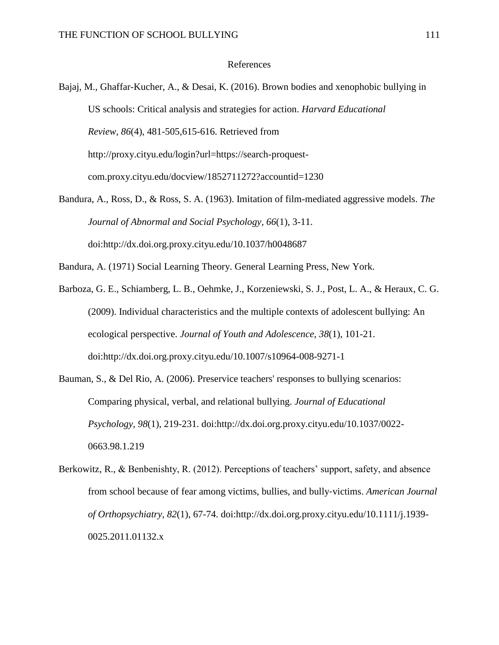## References

Bajaj, M., Ghaffar-Kucher, A., & Desai, K. (2016). Brown bodies and xenophobic bullying in US schools: Critical analysis and strategies for action. *Harvard Educational Review, 86*(4), 481-505,615-616. Retrieved from http://proxy.cityu.edu/login?url=https://search-proquestcom.proxy.cityu.edu/docview/1852711272?accountid=1230

Bandura, A., Ross, D., & Ross, S. A. (1963). Imitation of film-mediated aggressive models. *The Journal of Abnormal and Social Psychology, 66*(1), 3-11. doi:http://dx.doi.org.proxy.cityu.edu/10.1037/h0048687

Bandura, A. (1971) Social Learning Theory. General Learning Press, New York.

Barboza, G. E., Schiamberg, L. B., Oehmke, J., Korzeniewski, S. J., Post, L. A., & Heraux, C. G. (2009). Individual characteristics and the multiple contexts of adolescent bullying: An ecological perspective. *Journal of Youth and Adolescence, 38*(1), 101-21. doi:http://dx.doi.org.proxy.cityu.edu/10.1007/s10964-008-9271-1

Bauman, S., & Del Rio, A. (2006). Preservice teachers' responses to bullying scenarios: Comparing physical, verbal, and relational bullying. *Journal of Educational Psychology, 98*(1), 219-231. doi:http://dx.doi.org.proxy.cityu.edu/10.1037/0022- 0663.98.1.219

Berkowitz, R., & Benbenishty, R. (2012). Perceptions of teachers' support, safety, and absence from school because of fear among victims, bullies, and bully‐victims. *American Journal of Orthopsychiatry, 82*(1), 67-74. doi:http://dx.doi.org.proxy.cityu.edu/10.1111/j.1939- 0025.2011.01132.x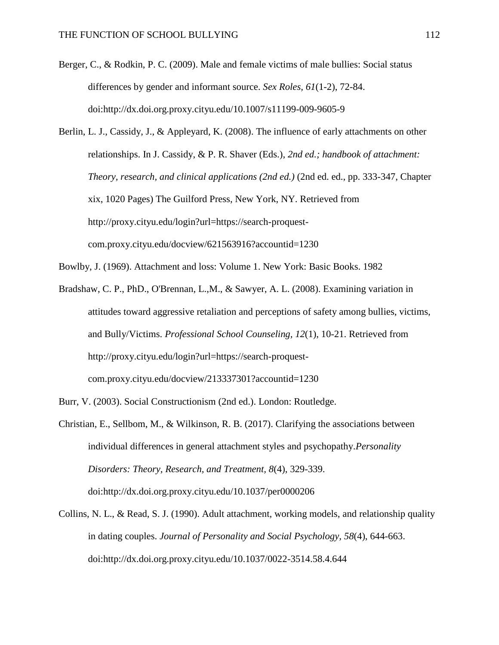Berger, C., & Rodkin, P. C. (2009). Male and female victims of male bullies: Social status differences by gender and informant source. *Sex Roles, 61*(1-2), 72-84. doi:http://dx.doi.org.proxy.cityu.edu/10.1007/s11199-009-9605-9

Berlin, L. J., Cassidy, J., & Appleyard, K. (2008). The influence of early attachments on other relationships. In J. Cassidy, & P. R. Shaver (Eds.), *2nd ed.; handbook of attachment: Theory, research, and clinical applications (2nd ed.)* (2nd ed. ed., pp. 333-347, Chapter xix, 1020 Pages) The Guilford Press, New York, NY. Retrieved from http://proxy.cityu.edu/login?url=https://search-proquestcom.proxy.cityu.edu/docview/621563916?accountid=1230

Bowlby, J. (1969). Attachment and loss: Volume 1. New York: Basic Books. 1982

Bradshaw, C. P., PhD., O'Brennan, L.,M., & Sawyer, A. L. (2008). Examining variation in attitudes toward aggressive retaliation and perceptions of safety among bullies, victims, and Bully/Victims. *Professional School Counseling, 12*(1), 10-21. Retrieved from http://proxy.cityu.edu/login?url=https://search-proquestcom.proxy.cityu.edu/docview/213337301?accountid=1230

- Burr, V. (2003). Social Constructionism (2nd ed.). London: Routledge.
- Christian, E., Sellbom, M., & Wilkinson, R. B. (2017). Clarifying the associations between individual differences in general attachment styles and psychopathy.*Personality Disorders: Theory, Research, and Treatment, 8*(4), 329-339. doi:http://dx.doi.org.proxy.cityu.edu/10.1037/per0000206
- Collins, N. L., & Read, S. J. (1990). Adult attachment, working models, and relationship quality in dating couples. *Journal of Personality and Social Psychology, 58*(4), 644-663. doi:http://dx.doi.org.proxy.cityu.edu/10.1037/0022-3514.58.4.644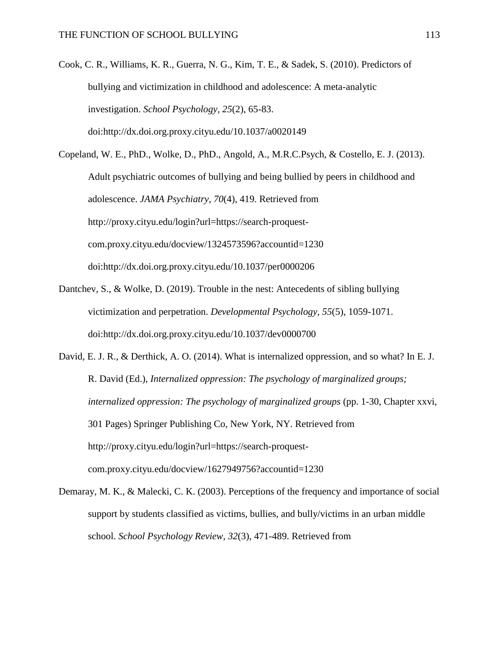Cook, C. R., Williams, K. R., Guerra, N. G., Kim, T. E., & Sadek, S. (2010). Predictors of bullying and victimization in childhood and adolescence: A meta-analytic investigation. *School Psychology, 25*(2), 65-83. doi:http://dx.doi.org.proxy.cityu.edu/10.1037/a0020149

Copeland, W. E., PhD., Wolke, D., PhD., Angold, A., M.R.C.Psych, & Costello, E. J. (2013). Adult psychiatric outcomes of bullying and being bullied by peers in childhood and adolescence. *JAMA Psychiatry, 70*(4), 419. Retrieved from http://proxy.cityu.edu/login?url=https://search-proquestcom.proxy.cityu.edu/docview/1324573596?accountid=1230 doi:http://dx.doi.org.proxy.cityu.edu/10.1037/per0000206

- Dantchev, S., & Wolke, D. (2019). Trouble in the nest: Antecedents of sibling bullying victimization and perpetration. *Developmental Psychology, 55*(5), 1059-1071. doi:http://dx.doi.org.proxy.cityu.edu/10.1037/dev0000700
- David, E. J. R., & Derthick, A. O. (2014). What is internalized oppression, and so what? In E. J. R. David (Ed.), *Internalized oppression: The psychology of marginalized groups; internalized oppression: The psychology of marginalized groups* (pp. 1-30, Chapter xxvi, 301 Pages) Springer Publishing Co, New York, NY. Retrieved from http://proxy.cityu.edu/login?url=https://search-proquestcom.proxy.cityu.edu/docview/1627949756?accountid=1230
- Demaray, M. K., & Malecki, C. K. (2003). Perceptions of the frequency and importance of social support by students classified as victims, bullies, and bully/victims in an urban middle school. *School Psychology Review, 32*(3), 471-489. Retrieved from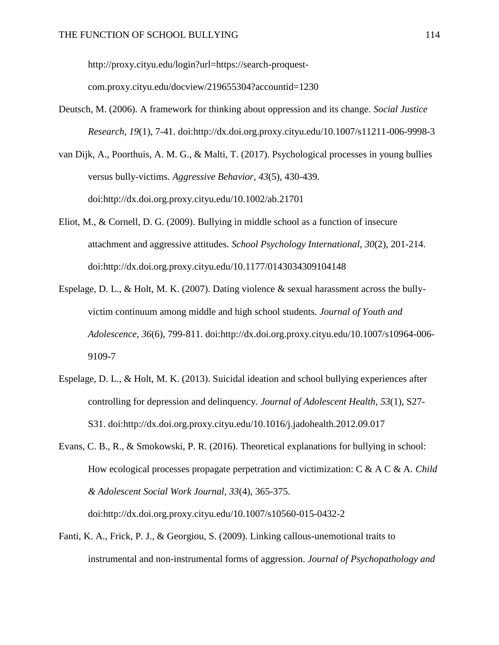http://proxy.cityu.edu/login?url=https://search-proquest-

com.proxy.cityu.edu/docview/219655304?accountid=1230

- Deutsch, M. (2006). A framework for thinking about oppression and its change. *Social Justice Research, 19*(1), 7-41. doi:http://dx.doi.org.proxy.cityu.edu/10.1007/s11211-006-9998-3
- van Dijk, A., Poorthuis, A. M. G., & Malti, T. (2017). Psychological processes in young bullies versus bully-victims. *Aggressive Behavior, 43*(5), 430-439. doi:http://dx.doi.org.proxy.cityu.edu/10.1002/ab.21701
- Eliot, M., & Cornell, D. G. (2009). Bullying in middle school as a function of insecure attachment and aggressive attitudes. *School Psychology International, 30*(2), 201-214. doi:http://dx.doi.org.proxy.cityu.edu/10.1177/0143034309104148
- Espelage, D. L., & Holt, M. K. (2007). Dating violence & sexual harassment across the bullyvictim continuum among middle and high school students. *Journal of Youth and Adolescence, 36*(6), 799-811. doi:http://dx.doi.org.proxy.cityu.edu/10.1007/s10964-006- 9109-7
- Espelage, D. L., & Holt, M. K. (2013). Suicidal ideation and school bullying experiences after controlling for depression and delinquency. *Journal of Adolescent Health, 53*(1), S27- S31. doi:http://dx.doi.org.proxy.cityu.edu/10.1016/j.jadohealth.2012.09.017
- Evans, C. B., R., & Smokowski, P. R. (2016). Theoretical explanations for bullying in school: How ecological processes propagate perpetration and victimization: C & A C & A. *Child & Adolescent Social Work Journal, 33*(4), 365-375. doi:http://dx.doi.org.proxy.cityu.edu/10.1007/s10560-015-0432-2
- Fanti, K. A., Frick, P. J., & Georgiou, S. (2009). Linking callous-unemotional traits to instrumental and non-instrumental forms of aggression. *Journal of Psychopathology and*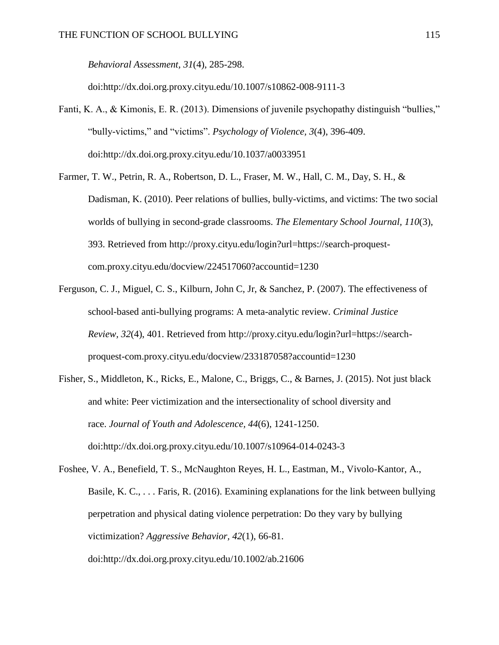*Behavioral Assessment, 31*(4), 285-298.

doi:http://dx.doi.org.proxy.cityu.edu/10.1007/s10862-008-9111-3

- Fanti, K. A., & Kimonis, E. R. (2013). Dimensions of juvenile psychopathy distinguish "bullies," "bully-victims," and "victims". *Psychology of Violence, 3*(4), 396-409. doi:http://dx.doi.org.proxy.cityu.edu/10.1037/a0033951
- Farmer, T. W., Petrin, R. A., Robertson, D. L., Fraser, M. W., Hall, C. M., Day, S. H., & Dadisman, K. (2010). Peer relations of bullies, bully-victims, and victims: The two social worlds of bullying in second-grade classrooms. *The Elementary School Journal, 110*(3), 393. Retrieved from http://proxy.cityu.edu/login?url=https://search-proquestcom.proxy.cityu.edu/docview/224517060?accountid=1230
- Ferguson, C. J., Miguel, C. S., Kilburn, John C, Jr, & Sanchez, P. (2007). The effectiveness of school-based anti-bullying programs: A meta-analytic review. *Criminal Justice Review, 32*(4), 401. Retrieved from http://proxy.cityu.edu/login?url=https://searchproquest-com.proxy.cityu.edu/docview/233187058?accountid=1230
- Fisher, S., Middleton, K., Ricks, E., Malone, C., Briggs, C., & Barnes, J. (2015). Not just black and white: Peer victimization and the intersectionality of school diversity and race. *Journal of Youth and Adolescence, 44*(6), 1241-1250. doi:http://dx.doi.org.proxy.cityu.edu/10.1007/s10964-014-0243-3

Foshee, V. A., Benefield, T. S., McNaughton Reyes, H. L., Eastman, M., Vivolo-Kantor, A., Basile, K. C., . . . Faris, R. (2016). Examining explanations for the link between bullying perpetration and physical dating violence perpetration: Do they vary by bullying victimization? *Aggressive Behavior, 42*(1), 66-81. doi:http://dx.doi.org.proxy.cityu.edu/10.1002/ab.21606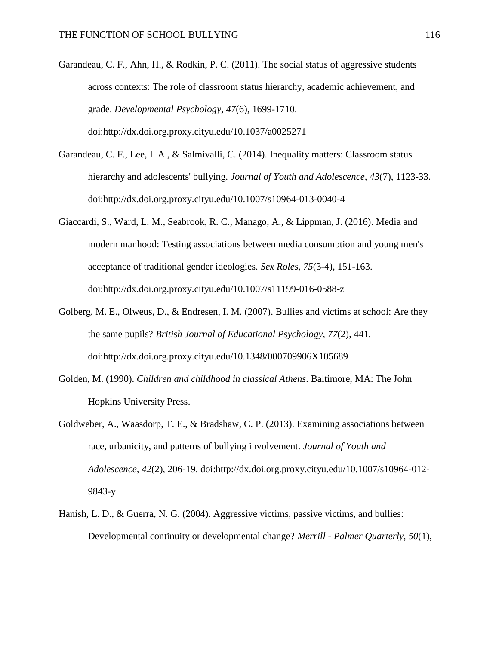- Garandeau, C. F., Ahn, H., & Rodkin, P. C. (2011). The social status of aggressive students across contexts: The role of classroom status hierarchy, academic achievement, and grade. *Developmental Psychology, 47*(6), 1699-1710. doi:http://dx.doi.org.proxy.cityu.edu/10.1037/a0025271
- Garandeau, C. F., Lee, I. A., & Salmivalli, C. (2014). Inequality matters: Classroom status hierarchy and adolescents' bullying. *Journal of Youth and Adolescence, 43*(7), 1123-33. doi:http://dx.doi.org.proxy.cityu.edu/10.1007/s10964-013-0040-4
- Giaccardi, S., Ward, L. M., Seabrook, R. C., Manago, A., & Lippman, J. (2016). Media and modern manhood: Testing associations between media consumption and young men's acceptance of traditional gender ideologies. *Sex Roles, 75*(3-4), 151-163. doi:http://dx.doi.org.proxy.cityu.edu/10.1007/s11199-016-0588-z
- Golberg, M. E., Olweus, D., & Endresen, I. M. (2007). Bullies and victims at school: Are they the same pupils? *British Journal of Educational Psychology, 77*(2), 441. doi:http://dx.doi.org.proxy.cityu.edu/10.1348/000709906X105689
- Golden, M. (1990). *Children and childhood in classical Athens*. Baltimore, MA: The John Hopkins University Press.
- Goldweber, A., Waasdorp, T. E., & Bradshaw, C. P. (2013). Examining associations between race, urbanicity, and patterns of bullying involvement. *Journal of Youth and Adolescence, 42*(2), 206-19. doi:http://dx.doi.org.proxy.cityu.edu/10.1007/s10964-012- 9843-y
- Hanish, L. D., & Guerra, N. G. (2004). Aggressive victims, passive victims, and bullies: Developmental continuity or developmental change? *Merrill - Palmer Quarterly, 50*(1),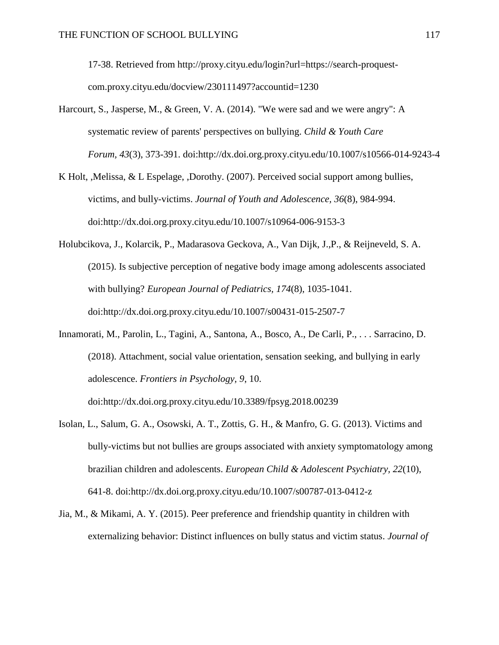17-38. Retrieved from http://proxy.cityu.edu/login?url=https://search-proquestcom.proxy.cityu.edu/docview/230111497?accountid=1230

- Harcourt, S., Jasperse, M., & Green, V. A. (2014). "We were sad and we were angry": A systematic review of parents' perspectives on bullying. *Child & Youth Care Forum, 43*(3), 373-391. doi:http://dx.doi.org.proxy.cityu.edu/10.1007/s10566-014-9243-4
- K Holt, ,Melissa, & L Espelage, ,Dorothy. (2007). Perceived social support among bullies, victims, and bully-victims. *Journal of Youth and Adolescence, 36*(8), 984-994. doi:http://dx.doi.org.proxy.cityu.edu/10.1007/s10964-006-9153-3
- Holubcikova, J., Kolarcik, P., Madarasova Geckova, A., Van Dijk, J.,P., & Reijneveld, S. A. (2015). Is subjective perception of negative body image among adolescents associated with bullying? *European Journal of Pediatrics, 174*(8), 1035-1041. doi:http://dx.doi.org.proxy.cityu.edu/10.1007/s00431-015-2507-7
- Innamorati, M., Parolin, L., Tagini, A., Santona, A., Bosco, A., De Carli, P., . . . Sarracino, D. (2018). Attachment, social value orientation, sensation seeking, and bullying in early adolescence. *Frontiers in Psychology, 9*, 10.

doi:http://dx.doi.org.proxy.cityu.edu/10.3389/fpsyg.2018.00239

- Isolan, L., Salum, G. A., Osowski, A. T., Zottis, G. H., & Manfro, G. G. (2013). Victims and bully-victims but not bullies are groups associated with anxiety symptomatology among brazilian children and adolescents. *European Child & Adolescent Psychiatry, 22*(10), 641-8. doi:http://dx.doi.org.proxy.cityu.edu/10.1007/s00787-013-0412-z
- Jia, M., & Mikami, A. Y. (2015). Peer preference and friendship quantity in children with externalizing behavior: Distinct influences on bully status and victim status. *Journal of*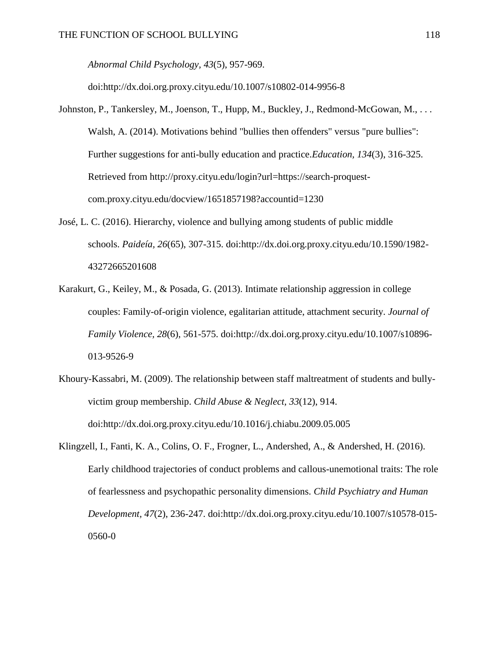*Abnormal Child Psychology, 43*(5), 957-969.

doi:http://dx.doi.org.proxy.cityu.edu/10.1007/s10802-014-9956-8

- Johnston, P., Tankersley, M., Joenson, T., Hupp, M., Buckley, J., Redmond-McGowan, M., . . . Walsh, A. (2014). Motivations behind "bullies then offenders" versus "pure bullies": Further suggestions for anti-bully education and practice.*Education, 134*(3), 316-325. Retrieved from http://proxy.cityu.edu/login?url=https://search-proquestcom.proxy.cityu.edu/docview/1651857198?accountid=1230
- José, L. C. (2016). Hierarchy, violence and bullying among students of public middle schools. *Paideía, 26*(65), 307-315. doi:http://dx.doi.org.proxy.cityu.edu/10.1590/1982- 43272665201608
- Karakurt, G., Keiley, M., & Posada, G. (2013). Intimate relationship aggression in college couples: Family-of-origin violence, egalitarian attitude, attachment security. *Journal of Family Violence, 28*(6), 561-575. doi:http://dx.doi.org.proxy.cityu.edu/10.1007/s10896- 013-9526-9
- Khoury-Kassabri, M. (2009). The relationship between staff maltreatment of students and bullyvictim group membership. *Child Abuse & Neglect, 33*(12), 914. doi:http://dx.doi.org.proxy.cityu.edu/10.1016/j.chiabu.2009.05.005
- Klingzell, I., Fanti, K. A., Colins, O. F., Frogner, L., Andershed, A., & Andershed, H. (2016). Early childhood trajectories of conduct problems and callous-unemotional traits: The role of fearlessness and psychopathic personality dimensions. *Child Psychiatry and Human Development, 47*(2), 236-247. doi:http://dx.doi.org.proxy.cityu.edu/10.1007/s10578-015- 0560-0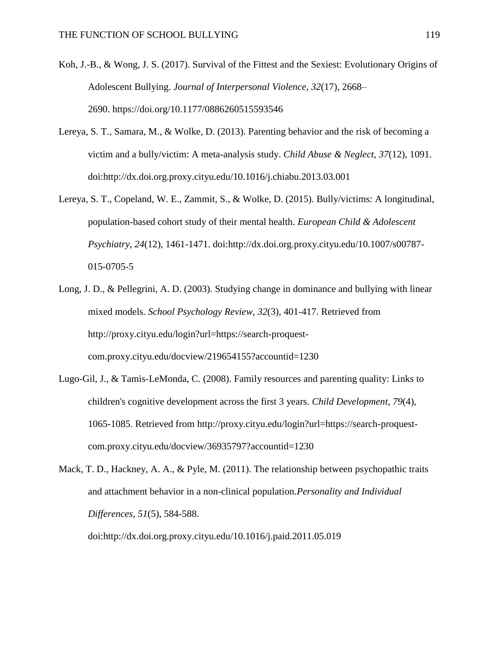- Koh, J.-B., & Wong, J. S. (2017). Survival of the Fittest and the Sexiest: Evolutionary Origins of Adolescent Bullying. *Journal of Interpersonal Violence*, *32*(17), 2668– 2690. https://doi.org/10.1177/0886260515593546
- Lereya, S. T., Samara, M., & Wolke, D. (2013). Parenting behavior and the risk of becoming a victim and a bully/victim: A meta-analysis study. *Child Abuse & Neglect, 37*(12), 1091. doi:http://dx.doi.org.proxy.cityu.edu/10.1016/j.chiabu.2013.03.001
- Lereya, S. T., Copeland, W. E., Zammit, S., & Wolke, D. (2015). Bully/victims: A longitudinal, population-based cohort study of their mental health. *European Child & Adolescent Psychiatry, 24*(12), 1461-1471. doi:http://dx.doi.org.proxy.cityu.edu/10.1007/s00787- 015-0705-5
- Long, J. D., & Pellegrini, A. D. (2003). Studying change in dominance and bullying with linear mixed models. *School Psychology Review, 32*(3), 401-417. Retrieved from http://proxy.cityu.edu/login?url=https://search-proquestcom.proxy.cityu.edu/docview/219654155?accountid=1230
- Lugo-Gil, J., & Tamis-LeMonda, C. (2008). Family resources and parenting quality: Links to children's cognitive development across the first 3 years. *Child Development, 79*(4), 1065-1085. Retrieved from http://proxy.cityu.edu/login?url=https://search-proquestcom.proxy.cityu.edu/docview/36935797?accountid=1230

Mack, T. D., Hackney, A. A., & Pyle, M. (2011). The relationship between psychopathic traits and attachment behavior in a non-clinical population.*Personality and Individual Differences, 51*(5), 584-588.

doi:http://dx.doi.org.proxy.cityu.edu/10.1016/j.paid.2011.05.019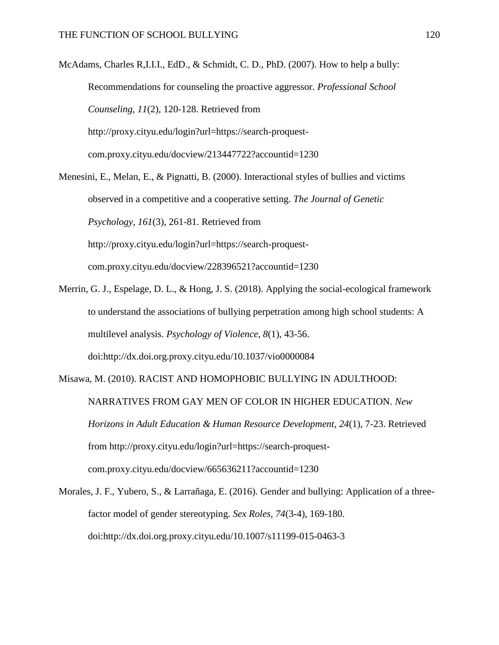McAdams, Charles R,I.I.I., EdD., & Schmidt, C. D., PhD. (2007). How to help a bully: Recommendations for counseling the proactive aggressor. *Professional School Counseling, 11*(2), 120-128. Retrieved from http://proxy.cityu.edu/login?url=https://search-proquestcom.proxy.cityu.edu/docview/213447722?accountid=1230

Menesini, E., Melan, E., & Pignatti, B. (2000). Interactional styles of bullies and victims observed in a competitive and a cooperative setting. *The Journal of Genetic Psychology, 161*(3), 261-81. Retrieved from http://proxy.cityu.edu/login?url=https://search-proquestcom.proxy.cityu.edu/docview/228396521?accountid=1230

Merrin, G. J., Espelage, D. L., & Hong, J. S. (2018). Applying the social-ecological framework to understand the associations of bullying perpetration among high school students: A multilevel analysis. *Psychology of Violence, 8*(1), 43-56. doi:http://dx.doi.org.proxy.cityu.edu/10.1037/vio0000084

Misawa, M. (2010). RACIST AND HOMOPHOBIC BULLYING IN ADULTHOOD: NARRATIVES FROM GAY MEN OF COLOR IN HIGHER EDUCATION. *New Horizons in Adult Education & Human Resource Development, 24*(1), 7-23. Retrieved from http://proxy.cityu.edu/login?url=https://search-proquestcom.proxy.cityu.edu/docview/665636211?accountid=1230

Morales, J. F., Yubero, S., & Larrañaga, E. (2016). Gender and bullying: Application of a threefactor model of gender stereotyping. *Sex Roles, 74*(3-4), 169-180. doi:http://dx.doi.org.proxy.cityu.edu/10.1007/s11199-015-0463-3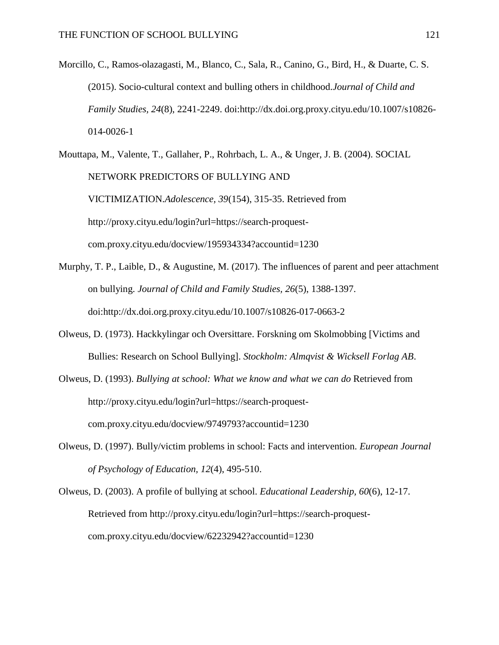Morcillo, C., Ramos-olazagasti, M., Blanco, C., Sala, R., Canino, G., Bird, H., & Duarte, C. S. (2015). Socio-cultural context and bulling others in childhood.*Journal of Child and Family Studies, 24*(8), 2241-2249. doi:http://dx.doi.org.proxy.cityu.edu/10.1007/s10826- 014-0026-1

Mouttapa, M., Valente, T., Gallaher, P., Rohrbach, L. A., & Unger, J. B. (2004). SOCIAL NETWORK PREDICTORS OF BULLYING AND VICTIMIZATION.*Adolescence, 39*(154), 315-35. Retrieved from http://proxy.cityu.edu/login?url=https://search-proquestcom.proxy.cityu.edu/docview/195934334?accountid=1230

- Murphy, T. P., Laible, D.,  $\&$  Augustine, M. (2017). The influences of parent and peer attachment on bullying. *Journal of Child and Family Studies, 26*(5), 1388-1397. doi:http://dx.doi.org.proxy.cityu.edu/10.1007/s10826-017-0663-2
- Olweus, D. (1973). Hackkylingar och Oversittare. Forskning om Skolmobbing [Victims and Bullies: Research on School Bullying]. *Stockholm: Almqvist & Wicksell Forlag AB*.
- Olweus, D. (1993). *Bullying at school: What we know and what we can do* Retrieved from http://proxy.cityu.edu/login?url=https://search-proquestcom.proxy.cityu.edu/docview/9749793?accountid=1230
- Olweus, D. (1997). Bully/victim problems in school: Facts and intervention. *European Journal of Psychology of Education, 12*(4), 495-510.
- Olweus, D. (2003). A profile of bullying at school. *Educational Leadership, 60*(6), 12-17. Retrieved from http://proxy.cityu.edu/login?url=https://search-proquestcom.proxy.cityu.edu/docview/62232942?accountid=1230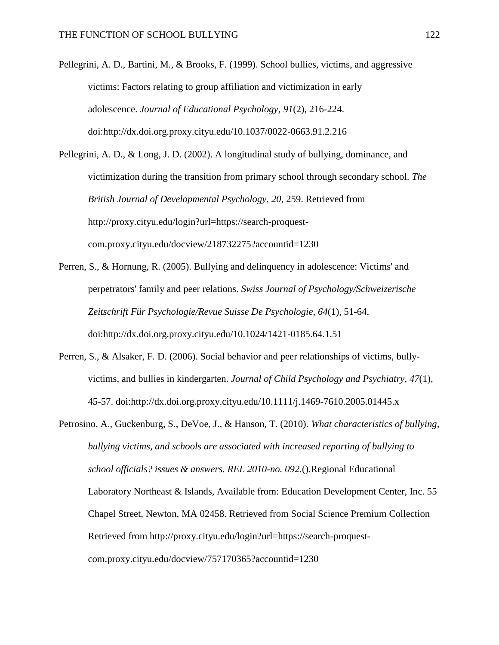Pellegrini, A. D., Bartini, M., & Brooks, F. (1999). School bullies, victims, and aggressive victims: Factors relating to group affiliation and victimization in early adolescence. *Journal of Educational Psychology, 91*(2), 216-224. doi:http://dx.doi.org.proxy.cityu.edu/10.1037/0022-0663.91.2.216

Pellegrini, A. D., & Long, J. D. (2002). A longitudinal study of bullying, dominance, and victimization during the transition from primary school through secondary school. *The British Journal of Developmental Psychology, 20*, 259. Retrieved from http://proxy.cityu.edu/login?url=https://search-proquestcom.proxy.cityu.edu/docview/218732275?accountid=1230

- Perren, S., & Hornung, R. (2005). Bullying and delinquency in adolescence: Victims' and perpetrators' family and peer relations. *Swiss Journal of Psychology/Schweizerische Zeitschrift Für Psychologie/Revue Suisse De Psychologie, 64*(1), 51-64. doi:http://dx.doi.org.proxy.cityu.edu/10.1024/1421-0185.64.1.51
- Perren, S., & Alsaker, F. D. (2006). Social behavior and peer relationships of victims, bullyvictims, and bullies in kindergarten. *Journal of Child Psychology and Psychiatry, 47*(1), 45-57. doi:http://dx.doi.org.proxy.cityu.edu/10.1111/j.1469-7610.2005.01445.x
- Petrosino, A., Guckenburg, S., DeVoe, J., & Hanson, T. (2010). *What characteristics of bullying, bullying victims, and schools are associated with increased reporting of bullying to school officials? issues & answers. REL 2010-no. 092.*().Regional Educational Laboratory Northeast & Islands, Available from: Education Development Center, Inc. 55 Chapel Street, Newton, MA 02458. Retrieved from Social Science Premium Collection Retrieved from http://proxy.cityu.edu/login?url=https://search-proquestcom.proxy.cityu.edu/docview/757170365?accountid=1230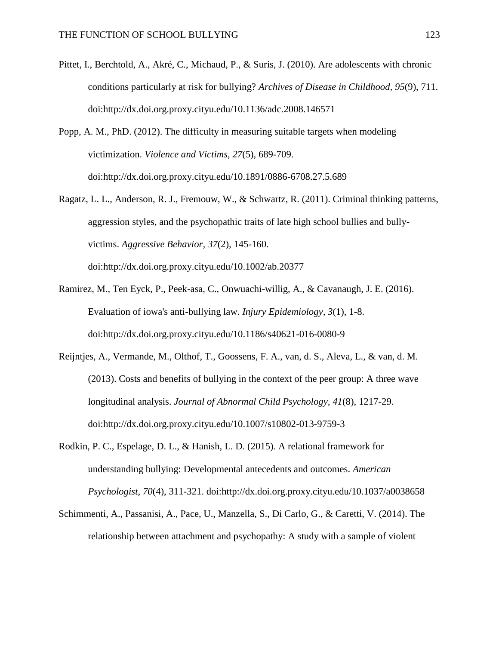- Pittet, I., Berchtold, A., Akré, C., Michaud, P., & Suris, J. (2010). Are adolescents with chronic conditions particularly at risk for bullying? *Archives of Disease in Childhood, 95*(9), 711. doi:http://dx.doi.org.proxy.cityu.edu/10.1136/adc.2008.146571
- Popp, A. M., PhD. (2012). The difficulty in measuring suitable targets when modeling victimization. *Violence and Victims, 27*(5), 689-709. doi:http://dx.doi.org.proxy.cityu.edu/10.1891/0886-6708.27.5.689
- Ragatz, L. L., Anderson, R. J., Fremouw, W., & Schwartz, R. (2011). Criminal thinking patterns, aggression styles, and the psychopathic traits of late high school bullies and bullyvictims. *Aggressive Behavior, 37*(2), 145-160. doi:http://dx.doi.org.proxy.cityu.edu/10.1002/ab.20377
- Ramirez, M., Ten Eyck, P., Peek-asa, C., Onwuachi-willig, A., & Cavanaugh, J. E. (2016). Evaluation of iowa's anti-bullying law. *Injury Epidemiology, 3*(1), 1-8. doi:http://dx.doi.org.proxy.cityu.edu/10.1186/s40621-016-0080-9
- Reijntjes, A., Vermande, M., Olthof, T., Goossens, F. A., van, d. S., Aleva, L., & van, d. M. (2013). Costs and benefits of bullying in the context of the peer group: A three wave longitudinal analysis. *Journal of Abnormal Child Psychology, 41*(8), 1217-29. doi:http://dx.doi.org.proxy.cityu.edu/10.1007/s10802-013-9759-3
- Rodkin, P. C., Espelage, D. L., & Hanish, L. D. (2015). A relational framework for understanding bullying: Developmental antecedents and outcomes. *American Psychologist, 70*(4), 311-321. doi:http://dx.doi.org.proxy.cityu.edu/10.1037/a0038658
- Schimmenti, A., Passanisi, A., Pace, U., Manzella, S., Di Carlo, G., & Caretti, V. (2014). The relationship between attachment and psychopathy: A study with a sample of violent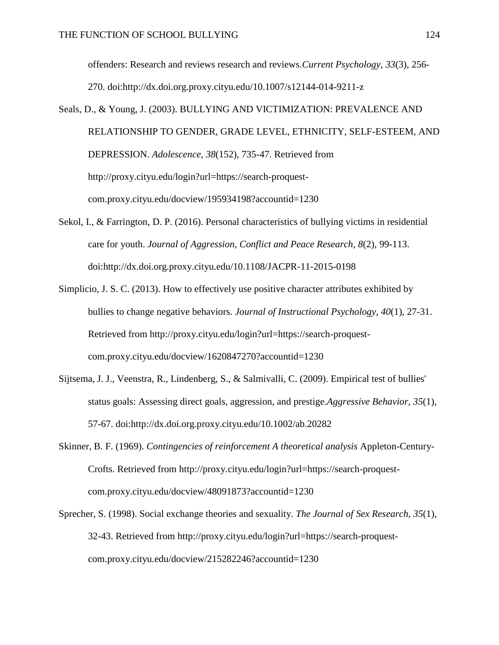offenders: Research and reviews research and reviews.*Current Psychology, 33*(3), 256- 270. doi:http://dx.doi.org.proxy.cityu.edu/10.1007/s12144-014-9211-z

- Seals, D., & Young, J. (2003). BULLYING AND VICTIMIZATION: PREVALENCE AND RELATIONSHIP TO GENDER, GRADE LEVEL, ETHNICITY, SELF-ESTEEM, AND DEPRESSION. *Adolescence, 38*(152), 735-47. Retrieved from http://proxy.cityu.edu/login?url=https://search-proquestcom.proxy.cityu.edu/docview/195934198?accountid=1230
- Sekol, I., & Farrington, D. P. (2016). Personal characteristics of bullying victims in residential care for youth. *Journal of Aggression, Conflict and Peace Research, 8*(2), 99-113. doi:http://dx.doi.org.proxy.cityu.edu/10.1108/JACPR-11-2015-0198
- Simplicio, J. S. C. (2013). How to effectively use positive character attributes exhibited by bullies to change negative behaviors. *Journal of Instructional Psychology, 40*(1), 27-31. Retrieved from http://proxy.cityu.edu/login?url=https://search-proquestcom.proxy.cityu.edu/docview/1620847270?accountid=1230
- Sijtsema, J. J., Veenstra, R., Lindenberg, S., & Salmivalli, C. (2009). Empirical test of bullies' status goals: Assessing direct goals, aggression, and prestige.*Aggressive Behavior, 35*(1), 57-67. doi:http://dx.doi.org.proxy.cityu.edu/10.1002/ab.20282
- Skinner, B. F. (1969). *Contingencies of reinforcement A theoretical analysis* Appleton-Century-Crofts. Retrieved from http://proxy.cityu.edu/login?url=https://search-proquestcom.proxy.cityu.edu/docview/48091873?accountid=1230
- Sprecher, S. (1998). Social exchange theories and sexuality. *The Journal of Sex Research, 35*(1), 32-43. Retrieved from http://proxy.cityu.edu/login?url=https://search-proquestcom.proxy.cityu.edu/docview/215282246?accountid=1230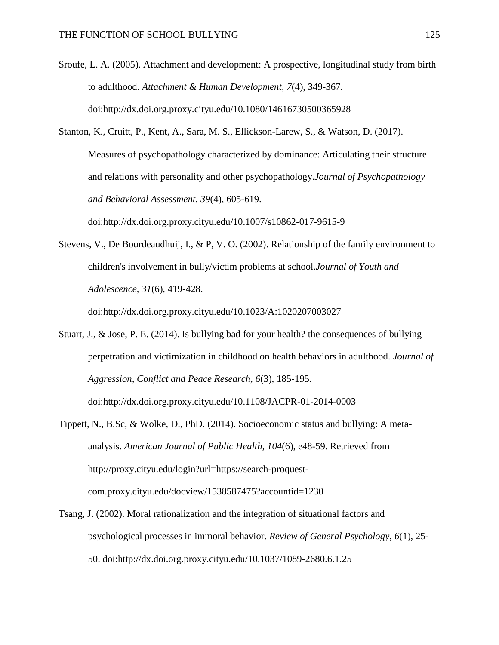- Sroufe, L. A. (2005). Attachment and development: A prospective, longitudinal study from birth to adulthood. *Attachment & Human Development, 7*(4), 349-367. doi:http://dx.doi.org.proxy.cityu.edu/10.1080/14616730500365928
- Stanton, K., Cruitt, P., Kent, A., Sara, M. S., Ellickson-Larew, S., & Watson, D. (2017). Measures of psychopathology characterized by dominance: Articulating their structure and relations with personality and other psychopathology.*Journal of Psychopathology and Behavioral Assessment, 39*(4), 605-619. doi:http://dx.doi.org.proxy.cityu.edu/10.1007/s10862-017-9615-9
- Stevens, V., De Bourdeaudhuij, I., & P, V. O. (2002). Relationship of the family environment to children's involvement in bully/victim problems at school.*Journal of Youth and Adolescence, 31*(6), 419-428. doi:http://dx.doi.org.proxy.cityu.edu/10.1023/A:1020207003027
- Stuart, J., & Jose, P. E. (2014). Is bullying bad for your health? the consequences of bullying perpetration and victimization in childhood on health behaviors in adulthood. *Journal of Aggression, Conflict and Peace Research, 6*(3), 185-195. doi:http://dx.doi.org.proxy.cityu.edu/10.1108/JACPR-01-2014-0003
- Tippett, N., B.Sc, & Wolke, D., PhD. (2014). Socioeconomic status and bullying: A metaanalysis. *American Journal of Public Health, 104*(6), e48-59. Retrieved from http://proxy.cityu.edu/login?url=https://search-proquestcom.proxy.cityu.edu/docview/1538587475?accountid=1230
- Tsang, J. (2002). Moral rationalization and the integration of situational factors and psychological processes in immoral behavior. *Review of General Psychology, 6*(1), 25- 50. doi:http://dx.doi.org.proxy.cityu.edu/10.1037/1089-2680.6.1.25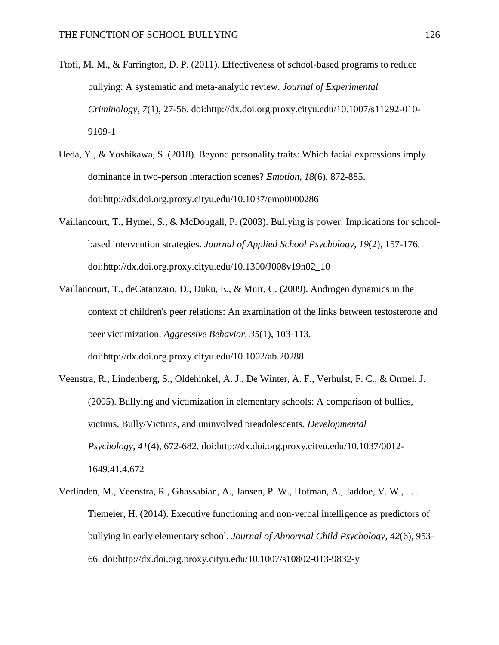- Ttofi, M. M., & Farrington, D. P. (2011). Effectiveness of school-based programs to reduce bullying: A systematic and meta-analytic review. *Journal of Experimental Criminology, 7*(1), 27-56. doi:http://dx.doi.org.proxy.cityu.edu/10.1007/s11292-010- 9109-1
- Ueda, Y., & Yoshikawa, S. (2018). Beyond personality traits: Which facial expressions imply dominance in two-person interaction scenes? *Emotion, 18*(6), 872-885. doi:http://dx.doi.org.proxy.cityu.edu/10.1037/emo0000286
- Vaillancourt, T., Hymel, S., & McDougall, P. (2003). Bullying is power: Implications for schoolbased intervention strategies. *Journal of Applied School Psychology, 19*(2), 157-176. doi:http://dx.doi.org.proxy.cityu.edu/10.1300/J008v19n02\_10
- Vaillancourt, T., deCatanzaro, D., Duku, E., & Muir, C. (2009). Androgen dynamics in the context of children's peer relations: An examination of the links between testosterone and peer victimization. *Aggressive Behavior, 35*(1), 103-113. doi:http://dx.doi.org.proxy.cityu.edu/10.1002/ab.20288
- Veenstra, R., Lindenberg, S., Oldehinkel, A. J., De Winter, A. F., Verhulst, F. C., & Ormel, J. (2005). Bullying and victimization in elementary schools: A comparison of bullies, victims, Bully/Victims, and uninvolved preadolescents. *Developmental Psychology, 41*(4), 672-682. doi:http://dx.doi.org.proxy.cityu.edu/10.1037/0012- 1649.41.4.672
- Verlinden, M., Veenstra, R., Ghassabian, A., Jansen, P. W., Hofman, A., Jaddoe, V. W., . . . Tiemeier, H. (2014). Executive functioning and non-verbal intelligence as predictors of bullying in early elementary school. *Journal of Abnormal Child Psychology, 42*(6), 953- 66. doi:http://dx.doi.org.proxy.cityu.edu/10.1007/s10802-013-9832-y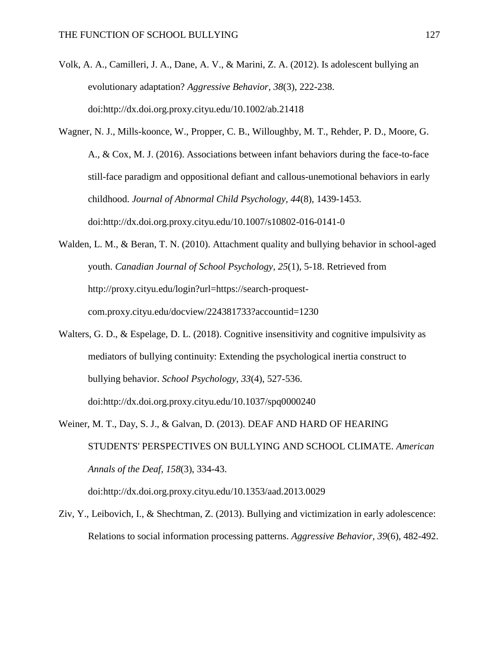- Volk, A. A., Camilleri, J. A., Dane, A. V., & Marini, Z. A. (2012). Is adolescent bullying an evolutionary adaptation? *Aggressive Behavior, 38*(3), 222-238. doi:http://dx.doi.org.proxy.cityu.edu/10.1002/ab.21418
- Wagner, N. J., Mills-koonce, W., Propper, C. B., Willoughby, M. T., Rehder, P. D., Moore, G. A., & Cox, M. J. (2016). Associations between infant behaviors during the face-to-face still-face paradigm and oppositional defiant and callous-unemotional behaviors in early childhood. *Journal of Abnormal Child Psychology, 44*(8), 1439-1453. doi:http://dx.doi.org.proxy.cityu.edu/10.1007/s10802-016-0141-0
- Walden, L. M., & Beran, T. N. (2010). Attachment quality and bullying behavior in school-aged youth. *Canadian Journal of School Psychology, 25*(1), 5-18. Retrieved from http://proxy.cityu.edu/login?url=https://search-proquestcom.proxy.cityu.edu/docview/224381733?accountid=1230
- Walters, G. D., & Espelage, D. L. (2018). Cognitive insensitivity and cognitive impulsivity as mediators of bullying continuity: Extending the psychological inertia construct to bullying behavior. *School Psychology, 33*(4), 527-536. doi:http://dx.doi.org.proxy.cityu.edu/10.1037/spq0000240
- Weiner, M. T., Day, S. J., & Galvan, D. (2013). DEAF AND HARD OF HEARING STUDENTS' PERSPECTIVES ON BULLYING AND SCHOOL CLIMATE. *American Annals of the Deaf, 158*(3), 334-43.

doi:http://dx.doi.org.proxy.cityu.edu/10.1353/aad.2013.0029

Ziv, Y., Leibovich, I., & Shechtman, Z. (2013). Bullying and victimization in early adolescence: Relations to social information processing patterns. *Aggressive Behavior, 39*(6), 482-492.